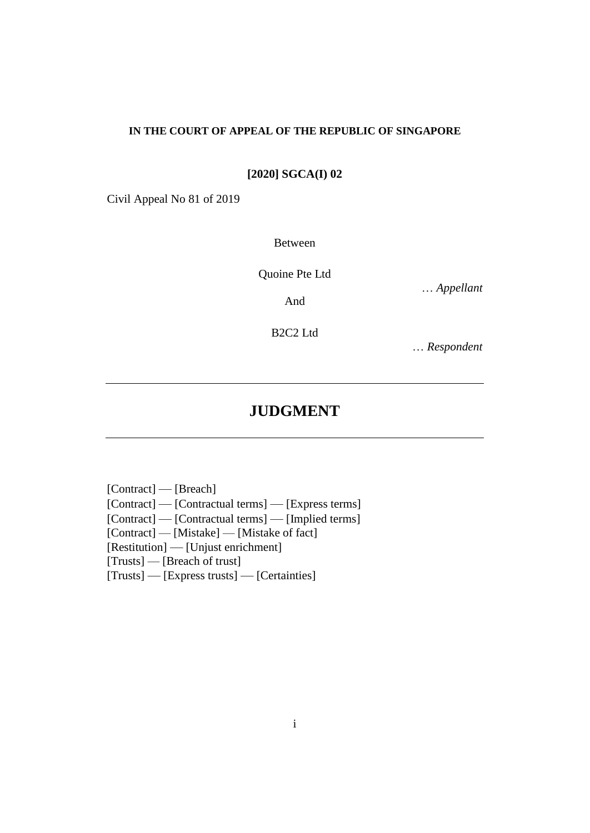#### **IN THE COURT OF APPEAL OF THE REPUBLIC OF SINGAPORE**

**[2020] SGCA(I) 02**

Civil Appeal No 81 of 2019

Between

Quoine Pte Ltd

… *Appellant*

And

B2C2 Ltd

… *Respondent*

# **JUDGMENT**

[Contract] — [Breach] [Contract] — [Contractual terms] — [Express terms] [Contract] — [Contractual terms] — [Implied terms] [Contract] — [Mistake] — [Mistake of fact] [Restitution] — [Unjust enrichment] [Trusts] — [Breach of trust] [Trusts] — [Express trusts] — [Certainties]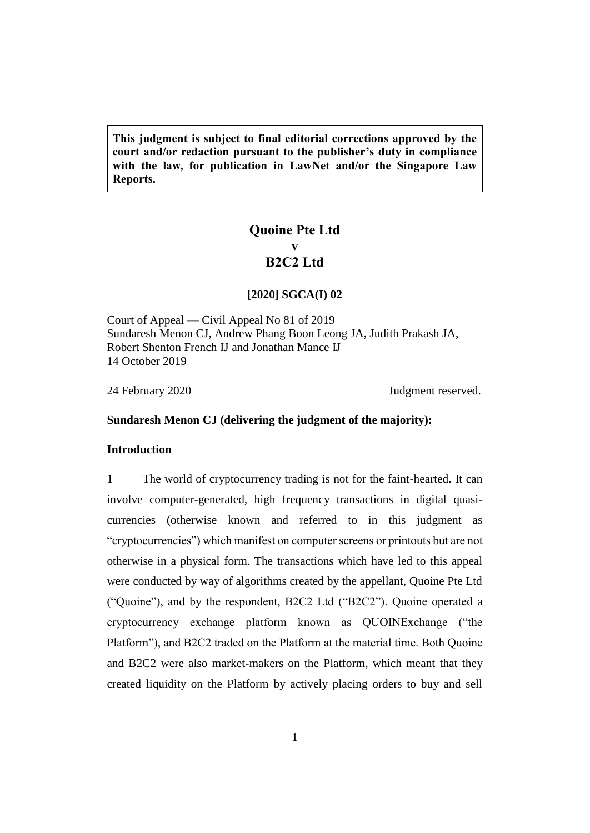**This judgment is subject to final editorial corrections approved by the court and/or redaction pursuant to the publisher's duty in compliance with the law, for publication in LawNet and/or the Singapore Law Reports.**

## **Quoine Pte Ltd v B2C2 Ltd**

#### **[2020] SGCA(I) 02**

Court of Appeal — Civil Appeal No 81 of 2019 Sundaresh Menon CJ, Andrew Phang Boon Leong JA, Judith Prakash JA, Robert Shenton French IJ and Jonathan Mance IJ 14 October 2019

24 February 2020 **Judgment reserved.** 

#### **Sundaresh Menon CJ (delivering the judgment of the majority):**

## **Introduction**

1 The world of cryptocurrency trading is not for the faint-hearted. It can involve computer-generated, high frequency transactions in digital quasicurrencies (otherwise known and referred to in this judgment as "cryptocurrencies") which manifest on computer screens or printouts but are not otherwise in a physical form. The transactions which have led to this appeal were conducted by way of algorithms created by the appellant, Quoine Pte Ltd ("Quoine"), and by the respondent, B2C2 Ltd ("B2C2"). Quoine operated a cryptocurrency exchange platform known as QUOINExchange ("the Platform"), and B2C2 traded on the Platform at the material time. Both Quoine and B2C2 were also market-makers on the Platform, which meant that they created liquidity on the Platform by actively placing orders to buy and sell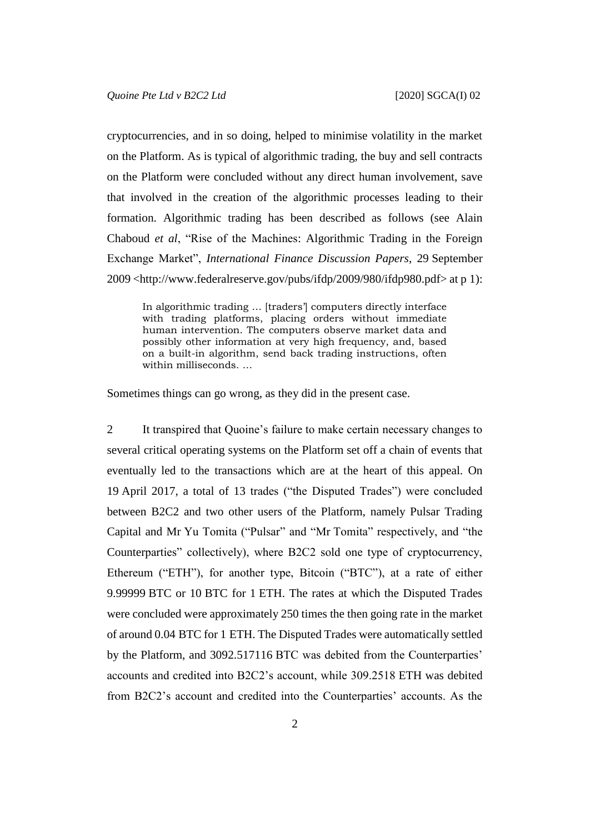cryptocurrencies, and in so doing, helped to minimise volatility in the market on the Platform. As is typical of algorithmic trading, the buy and sell contracts on the Platform were concluded without any direct human involvement, save that involved in the creation of the algorithmic processes leading to their formation. Algorithmic trading has been described as follows (see Alain Chaboud *et al*, "Rise of the Machines: Algorithmic Trading in the Foreign Exchange Market", *International Finance Discussion Papers*, 29 September 2009 <http://www.federalreserve.gov/pubs/ifdp/2009/980/ifdp980.pdf> at p 1):

In algorithmic trading … [traders'] computers directly interface with trading platforms, placing orders without immediate human intervention. The computers observe market data and possibly other information at very high frequency, and, based on a built-in algorithm, send back trading instructions, often within milliseconds. …

Sometimes things can go wrong, as they did in the present case.

<span id="page-2-0"></span>2 It transpired that Quoine's failure to make certain necessary changes to several critical operating systems on the Platform set off a chain of events that eventually led to the transactions which are at the heart of this appeal. On 19 April 2017, a total of 13 trades ("the Disputed Trades") were concluded between B2C2 and two other users of the Platform, namely Pulsar Trading Capital and Mr Yu Tomita ("Pulsar" and "Mr Tomita" respectively, and "the Counterparties" collectively), where B2C2 sold one type of cryptocurrency, Ethereum ("ETH"), for another type, Bitcoin ("BTC"), at a rate of either 9.99999 BTC or 10 BTC for 1 ETH. The rates at which the Disputed Trades were concluded were approximately 250 times the then going rate in the market of around 0.04 BTC for 1 ETH. The Disputed Trades were automatically settled by the Platform, and 3092.517116 BTC was debited from the Counterparties' accounts and credited into B2C2's account, while 309.2518 ETH was debited from B2C2's account and credited into the Counterparties' accounts. As the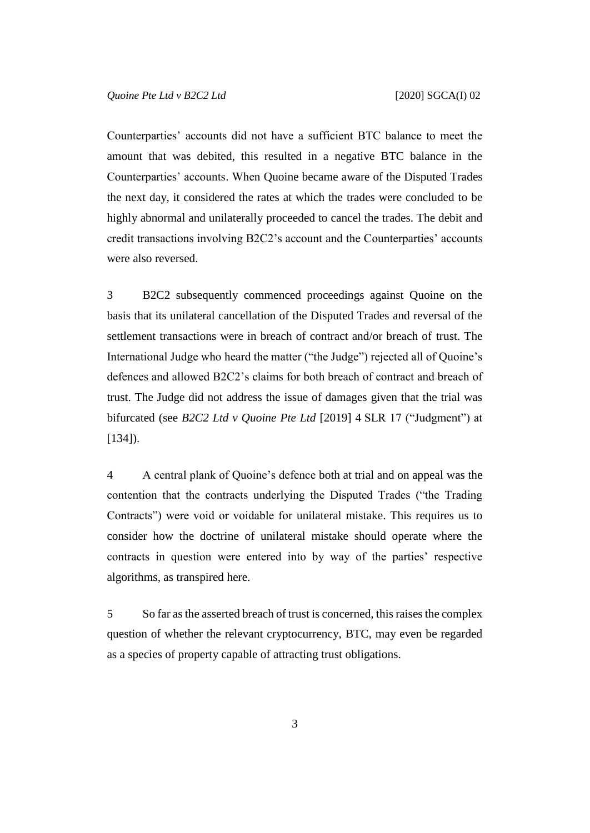Counterparties' accounts did not have a sufficient BTC balance to meet the amount that was debited, this resulted in a negative BTC balance in the Counterparties' accounts. When Quoine became aware of the Disputed Trades the next day, it considered the rates at which the trades were concluded to be highly abnormal and unilaterally proceeded to cancel the trades. The debit and credit transactions involving B2C2's account and the Counterparties' accounts were also reversed.

3 B2C2 subsequently commenced proceedings against Quoine on the basis that its unilateral cancellation of the Disputed Trades and reversal of the settlement transactions were in breach of contract and/or breach of trust. The International Judge who heard the matter ("the Judge") rejected all of Quoine's defences and allowed B2C2's claims for both breach of contract and breach of trust. The Judge did not address the issue of damages given that the trial was bifurcated (see *B2C2 Ltd v Quoine Pte Ltd* [2019] 4 SLR 17 ("Judgment") at [134]).

<span id="page-3-0"></span>4 A central plank of Quoine's defence both at trial and on appeal was the contention that the contracts underlying the Disputed Trades ("the Trading Contracts") were void or voidable for unilateral mistake. This requires us to consider how the doctrine of unilateral mistake should operate where the contracts in question were entered into by way of the parties' respective algorithms, as transpired here.

5 So far as the asserted breach of trust is concerned, this raises the complex question of whether the relevant cryptocurrency, BTC, may even be regarded as a species of property capable of attracting trust obligations.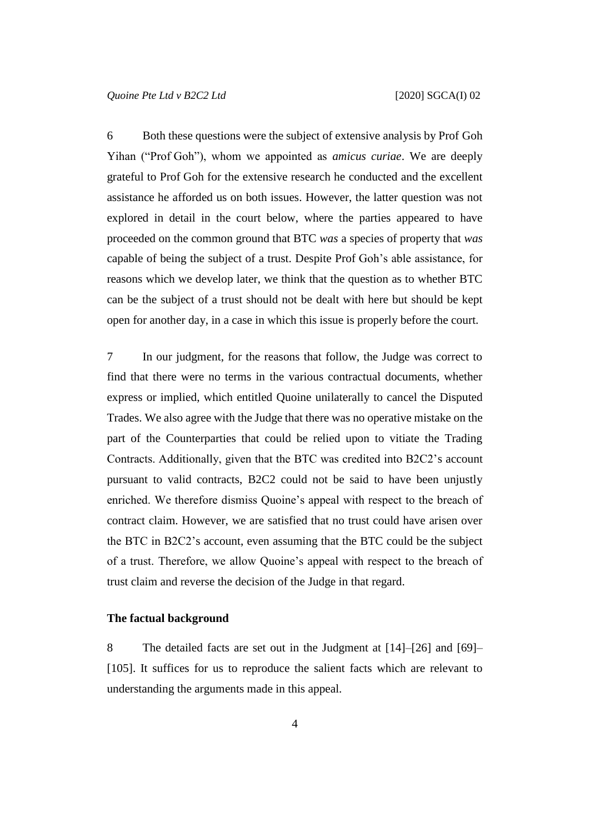6 Both these questions were the subject of extensive analysis by Prof Goh Yihan ("Prof Goh"), whom we appointed as *amicus curiae*. We are deeply grateful to Prof Goh for the extensive research he conducted and the excellent assistance he afforded us on both issues. However, the latter question was not explored in detail in the court below, where the parties appeared to have proceeded on the common ground that BTC *was* a species of property that *was* capable of being the subject of a trust. Despite Prof Goh's able assistance, for reasons which we develop later, we think that the question as to whether BTC can be the subject of a trust should not be dealt with here but should be kept open for another day, in a case in which this issue is properly before the court.

7 In our judgment, for the reasons that follow, the Judge was correct to find that there were no terms in the various contractual documents, whether express or implied, which entitled Quoine unilaterally to cancel the Disputed Trades. We also agree with the Judge that there was no operative mistake on the part of the Counterparties that could be relied upon to vitiate the Trading Contracts. Additionally, given that the BTC was credited into B2C2's account pursuant to valid contracts, B2C2 could not be said to have been unjustly enriched. We therefore dismiss Quoine's appeal with respect to the breach of contract claim. However, we are satisfied that no trust could have arisen over the BTC in B2C2's account, even assuming that the BTC could be the subject of a trust. Therefore, we allow Quoine's appeal with respect to the breach of trust claim and reverse the decision of the Judge in that regard.

#### **The factual background**

8 The detailed facts are set out in the Judgment at [14]–[26] and [69]– [105]. It suffices for us to reproduce the salient facts which are relevant to understanding the arguments made in this appeal.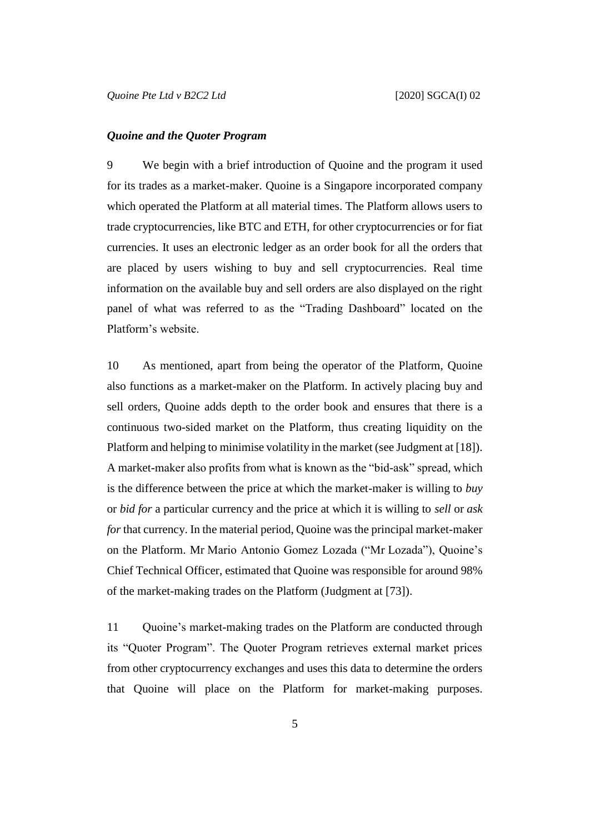#### *Quoine and the Quoter Program*

9 We begin with a brief introduction of Quoine and the program it used for its trades as a market-maker. Quoine is a Singapore incorporated company which operated the Platform at all material times. The Platform allows users to trade cryptocurrencies, like BTC and ETH, for other cryptocurrencies or for fiat currencies. It uses an electronic ledger as an order book for all the orders that are placed by users wishing to buy and sell cryptocurrencies. Real time information on the available buy and sell orders are also displayed on the right panel of what was referred to as the "Trading Dashboard" located on the Platform's website.

10 As mentioned, apart from being the operator of the Platform, Quoine also functions as a market-maker on the Platform. In actively placing buy and sell orders, Quoine adds depth to the order book and ensures that there is a continuous two-sided market on the Platform, thus creating liquidity on the Platform and helping to minimise volatility in the market (see Judgment at [18]). A market-maker also profits from what is known as the "bid-ask" spread, which is the difference between the price at which the market-maker is willing to *buy* or *bid for* a particular currency and the price at which it is willing to *sell* or *ask for* that currency. In the material period, Quoine was the principal market-maker on the Platform. Mr Mario Antonio Gomez Lozada ("Mr Lozada"), Quoine's Chief Technical Officer, estimated that Quoine was responsible for around 98% of the market-making trades on the Platform (Judgment at [73]).

11 Quoine's market-making trades on the Platform are conducted through its "Quoter Program". The Quoter Program retrieves external market prices from other cryptocurrency exchanges and uses this data to determine the orders that Quoine will place on the Platform for market-making purposes.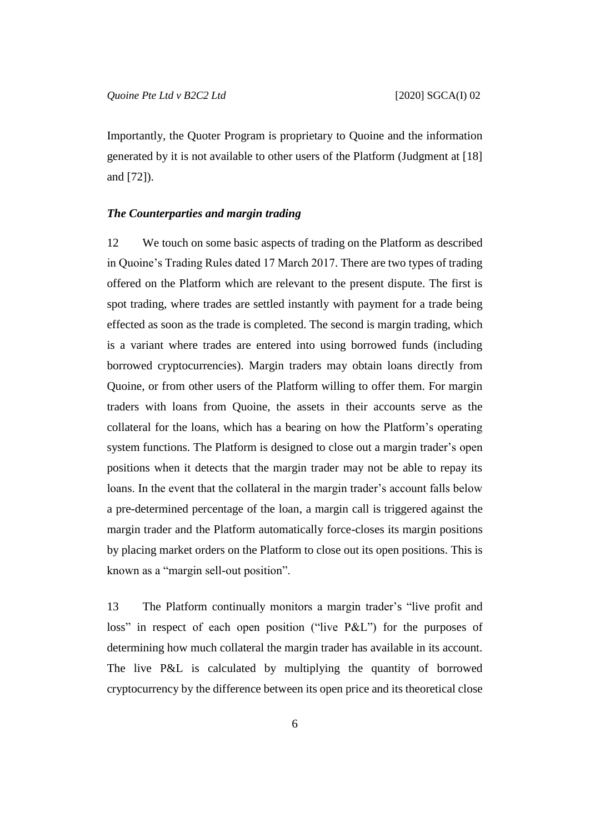Importantly, the Quoter Program is proprietary to Quoine and the information generated by it is not available to other users of the Platform (Judgment at [18] and [72]).

## <span id="page-6-0"></span>*The Counterparties and margin trading*

12 We touch on some basic aspects of trading on the Platform as described in Quoine's Trading Rules dated 17 March 2017. There are two types of trading offered on the Platform which are relevant to the present dispute. The first is spot trading, where trades are settled instantly with payment for a trade being effected as soon as the trade is completed. The second is margin trading, which is a variant where trades are entered into using borrowed funds (including borrowed cryptocurrencies). Margin traders may obtain loans directly from Quoine, or from other users of the Platform willing to offer them. For margin traders with loans from Quoine, the assets in their accounts serve as the collateral for the loans, which has a bearing on how the Platform's operating system functions. The Platform is designed to close out a margin trader's open positions when it detects that the margin trader may not be able to repay its loans. In the event that the collateral in the margin trader's account falls below a pre-determined percentage of the loan, a margin call is triggered against the margin trader and the Platform automatically force-closes its margin positions by placing market orders on the Platform to close out its open positions. This is known as a "margin sell-out position".

<span id="page-6-1"></span>13 The Platform continually monitors a margin trader's "live profit and loss" in respect of each open position ("live P&L") for the purposes of determining how much collateral the margin trader has available in its account. The live P&L is calculated by multiplying the quantity of borrowed cryptocurrency by the difference between its open price and its theoretical close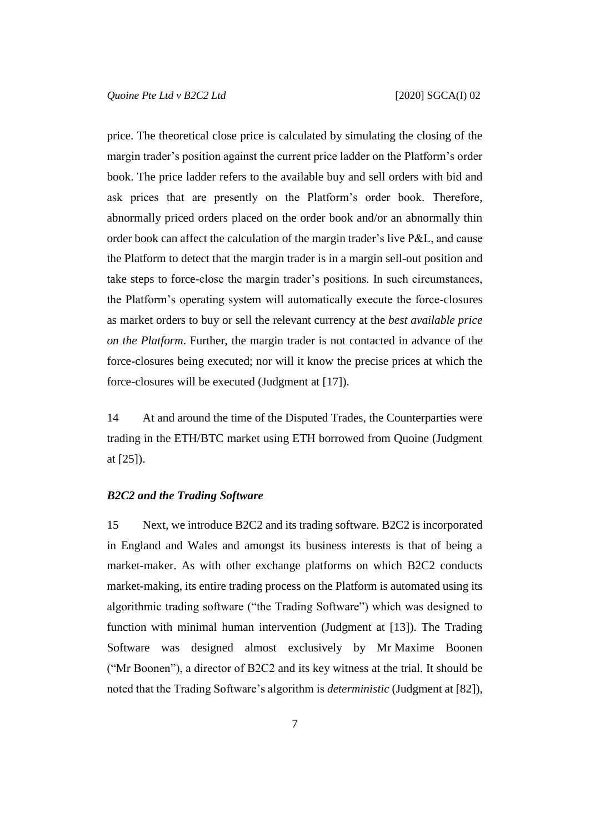price. The theoretical close price is calculated by simulating the closing of the margin trader's position against the current price ladder on the Platform's order book. The price ladder refers to the available buy and sell orders with bid and ask prices that are presently on the Platform's order book. Therefore, abnormally priced orders placed on the order book and/or an abnormally thin order book can affect the calculation of the margin trader's live P&L, and cause the Platform to detect that the margin trader is in a margin sell-out position and take steps to force-close the margin trader's positions. In such circumstances, the Platform's operating system will automatically execute the force-closures as market orders to buy or sell the relevant currency at the *best available price on the Platform*. Further, the margin trader is not contacted in advance of the force-closures being executed; nor will it know the precise prices at which the force-closures will be executed (Judgment at [17]).

14 At and around the time of the Disputed Trades, the Counterparties were trading in the ETH/BTC market using ETH borrowed from Quoine (Judgment at [25]).

#### *B2C2 and the Trading Software*

15 Next, we introduce B2C2 and its trading software. B2C2 is incorporated in England and Wales and amongst its business interests is that of being a market-maker. As with other exchange platforms on which B2C2 conducts market-making, its entire trading process on the Platform is automated using its algorithmic trading software ("the Trading Software") which was designed to function with minimal human intervention (Judgment at [13]). The Trading Software was designed almost exclusively by Mr Maxime Boonen ("Mr Boonen"), a director of B2C2 and its key witness at the trial. It should be noted that the Trading Software's algorithm is *deterministic* (Judgment at [82]),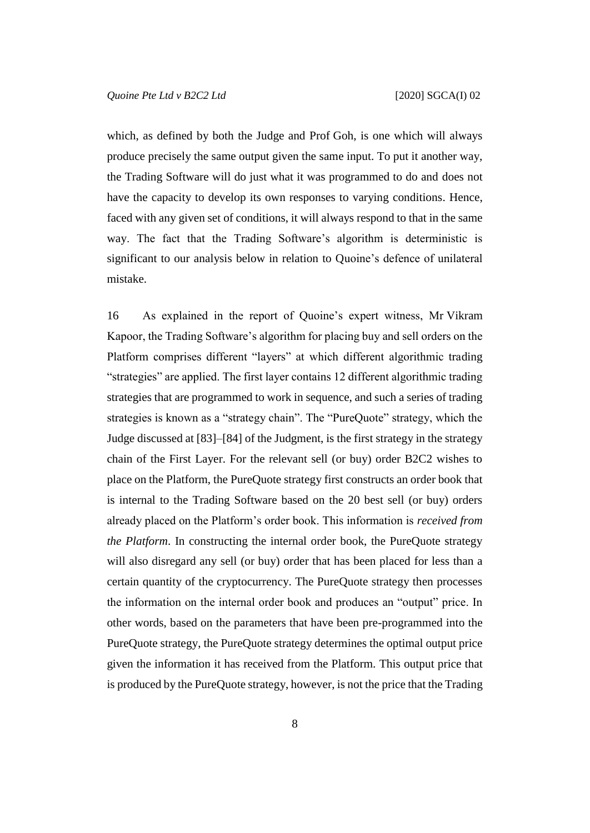which, as defined by both the Judge and Prof Goh, is one which will always produce precisely the same output given the same input. To put it another way, the Trading Software will do just what it was programmed to do and does not have the capacity to develop its own responses to varying conditions. Hence, faced with any given set of conditions, it will always respond to that in the same way. The fact that the Trading Software's algorithm is deterministic is significant to our analysis below in relation to Quoine's defence of unilateral mistake.

<span id="page-8-0"></span>16 As explained in the report of Quoine's expert witness, Mr Vikram Kapoor, the Trading Software's algorithm for placing buy and sell orders on the Platform comprises different "layers" at which different algorithmic trading "strategies" are applied. The first layer contains 12 different algorithmic trading strategies that are programmed to work in sequence, and such a series of trading strategies is known as a "strategy chain". The "PureQuote" strategy, which the Judge discussed at [83]–[84] of the Judgment, is the first strategy in the strategy chain of the First Layer. For the relevant sell (or buy) order B2C2 wishes to place on the Platform, the PureQuote strategy first constructs an order book that is internal to the Trading Software based on the 20 best sell (or buy) orders already placed on the Platform's order book. This information is *received from the Platform*. In constructing the internal order book, the PureQuote strategy will also disregard any sell (or buy) order that has been placed for less than a certain quantity of the cryptocurrency. The PureQuote strategy then processes the information on the internal order book and produces an "output" price. In other words, based on the parameters that have been pre-programmed into the PureQuote strategy, the PureQuote strategy determines the optimal output price given the information it has received from the Platform. This output price that is produced by the PureQuote strategy, however, is not the price that the Trading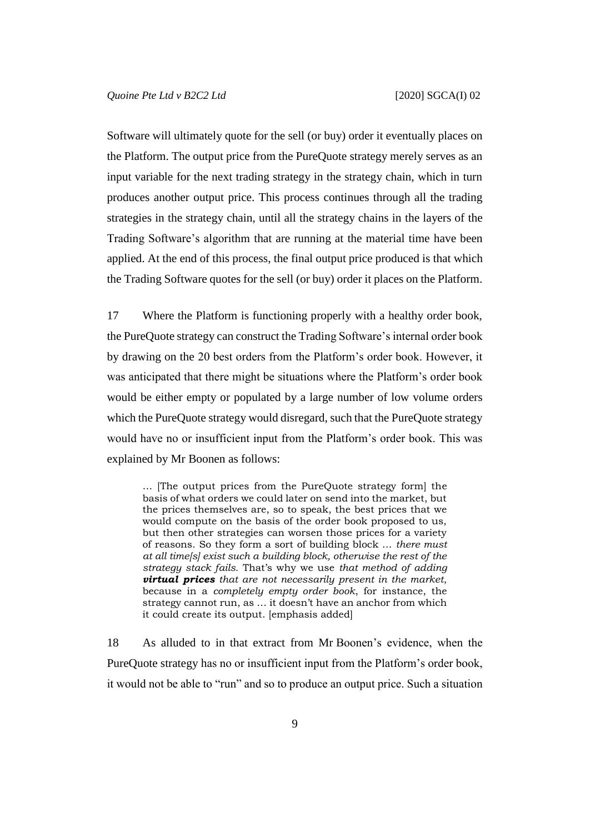Software will ultimately quote for the sell (or buy) order it eventually places on the Platform. The output price from the PureQuote strategy merely serves as an input variable for the next trading strategy in the strategy chain, which in turn produces another output price. This process continues through all the trading strategies in the strategy chain, until all the strategy chains in the layers of the Trading Software's algorithm that are running at the material time have been applied. At the end of this process, the final output price produced is that which the Trading Software quotes for the sell (or buy) order it places on the Platform.

<span id="page-9-0"></span>17 Where the Platform is functioning properly with a healthy order book, the PureQuote strategy can construct the Trading Software's internal order book by drawing on the 20 best orders from the Platform's order book. However, it was anticipated that there might be situations where the Platform's order book would be either empty or populated by a large number of low volume orders which the PureQuote strategy would disregard, such that the PureQuote strategy would have no or insufficient input from the Platform's order book. This was explained by Mr Boonen as follows:

… [The output prices from the PureQuote strategy form] the basis of what orders we could later on send into the market, but the prices themselves are, so to speak, the best prices that we would compute on the basis of the order book proposed to us, but then other strategies can worsen those prices for a variety of reasons. So they form a sort of building block … *there must at all time[s] exist such a building block, otherwise the rest of the strategy stack fails.* That's why we use *that method of adding virtual prices that are not necessarily present in the market*, because in a *completely empty order book*, for instance, the strategy cannot run, as … it doesn't have an anchor from which it could create its output. [emphasis added]

<span id="page-9-1"></span>18 As alluded to in that extract from Mr Boonen's evidence, when the PureQuote strategy has no or insufficient input from the Platform's order book, it would not be able to "run" and so to produce an output price. Such a situation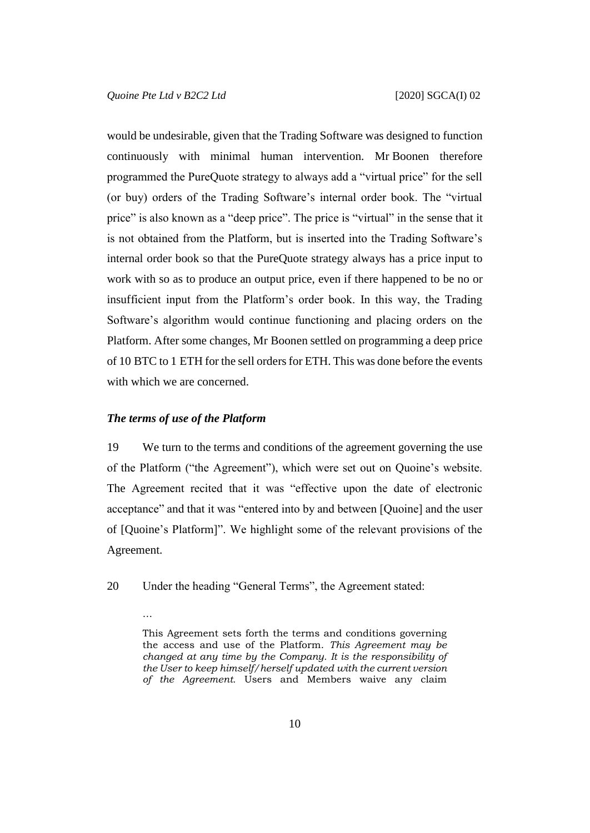would be undesirable, given that the Trading Software was designed to function continuously with minimal human intervention. Mr Boonen therefore programmed the PureQuote strategy to always add a "virtual price" for the sell (or buy) orders of the Trading Software's internal order book. The "virtual price" is also known as a "deep price". The price is "virtual" in the sense that it is not obtained from the Platform, but is inserted into the Trading Software's internal order book so that the PureQuote strategy always has a price input to work with so as to produce an output price, even if there happened to be no or insufficient input from the Platform's order book. In this way, the Trading Software's algorithm would continue functioning and placing orders on the Platform. After some changes, Mr Boonen settled on programming a deep price of 10 BTC to 1 ETH for the sell orders for ETH. This was done before the events with which we are concerned.

#### *The terms of use of the Platform*

…

19 We turn to the terms and conditions of the agreement governing the use of the Platform ("the Agreement"), which were set out on Quoine's website. The Agreement recited that it was "effective upon the date of electronic acceptance" and that it was "entered into by and between [Quoine] and the user of [Quoine's Platform]". We highlight some of the relevant provisions of the Agreement.

<span id="page-10-0"></span>20 Under the heading "General Terms", the Agreement stated:

This Agreement sets forth the terms and conditions governing the access and use of the Platform. *This Agreement may be changed at any time by the Company. It is the responsibility of the User to keep himself/herself updated with the current version of the Agreement.* Users and Members waive any claim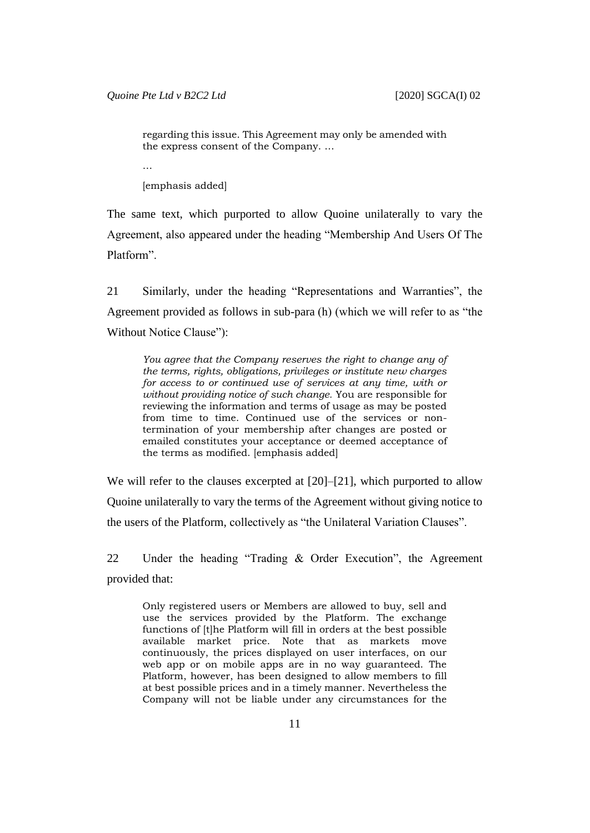regarding this issue. This Agreement may only be amended with the express consent of the Company. …

…

[emphasis added]

The same text, which purported to allow Quoine unilaterally to vary the Agreement, also appeared under the heading "Membership And Users Of The Platform".

<span id="page-11-0"></span>21 Similarly, under the heading "Representations and Warranties", the Agreement provided as follows in sub-para (h) (which we will refer to as "the Without Notice Clause"):

*You agree that the Company reserves the right to change any of the terms, rights, obligations, privileges or institute new charges for access to or continued use of services at any time, with or without providing notice of such change.* You are responsible for reviewing the information and terms of usage as may be posted from time to time. Continued use of the services or nontermination of your membership after changes are posted or emailed constitutes your acceptance or deemed acceptance of the terms as modified. [emphasis added]

We will refer to the clauses excerpted at [\[20\]](#page-10-0)–[\[21\]](#page-11-0), which purported to allow Quoine unilaterally to vary the terms of the Agreement without giving notice to the users of the Platform, collectively as "the Unilateral Variation Clauses".

<span id="page-11-1"></span>22 Under the heading "Trading & Order Execution", the Agreement provided that:

Only registered users or Members are allowed to buy, sell and use the services provided by the Platform. The exchange functions of [t]he Platform will fill in orders at the best possible available market price. Note that as markets move continuously, the prices displayed on user interfaces, on our web app or on mobile apps are in no way guaranteed. The Platform, however, has been designed to allow members to fill at best possible prices and in a timely manner. Nevertheless the Company will not be liable under any circumstances for the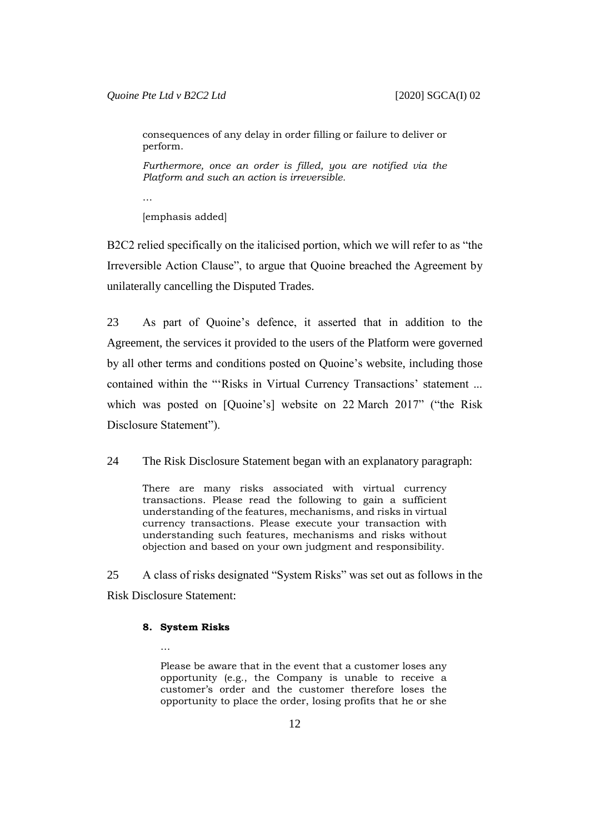consequences of any delay in order filling or failure to deliver or perform.

*Furthermore, once an order is filled, you are notified via the Platform and such an action is irreversible.*

…

[emphasis added]

B2C2 relied specifically on the italicised portion, which we will refer to as "the Irreversible Action Clause", to argue that Quoine breached the Agreement by unilaterally cancelling the Disputed Trades.

23 As part of Quoine's defence, it asserted that in addition to the Agreement, the services it provided to the users of the Platform were governed by all other terms and conditions posted on Quoine's website, including those contained within the "'Risks in Virtual Currency Transactions' statement ... which was posted on [Quoine's] website on 22 March 2017" ("the Risk Disclosure Statement").

<span id="page-12-1"></span>24 The Risk Disclosure Statement began with an explanatory paragraph:

There are many risks associated with virtual currency transactions. Please read the following to gain a sufficient understanding of the features, mechanisms, and risks in virtual currency transactions. Please execute your transaction with understanding such features, mechanisms and risks without objection and based on your own judgment and responsibility.

<span id="page-12-0"></span>25 A class of risks designated "System Risks" was set out as follows in the Risk Disclosure Statement:

#### **8. System Risks**

…

Please be aware that in the event that a customer loses any opportunity (e.g., the Company is unable to receive a customer's order and the customer therefore loses the opportunity to place the order, losing profits that he or she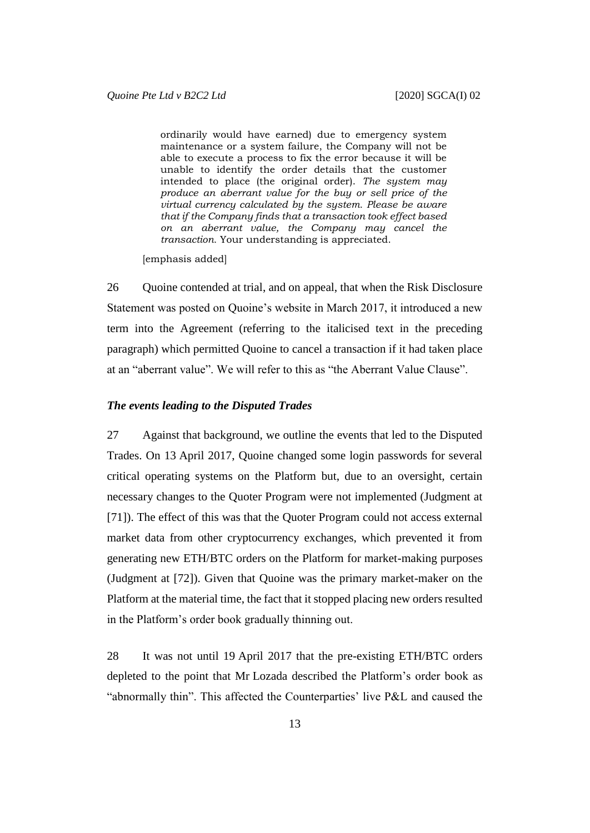ordinarily would have earned) due to emergency system maintenance or a system failure, the Company will not be able to execute a process to fix the error because it will be unable to identify the order details that the customer intended to place (the original order). *The system may produce an aberrant value for the buy or sell price of the virtual currency calculated by the system. Please be aware that if the Company finds that a transaction took effect based on an aberrant value, the Company may cancel the transaction.* Your understanding is appreciated.

[emphasis added]

<span id="page-13-0"></span>26 Ouoine contended at trial, and on appeal, that when the Risk Disclosure Statement was posted on Quoine's website in March 2017, it introduced a new term into the Agreement (referring to the italicised text in the preceding paragraph) which permitted Quoine to cancel a transaction if it had taken place at an "aberrant value". We will refer to this as "the Aberrant Value Clause".

### *The events leading to the Disputed Trades*

27 Against that background, we outline the events that led to the Disputed Trades. On 13 April 2017, Quoine changed some login passwords for several critical operating systems on the Platform but, due to an oversight, certain necessary changes to the Quoter Program were not implemented (Judgment at [71]). The effect of this was that the Quoter Program could not access external market data from other cryptocurrency exchanges, which prevented it from generating new ETH/BTC orders on the Platform for market-making purposes (Judgment at [72]). Given that Quoine was the primary market-maker on the Platform at the material time, the fact that it stopped placing new orders resulted in the Platform's order book gradually thinning out.

28 It was not until 19 April 2017 that the pre-existing ETH/BTC orders depleted to the point that Mr Lozada described the Platform's order book as "abnormally thin". This affected the Counterparties' live P&L and caused the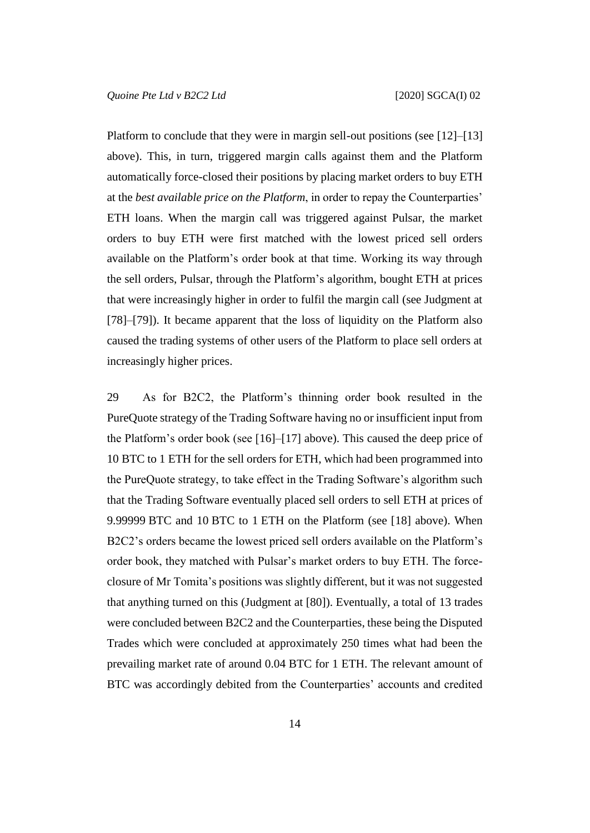Platform to conclude that they were in margin sell-out positions (see [\[12\]](#page-6-0)–[\[13\]](#page-6-1) above). This, in turn, triggered margin calls against them and the Platform automatically force-closed their positions by placing market orders to buy ETH at the *best available price on the Platform*, in order to repay the Counterparties' ETH loans. When the margin call was triggered against Pulsar, the market orders to buy ETH were first matched with the lowest priced sell orders available on the Platform's order book at that time. Working its way through the sell orders, Pulsar, through the Platform's algorithm, bought ETH at prices that were increasingly higher in order to fulfil the margin call (see Judgment at [78]–[79]). It became apparent that the loss of liquidity on the Platform also caused the trading systems of other users of the Platform to place sell orders at increasingly higher prices.

<span id="page-14-0"></span>29 As for B2C2, the Platform's thinning order book resulted in the PureQuote strategy of the Trading Software having no or insufficient input from the Platform's order book (see [\[16\]](#page-8-0)–[\[17\]](#page-9-0) above). This caused the deep price of 10 BTC to 1 ETH for the sell orders for ETH, which had been programmed into the PureQuote strategy, to take effect in the Trading Software's algorithm such that the Trading Software eventually placed sell orders to sell ETH at prices of 9.99999 BTC and 10 BTC to 1 ETH on the Platform (see [\[18\]](#page-9-1) above). When B2C2's orders became the lowest priced sell orders available on the Platform's order book, they matched with Pulsar's market orders to buy ETH. The forceclosure of Mr Tomita's positions was slightly different, but it was not suggested that anything turned on this (Judgment at [80]). Eventually, a total of 13 trades were concluded between B2C2 and the Counterparties, these being the Disputed Trades which were concluded at approximately 250 times what had been the prevailing market rate of around 0.04 BTC for 1 ETH. The relevant amount of BTC was accordingly debited from the Counterparties' accounts and credited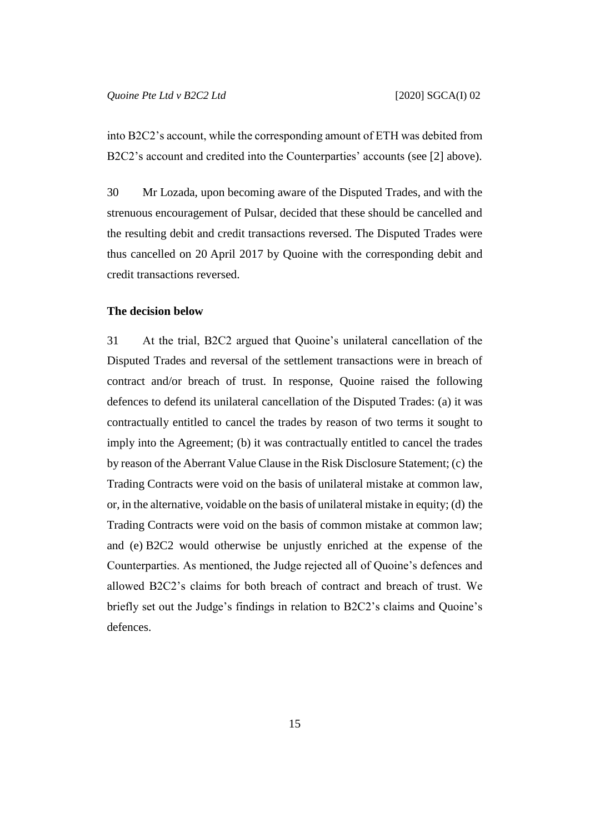into B2C2's account, while the corresponding amount of ETH was debited from B2C2's account and credited into the Counterparties' accounts (see [\[2\]](#page-2-0) above).

30 Mr Lozada, upon becoming aware of the Disputed Trades, and with the strenuous encouragement of Pulsar, decided that these should be cancelled and the resulting debit and credit transactions reversed. The Disputed Trades were thus cancelled on 20 April 2017 by Quoine with the corresponding debit and credit transactions reversed.

## **The decision below**

31 At the trial, B2C2 argued that Quoine's unilateral cancellation of the Disputed Trades and reversal of the settlement transactions were in breach of contract and/or breach of trust. In response, Quoine raised the following defences to defend its unilateral cancellation of the Disputed Trades: (a) it was contractually entitled to cancel the trades by reason of two terms it sought to imply into the Agreement; (b) it was contractually entitled to cancel the trades by reason of the Aberrant Value Clause in the Risk Disclosure Statement; (c) the Trading Contracts were void on the basis of unilateral mistake at common law, or, in the alternative, voidable on the basis of unilateral mistake in equity; (d) the Trading Contracts were void on the basis of common mistake at common law; and (e) B2C2 would otherwise be unjustly enriched at the expense of the Counterparties. As mentioned, the Judge rejected all of Quoine's defences and allowed B2C2's claims for both breach of contract and breach of trust. We briefly set out the Judge's findings in relation to B2C2's claims and Quoine's defences.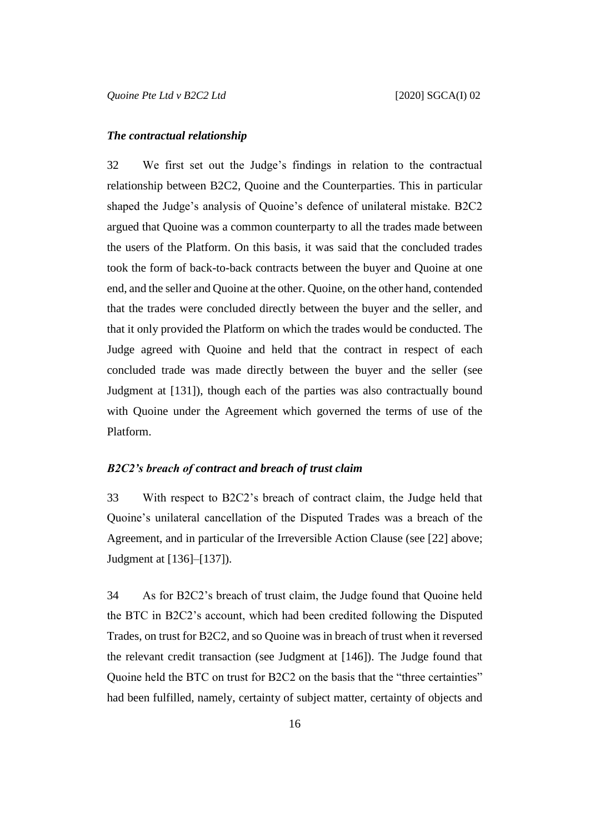#### *The contractual relationship*

32 We first set out the Judge's findings in relation to the contractual relationship between B2C2, Quoine and the Counterparties. This in particular shaped the Judge's analysis of Quoine's defence of unilateral mistake. B2C2 argued that Quoine was a common counterparty to all the trades made between the users of the Platform. On this basis, it was said that the concluded trades took the form of back-to-back contracts between the buyer and Quoine at one end, and the seller and Quoine at the other. Quoine, on the other hand, contended that the trades were concluded directly between the buyer and the seller, and that it only provided the Platform on which the trades would be conducted. The Judge agreed with Quoine and held that the contract in respect of each concluded trade was made directly between the buyer and the seller (see Judgment at [131]), though each of the parties was also contractually bound with Quoine under the Agreement which governed the terms of use of the Platform.

#### *B2C2's breach of contract and breach of trust claim*

33 With respect to B2C2's breach of contract claim, the Judge held that Quoine's unilateral cancellation of the Disputed Trades was a breach of the Agreement, and in particular of the Irreversible Action Clause (see [\[22\]](#page-11-1) above; Judgment at [136]–[137]).

34 As for B2C2's breach of trust claim, the Judge found that Quoine held the BTC in B2C2's account, which had been credited following the Disputed Trades, on trust for B2C2, and so Quoine was in breach of trust when it reversed the relevant credit transaction (see Judgment at [146]). The Judge found that Quoine held the BTC on trust for B2C2 on the basis that the "three certainties" had been fulfilled, namely, certainty of subject matter, certainty of objects and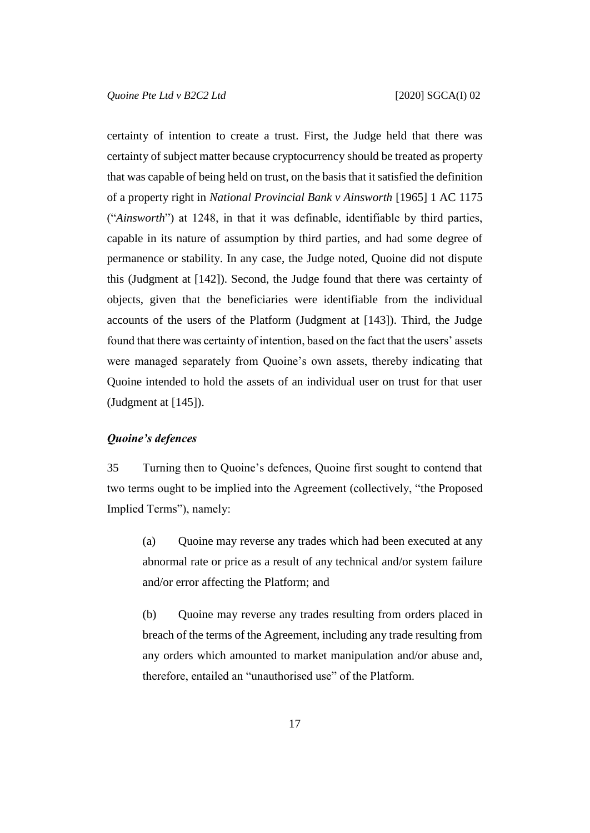certainty of intention to create a trust. First, the Judge held that there was certainty of subject matter because cryptocurrency should be treated as property that was capable of being held on trust, on the basis that it satisfied the definition of a property right in *National Provincial Bank v Ainsworth* [1965] 1 AC 1175 ("*Ainsworth*") at 1248, in that it was definable, identifiable by third parties, capable in its nature of assumption by third parties, and had some degree of permanence or stability. In any case, the Judge noted, Quoine did not dispute this (Judgment at [142]). Second, the Judge found that there was certainty of objects, given that the beneficiaries were identifiable from the individual accounts of the users of the Platform (Judgment at [143]). Third, the Judge found that there was certainty of intention, based on the fact that the users' assets were managed separately from Quoine's own assets, thereby indicating that Quoine intended to hold the assets of an individual user on trust for that user (Judgment at [145]).

### <span id="page-17-0"></span>*Quoine's defences*

35 Turning then to Quoine's defences, Quoine first sought to contend that two terms ought to be implied into the Agreement (collectively, "the Proposed Implied Terms"), namely:

(a) Quoine may reverse any trades which had been executed at any abnormal rate or price as a result of any technical and/or system failure and/or error affecting the Platform; and

(b) Quoine may reverse any trades resulting from orders placed in breach of the terms of the Agreement, including any trade resulting from any orders which amounted to market manipulation and/or abuse and, therefore, entailed an "unauthorised use" of the Platform.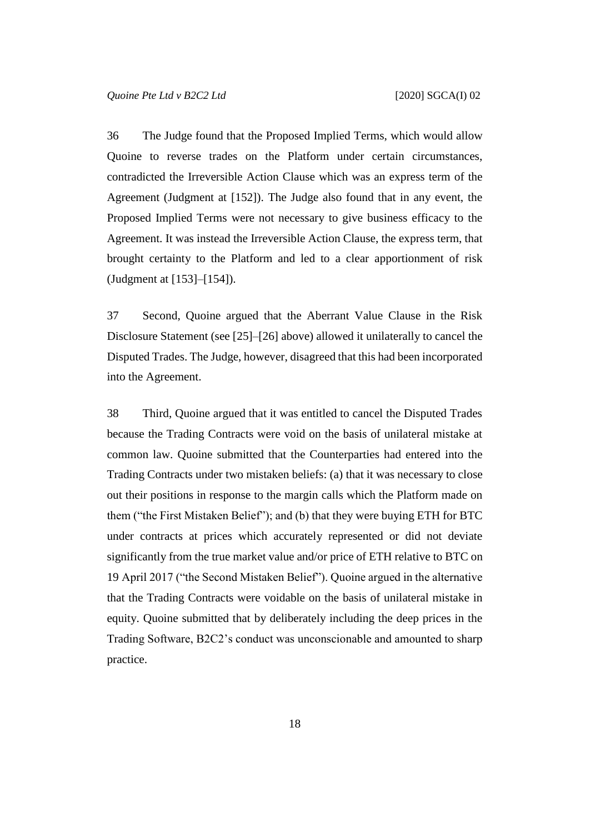36 The Judge found that the Proposed Implied Terms, which would allow Quoine to reverse trades on the Platform under certain circumstances, contradicted the Irreversible Action Clause which was an express term of the Agreement (Judgment at [152]). The Judge also found that in any event, the Proposed Implied Terms were not necessary to give business efficacy to the Agreement. It was instead the Irreversible Action Clause, the express term, that brought certainty to the Platform and led to a clear apportionment of risk (Judgment at [153]–[154]).

37 Second, Quoine argued that the Aberrant Value Clause in the Risk Disclosure Statement (see [\[25\]](#page-12-0)–[\[26\]](#page-13-0) above) allowed it unilaterally to cancel the Disputed Trades. The Judge, however, disagreed that this had been incorporated into the Agreement.

38 Third, Quoine argued that it was entitled to cancel the Disputed Trades because the Trading Contracts were void on the basis of unilateral mistake at common law. Quoine submitted that the Counterparties had entered into the Trading Contracts under two mistaken beliefs: (a) that it was necessary to close out their positions in response to the margin calls which the Platform made on them ("the First Mistaken Belief"); and (b) that they were buying ETH for BTC under contracts at prices which accurately represented or did not deviate significantly from the true market value and/or price of ETH relative to BTC on 19 April 2017 ("the Second Mistaken Belief"). Quoine argued in the alternative that the Trading Contracts were voidable on the basis of unilateral mistake in equity. Quoine submitted that by deliberately including the deep prices in the Trading Software, B2C2's conduct was unconscionable and amounted to sharp practice.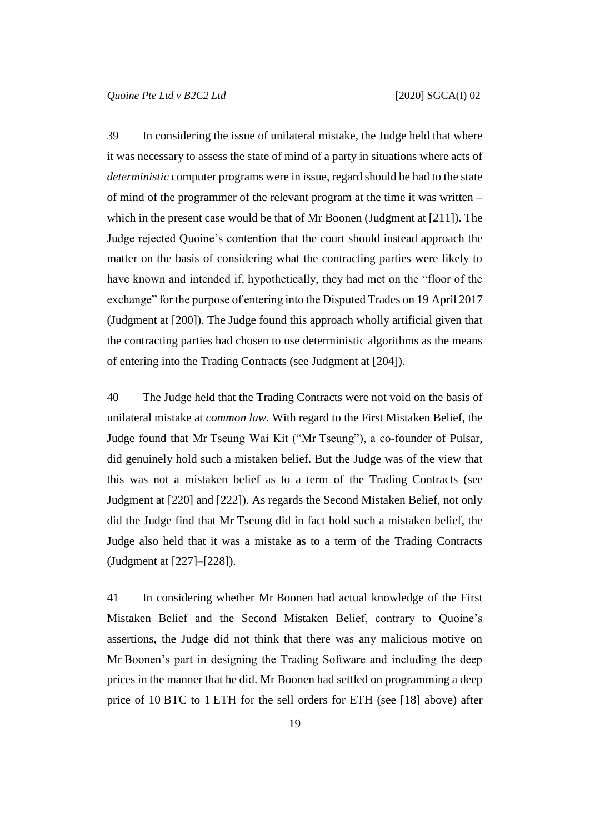39 In considering the issue of unilateral mistake, the Judge held that where it was necessary to assess the state of mind of a party in situations where acts of *deterministic* computer programs were in issue, regard should be had to the state of mind of the programmer of the relevant program at the time it was written – which in the present case would be that of Mr Boonen (Judgment at [211]). The Judge rejected Quoine's contention that the court should instead approach the matter on the basis of considering what the contracting parties were likely to have known and intended if, hypothetically, they had met on the "floor of the exchange" for the purpose of entering into the Disputed Trades on 19 April 2017 (Judgment at [200]). The Judge found this approach wholly artificial given that the contracting parties had chosen to use deterministic algorithms as the means of entering into the Trading Contracts (see Judgment at [204]).

40 The Judge held that the Trading Contracts were not void on the basis of unilateral mistake at *common law*. With regard to the First Mistaken Belief, the Judge found that Mr Tseung Wai Kit ("Mr Tseung"), a co-founder of Pulsar, did genuinely hold such a mistaken belief. But the Judge was of the view that this was not a mistaken belief as to a term of the Trading Contracts (see Judgment at [220] and [222]). As regards the Second Mistaken Belief, not only did the Judge find that Mr Tseung did in fact hold such a mistaken belief, the Judge also held that it was a mistake as to a term of the Trading Contracts (Judgment at [227]–[228]).

41 In considering whether Mr Boonen had actual knowledge of the First Mistaken Belief and the Second Mistaken Belief, contrary to Quoine's assertions, the Judge did not think that there was any malicious motive on Mr Boonen's part in designing the Trading Software and including the deep prices in the manner that he did. Mr Boonen had settled on programming a deep price of 10 BTC to 1 ETH for the sell orders for ETH (see [\[18\]](#page-9-1) above) after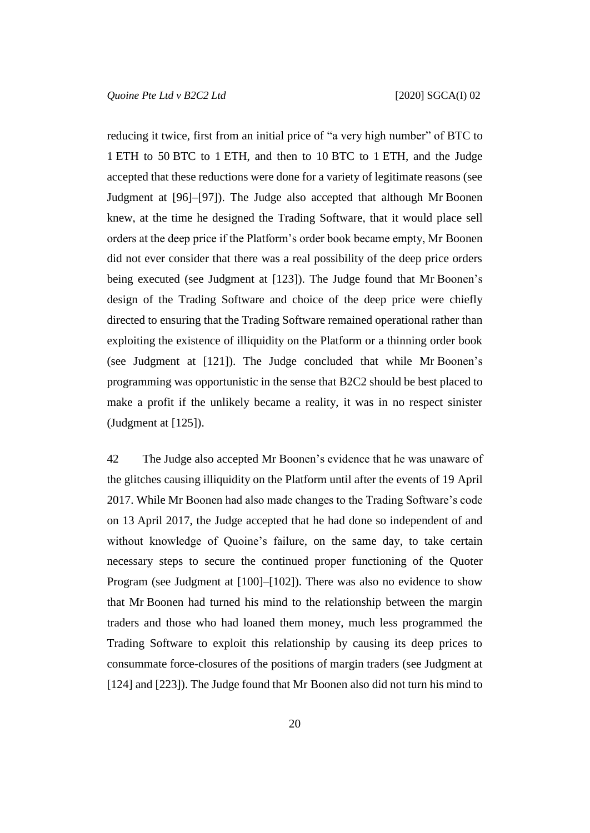reducing it twice, first from an initial price of "a very high number" of BTC to 1 ETH to 50 BTC to 1 ETH, and then to 10 BTC to 1 ETH, and the Judge accepted that these reductions were done for a variety of legitimate reasons (see Judgment at [96]–[97]). The Judge also accepted that although Mr Boonen knew, at the time he designed the Trading Software, that it would place sell orders at the deep price if the Platform's order book became empty, Mr Boonen did not ever consider that there was a real possibility of the deep price orders being executed (see Judgment at [123]). The Judge found that Mr Boonen's design of the Trading Software and choice of the deep price were chiefly directed to ensuring that the Trading Software remained operational rather than exploiting the existence of illiquidity on the Platform or a thinning order book (see Judgment at [121]). The Judge concluded that while Mr Boonen's programming was opportunistic in the sense that B2C2 should be best placed to make a profit if the unlikely became a reality, it was in no respect sinister (Judgment at [125]).

42 The Judge also accepted Mr Boonen's evidence that he was unaware of the glitches causing illiquidity on the Platform until after the events of 19 April 2017. While Mr Boonen had also made changes to the Trading Software's code on 13 April 2017, the Judge accepted that he had done so independent of and without knowledge of Quoine's failure, on the same day, to take certain necessary steps to secure the continued proper functioning of the Quoter Program (see Judgment at [100]–[102]). There was also no evidence to show that Mr Boonen had turned his mind to the relationship between the margin traders and those who had loaned them money, much less programmed the Trading Software to exploit this relationship by causing its deep prices to consummate force-closures of the positions of margin traders (see Judgment at [124] and [223]). The Judge found that Mr Boonen also did not turn his mind to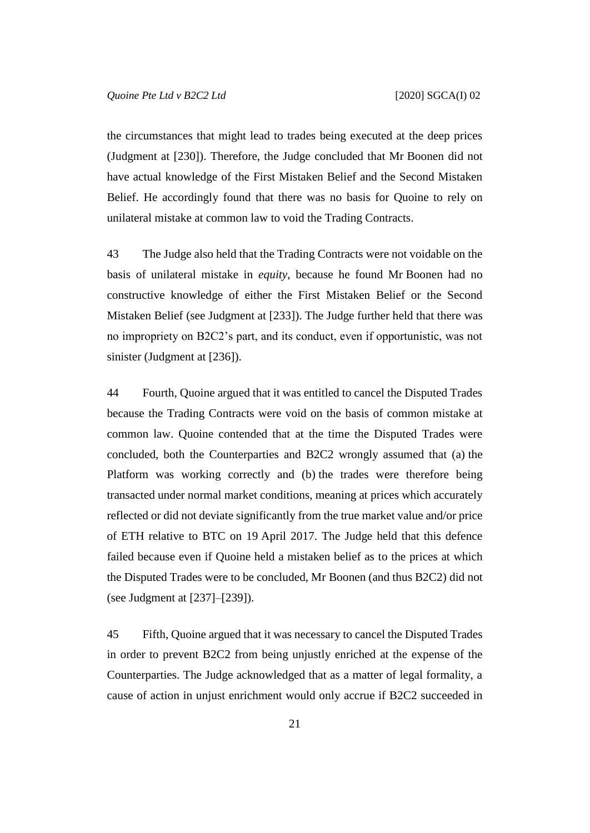the circumstances that might lead to trades being executed at the deep prices (Judgment at [230]). Therefore, the Judge concluded that Mr Boonen did not have actual knowledge of the First Mistaken Belief and the Second Mistaken Belief. He accordingly found that there was no basis for Quoine to rely on unilateral mistake at common law to void the Trading Contracts.

43 The Judge also held that the Trading Contracts were not voidable on the basis of unilateral mistake in *equity*, because he found Mr Boonen had no constructive knowledge of either the First Mistaken Belief or the Second Mistaken Belief (see Judgment at [233]). The Judge further held that there was no impropriety on B2C2's part, and its conduct, even if opportunistic, was not sinister (Judgment at [236]).

44 Fourth, Quoine argued that it was entitled to cancel the Disputed Trades because the Trading Contracts were void on the basis of common mistake at common law. Quoine contended that at the time the Disputed Trades were concluded, both the Counterparties and B2C2 wrongly assumed that (a) the Platform was working correctly and (b) the trades were therefore being transacted under normal market conditions, meaning at prices which accurately reflected or did not deviate significantly from the true market value and/or price of ETH relative to BTC on 19 April 2017. The Judge held that this defence failed because even if Quoine held a mistaken belief as to the prices at which the Disputed Trades were to be concluded, Mr Boonen (and thus B2C2) did not (see Judgment at [237]–[239]).

45 Fifth, Quoine argued that it was necessary to cancel the Disputed Trades in order to prevent B2C2 from being unjustly enriched at the expense of the Counterparties. The Judge acknowledged that as a matter of legal formality, a cause of action in unjust enrichment would only accrue if B2C2 succeeded in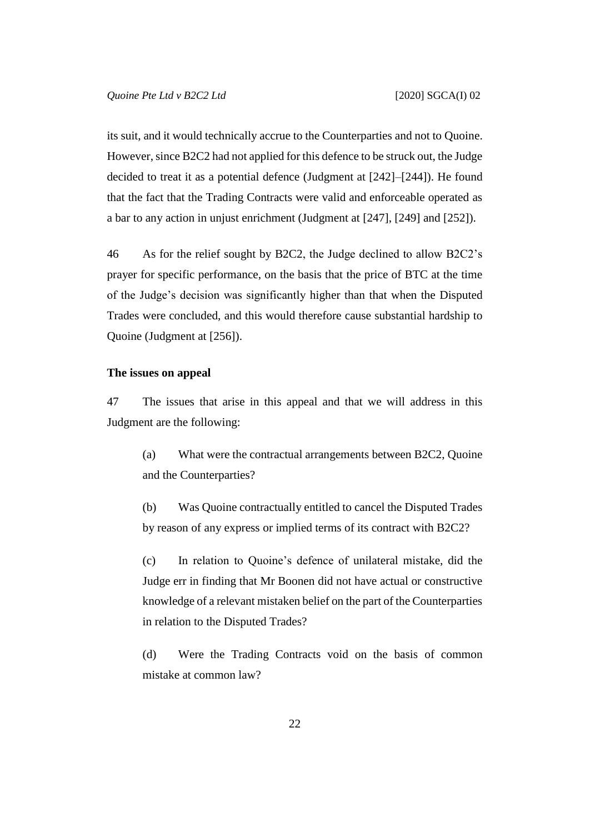its suit, and it would technically accrue to the Counterparties and not to Quoine. However, since B2C2 had not applied for this defence to be struck out, the Judge decided to treat it as a potential defence (Judgment at [242]–[244]). He found that the fact that the Trading Contracts were valid and enforceable operated as a bar to any action in unjust enrichment (Judgment at [247], [249] and [252]).

46 As for the relief sought by B2C2, the Judge declined to allow B2C2's prayer for specific performance, on the basis that the price of BTC at the time of the Judge's decision was significantly higher than that when the Disputed Trades were concluded, and this would therefore cause substantial hardship to Quoine (Judgment at [256]).

#### **The issues on appeal**

47 The issues that arise in this appeal and that we will address in this Judgment are the following:

(a) What were the contractual arrangements between B2C2, Quoine and the Counterparties?

(b) Was Quoine contractually entitled to cancel the Disputed Trades by reason of any express or implied terms of its contract with B2C2?

(c) In relation to Quoine's defence of unilateral mistake, did the Judge err in finding that Mr Boonen did not have actual or constructive knowledge of a relevant mistaken belief on the part of the Counterparties in relation to the Disputed Trades?

(d) Were the Trading Contracts void on the basis of common mistake at common law?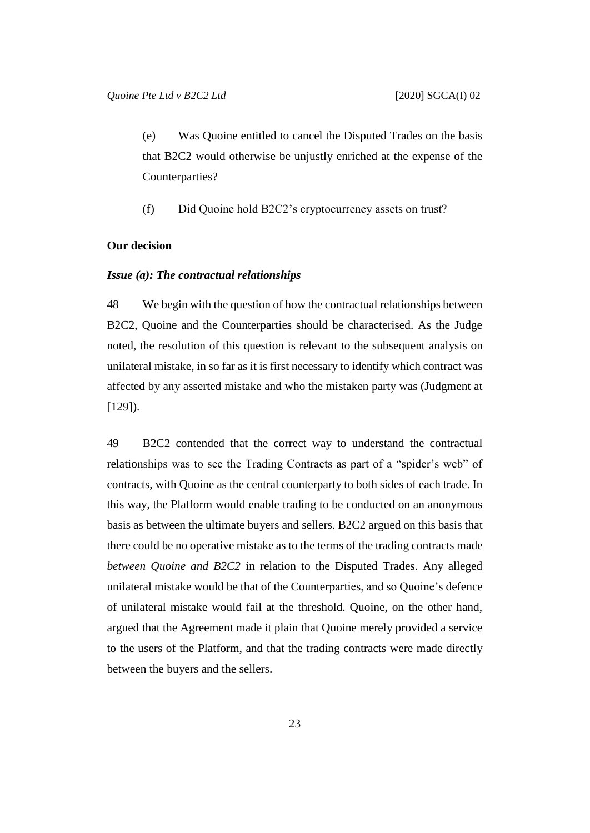(e) Was Quoine entitled to cancel the Disputed Trades on the basis that B2C2 would otherwise be unjustly enriched at the expense of the Counterparties?

(f) Did Quoine hold B2C2's cryptocurrency assets on trust?

## **Our decision**

#### *Issue (a): The contractual relationships*

48 We begin with the question of how the contractual relationships between B2C2, Quoine and the Counterparties should be characterised. As the Judge noted, the resolution of this question is relevant to the subsequent analysis on unilateral mistake, in so far as it is first necessary to identify which contract was affected by any asserted mistake and who the mistaken party was (Judgment at [129]).

49 B2C2 contended that the correct way to understand the contractual relationships was to see the Trading Contracts as part of a "spider's web" of contracts, with Quoine as the central counterparty to both sides of each trade. In this way, the Platform would enable trading to be conducted on an anonymous basis as between the ultimate buyers and sellers. B2C2 argued on this basis that there could be no operative mistake as to the terms of the trading contracts made *between Quoine and B2C2* in relation to the Disputed Trades. Any alleged unilateral mistake would be that of the Counterparties, and so Quoine's defence of unilateral mistake would fail at the threshold. Quoine, on the other hand, argued that the Agreement made it plain that Quoine merely provided a service to the users of the Platform, and that the trading contracts were made directly between the buyers and the sellers.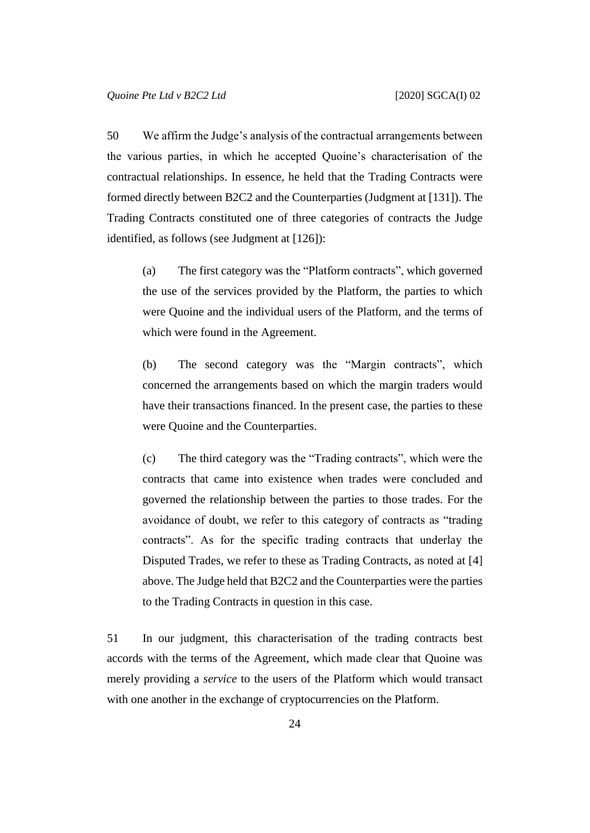50 We affirm the Judge's analysis of the contractual arrangements between the various parties, in which he accepted Quoine's characterisation of the contractual relationships. In essence, he held that the Trading Contracts were formed directly between B2C2 and the Counterparties (Judgment at [131]). The Trading Contracts constituted one of three categories of contracts the Judge identified, as follows (see Judgment at [126]):

<span id="page-24-0"></span>(a) The first category was the "Platform contracts", which governed the use of the services provided by the Platform, the parties to which were Quoine and the individual users of the Platform, and the terms of which were found in the Agreement.

<span id="page-24-1"></span>(b) The second category was the "Margin contracts", which concerned the arrangements based on which the margin traders would have their transactions financed. In the present case, the parties to these were Quoine and the Counterparties.

(c) The third category was the "Trading contracts", which were the contracts that came into existence when trades were concluded and governed the relationship between the parties to those trades. For the avoidance of doubt, we refer to this category of contracts as "trading contracts". As for the specific trading contracts that underlay the Disputed Trades, we refer to these as Trading Contracts, as noted at [\[4\]](#page-3-0) above. The Judge held that B2C2 and the Counterparties were the parties to the Trading Contracts in question in this case.

51 In our judgment, this characterisation of the trading contracts best accords with the terms of the Agreement, which made clear that Quoine was merely providing a *service* to the users of the Platform which would transact with one another in the exchange of cryptocurrencies on the Platform.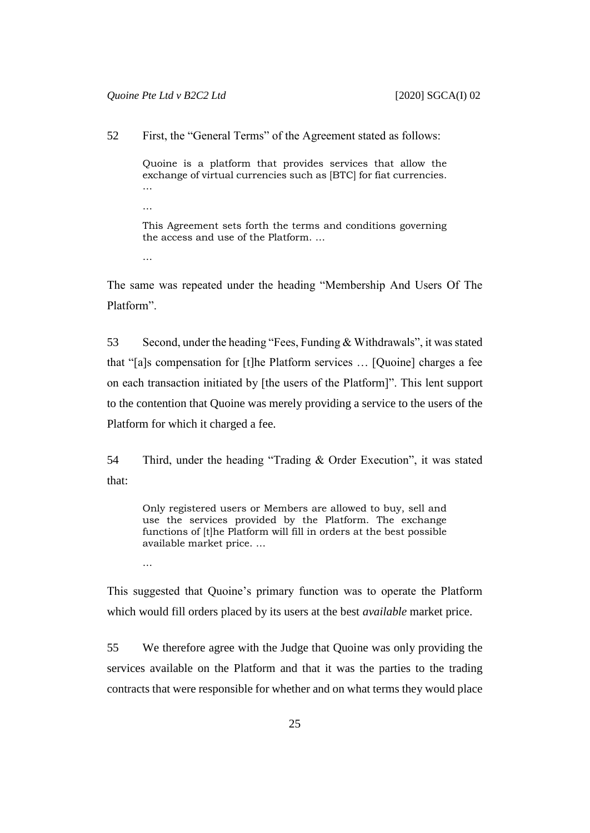52 First, the "General Terms" of the Agreement stated as follows:

Quoine is a platform that provides services that allow the exchange of virtual currencies such as [BTC] for fiat currencies. …

- This Agreement sets forth the terms and conditions governing the access and use of the Platform. …
- …

…

The same was repeated under the heading "Membership And Users Of The Platform".

53 Second, under the heading "Fees, Funding & Withdrawals", it was stated that "[a]s compensation for [t]he Platform services … [Quoine] charges a fee on each transaction initiated by [the users of the Platform]". This lent support to the contention that Quoine was merely providing a service to the users of the Platform for which it charged a fee.

54 Third, under the heading "Trading & Order Execution", it was stated that:

Only registered users or Members are allowed to buy, sell and use the services provided by the Platform. The exchange functions of [t]he Platform will fill in orders at the best possible available market price. …

…

This suggested that Quoine's primary function was to operate the Platform which would fill orders placed by its users at the best *available* market price.

55 We therefore agree with the Judge that Quoine was only providing the services available on the Platform and that it was the parties to the trading contracts that were responsible for whether and on what terms they would place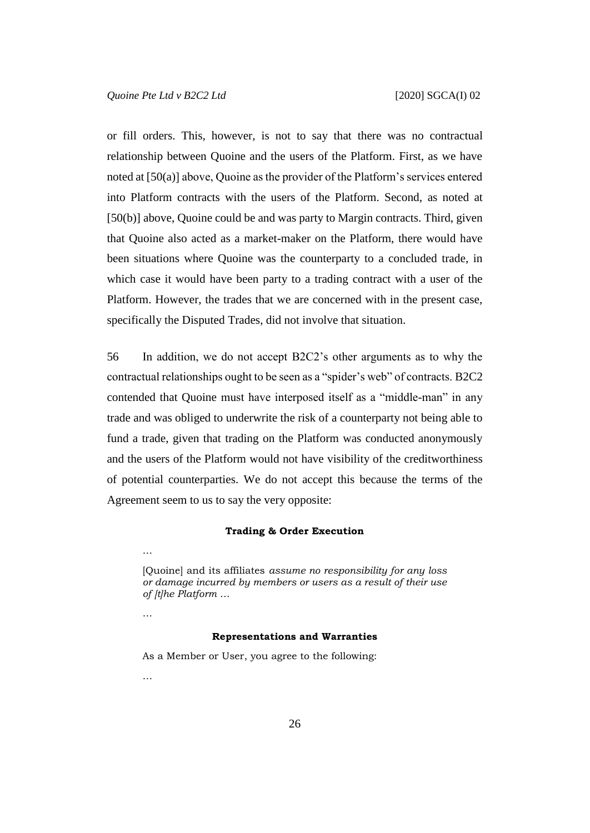or fill orders. This, however, is not to say that there was no contractual relationship between Quoine and the users of the Platform. First, as we have noted at [\[50\(a\)\]](#page-24-0) above, Quoine as the provider of the Platform's services entered into Platform contracts with the users of the Platform. Second, as noted at [\[50\(b\)\]](#page-24-1) above, Quoine could be and was party to Margin contracts. Third, given that Quoine also acted as a market-maker on the Platform, there would have been situations where Quoine was the counterparty to a concluded trade, in which case it would have been party to a trading contract with a user of the Platform. However, the trades that we are concerned with in the present case, specifically the Disputed Trades, did not involve that situation.

56 In addition, we do not accept B2C2's other arguments as to why the contractual relationships ought to be seen as a "spider's web" of contracts. B2C2 contended that Quoine must have interposed itself as a "middle-man" in any trade and was obliged to underwrite the risk of a counterparty not being able to fund a trade, given that trading on the Platform was conducted anonymously and the users of the Platform would not have visibility of the creditworthiness of potential counterparties. We do not accept this because the terms of the Agreement seem to us to say the very opposite:

#### **Trading & Order Execution**

[Quoine] and its affiliates *assume no responsibility for any loss or damage incurred by members or users as a result of their use of [t]he Platform* …

…

…

#### **Representations and Warranties**

As a Member or User, you agree to the following:

…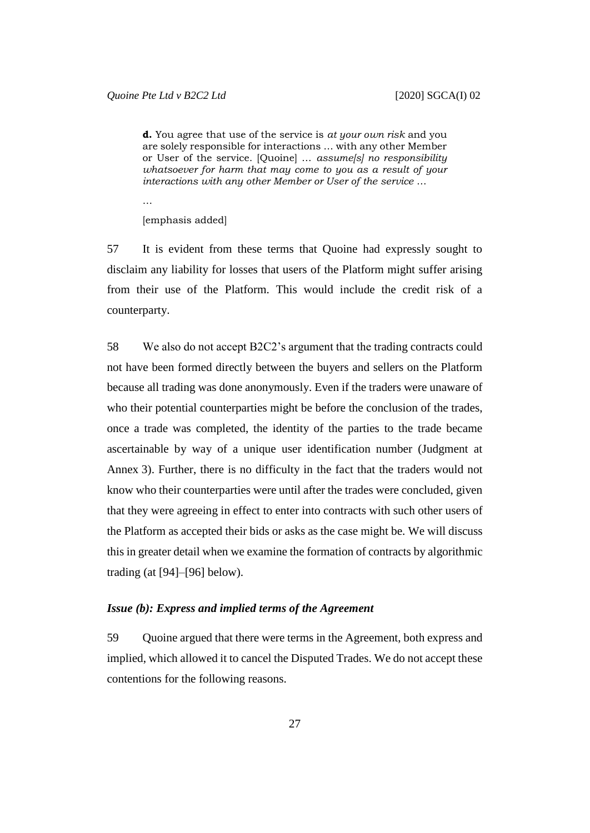**d.** You agree that use of the service is *at your own risk* and you are solely responsible for interactions … with any other Member or User of the service. [Quoine] … *assume[s] no responsibility whatsoever for harm that may come to you as a result of your interactions with any other Member or User of the service* …

…

[emphasis added]

57 It is evident from these terms that Quoine had expressly sought to disclaim any liability for losses that users of the Platform might suffer arising from their use of the Platform. This would include the credit risk of a counterparty.

58 We also do not accept B2C2's argument that the trading contracts could not have been formed directly between the buyers and sellers on the Platform because all trading was done anonymously. Even if the traders were unaware of who their potential counterparties might be before the conclusion of the trades, once a trade was completed, the identity of the parties to the trade became ascertainable by way of a unique user identification number (Judgment at Annex 3). Further, there is no difficulty in the fact that the traders would not know who their counterparties were until after the trades were concluded, given that they were agreeing in effect to enter into contracts with such other users of the Platform as accepted their bids or asks as the case might be. We will discuss this in greater detail when we examine the formation of contracts by algorithmic trading (at [\[94\]](#page-44-0)–[\[96\]](#page-45-0) below).

#### *Issue (b): Express and implied terms of the Agreement*

59 Quoine argued that there were terms in the Agreement, both express and implied, which allowed it to cancel the Disputed Trades. We do not accept these contentions for the following reasons.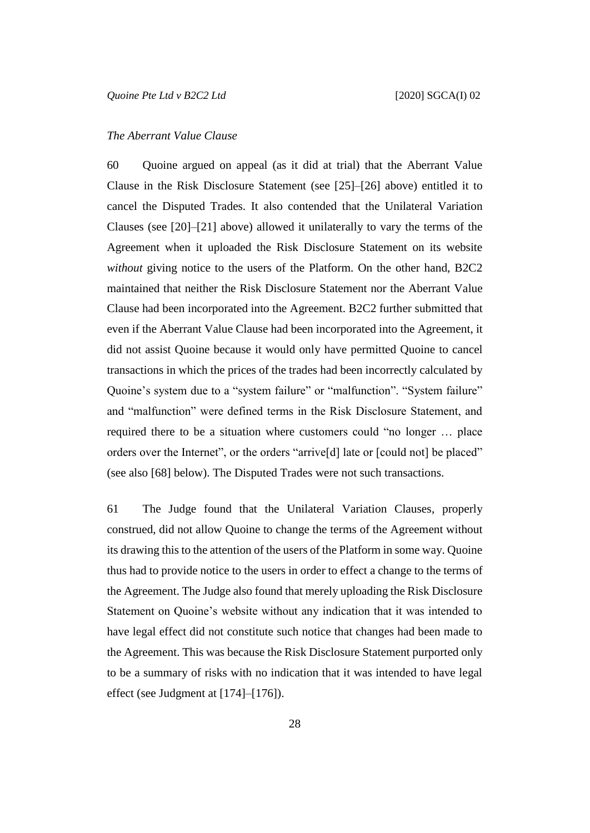### *The Aberrant Value Clause*

60 Quoine argued on appeal (as it did at trial) that the Aberrant Value Clause in the Risk Disclosure Statement (see [\[25\]](#page-12-0)–[\[26\]](#page-13-0) above) entitled it to cancel the Disputed Trades. It also contended that the Unilateral Variation Clauses (see  $[20]$ – $[21]$  above) allowed it unilaterally to vary the terms of the Agreement when it uploaded the Risk Disclosure Statement on its website *without* giving notice to the users of the Platform. On the other hand, B2C2 maintained that neither the Risk Disclosure Statement nor the Aberrant Value Clause had been incorporated into the Agreement. B2C2 further submitted that even if the Aberrant Value Clause had been incorporated into the Agreement, it did not assist Quoine because it would only have permitted Quoine to cancel transactions in which the prices of the trades had been incorrectly calculated by Quoine's system due to a "system failure" or "malfunction". "System failure" and "malfunction" were defined terms in the Risk Disclosure Statement, and required there to be a situation where customers could "no longer … place orders over the Internet", or the orders "arrive[d] late or [could not] be placed" (see also [\[68\]](#page-31-0) below). The Disputed Trades were not such transactions.

61 The Judge found that the Unilateral Variation Clauses, properly construed, did not allow Quoine to change the terms of the Agreement without its drawing this to the attention of the users of the Platform in some way. Quoine thus had to provide notice to the users in order to effect a change to the terms of the Agreement. The Judge also found that merely uploading the Risk Disclosure Statement on Quoine's website without any indication that it was intended to have legal effect did not constitute such notice that changes had been made to the Agreement. This was because the Risk Disclosure Statement purported only to be a summary of risks with no indication that it was intended to have legal effect (see Judgment at [174]–[176]).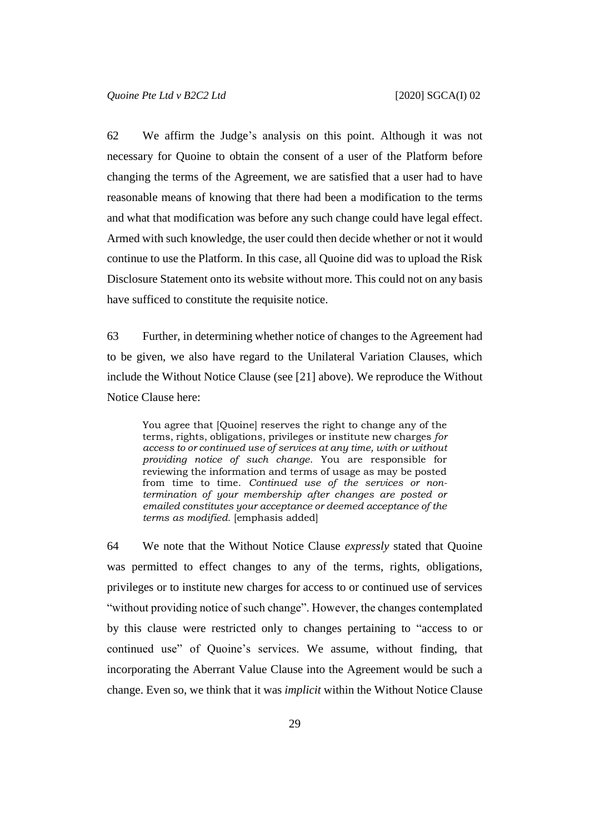62 We affirm the Judge's analysis on this point. Although it was not necessary for Quoine to obtain the consent of a user of the Platform before changing the terms of the Agreement, we are satisfied that a user had to have reasonable means of knowing that there had been a modification to the terms and what that modification was before any such change could have legal effect. Armed with such knowledge, the user could then decide whether or not it would continue to use the Platform. In this case, all Quoine did was to upload the Risk Disclosure Statement onto its website without more. This could not on any basis have sufficed to constitute the requisite notice.

63 Further, in determining whether notice of changes to the Agreement had to be given, we also have regard to the Unilateral Variation Clauses, which include the Without Notice Clause (see [\[21\]](#page-11-0) above). We reproduce the Without Notice Clause here:

You agree that [Quoine] reserves the right to change any of the terms, rights, obligations, privileges or institute new charges *for access to or continued use of services at any time, with or without providing notice of such change*. You are responsible for reviewing the information and terms of usage as may be posted from time to time. *Continued use of the services or nontermination of your membership after changes are posted or emailed constitutes your acceptance or deemed acceptance of the terms as modified.* [emphasis added]

64 We note that the Without Notice Clause *expressly* stated that Quoine was permitted to effect changes to any of the terms, rights, obligations, privileges or to institute new charges for access to or continued use of services "without providing notice of such change". However, the changes contemplated by this clause were restricted only to changes pertaining to "access to or continued use" of Quoine's services. We assume, without finding, that incorporating the Aberrant Value Clause into the Agreement would be such a change. Even so, we think that it was *implicit* within the Without Notice Clause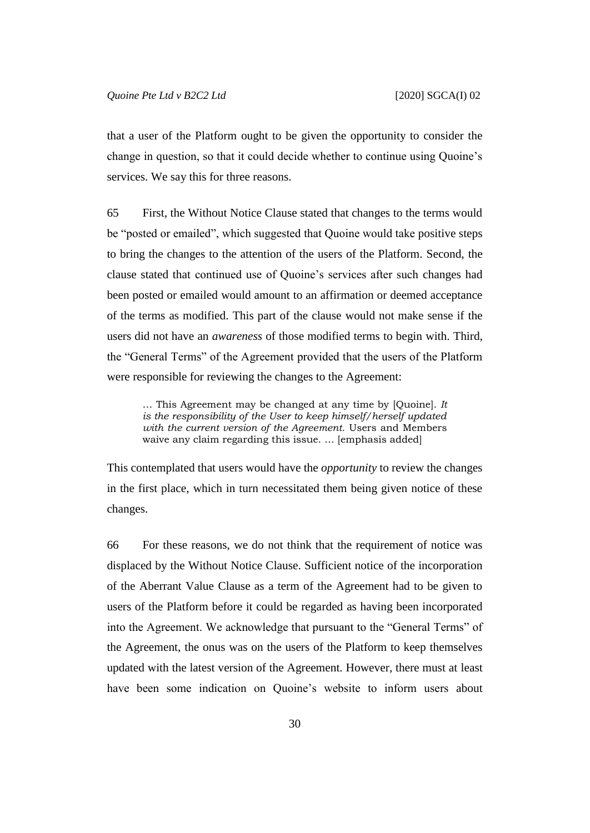that a user of the Platform ought to be given the opportunity to consider the change in question, so that it could decide whether to continue using Quoine's services. We say this for three reasons.

65 First, the Without Notice Clause stated that changes to the terms would be "posted or emailed", which suggested that Quoine would take positive steps to bring the changes to the attention of the users of the Platform. Second, the clause stated that continued use of Quoine's services after such changes had been posted or emailed would amount to an affirmation or deemed acceptance of the terms as modified. This part of the clause would not make sense if the users did not have an *awareness* of those modified terms to begin with. Third, the "General Terms" of the Agreement provided that the users of the Platform were responsible for reviewing the changes to the Agreement:

… This Agreement may be changed at any time by [Quoine]. *It is the responsibility of the User to keep himself/herself updated with the current version of the Agreement.* Users and Members waive any claim regarding this issue. … [emphasis added]

This contemplated that users would have the *opportunity* to review the changes in the first place, which in turn necessitated them being given notice of these changes.

66 For these reasons, we do not think that the requirement of notice was displaced by the Without Notice Clause. Sufficient notice of the incorporation of the Aberrant Value Clause as a term of the Agreement had to be given to users of the Platform before it could be regarded as having been incorporated into the Agreement. We acknowledge that pursuant to the "General Terms" of the Agreement, the onus was on the users of the Platform to keep themselves updated with the latest version of the Agreement. However, there must at least have been some indication on Quoine's website to inform users about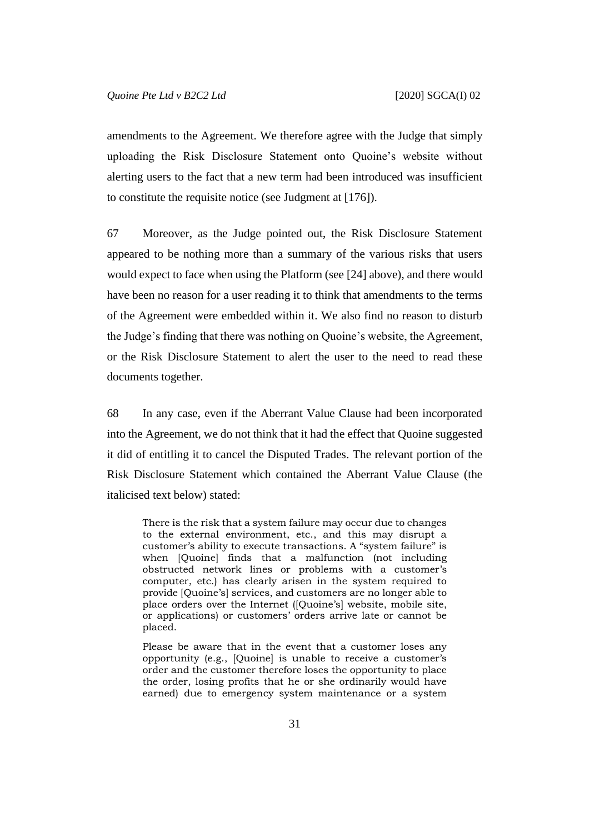amendments to the Agreement. We therefore agree with the Judge that simply uploading the Risk Disclosure Statement onto Quoine's website without alerting users to the fact that a new term had been introduced was insufficient to constitute the requisite notice (see Judgment at [176]).

67 Moreover, as the Judge pointed out, the Risk Disclosure Statement appeared to be nothing more than a summary of the various risks that users would expect to face when using the Platform (see [\[24\]](#page-12-1) above), and there would have been no reason for a user reading it to think that amendments to the terms of the Agreement were embedded within it. We also find no reason to disturb the Judge's finding that there was nothing on Quoine's website, the Agreement, or the Risk Disclosure Statement to alert the user to the need to read these documents together.

<span id="page-31-0"></span>68 In any case, even if the Aberrant Value Clause had been incorporated into the Agreement, we do not think that it had the effect that Quoine suggested it did of entitling it to cancel the Disputed Trades. The relevant portion of the Risk Disclosure Statement which contained the Aberrant Value Clause (the italicised text below) stated:

There is the risk that a system failure may occur due to changes to the external environment, etc., and this may disrupt a customer's ability to execute transactions. A "system failure" is when [Quoine] finds that a malfunction (not including obstructed network lines or problems with a customer's computer, etc.) has clearly arisen in the system required to provide [Quoine's] services, and customers are no longer able to place orders over the Internet ([Quoine's] website, mobile site, or applications) or customers' orders arrive late or cannot be placed.

Please be aware that in the event that a customer loses any opportunity (e.g., [Quoine] is unable to receive a customer's order and the customer therefore loses the opportunity to place the order, losing profits that he or she ordinarily would have earned) due to emergency system maintenance or a system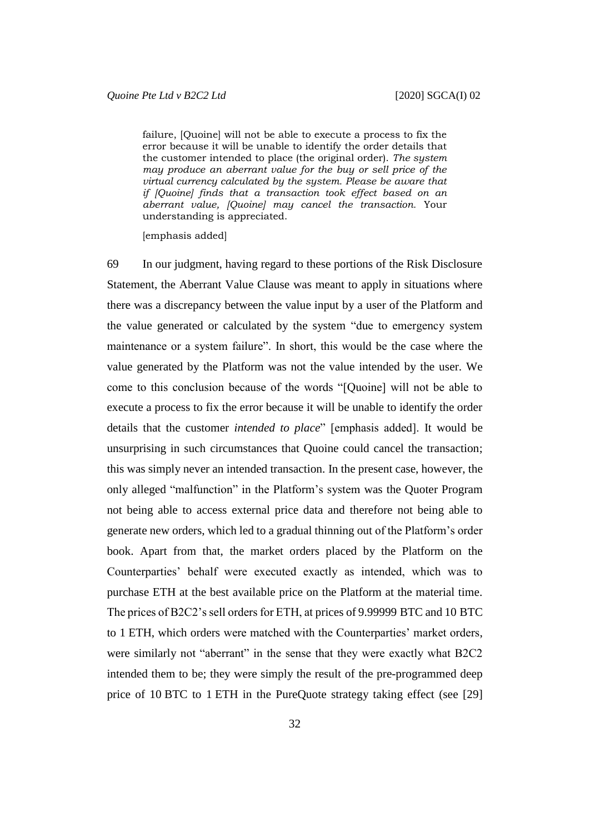failure, [Quoine] will not be able to execute a process to fix the error because it will be unable to identify the order details that the customer intended to place (the original order). *The system may produce an aberrant value for the buy or sell price of the virtual currency calculated by the system. Please be aware that if [Quoine] finds that a transaction took effect based on an aberrant value, [Quoine] may cancel the transaction.* Your understanding is appreciated.

[emphasis added]

69 In our judgment, having regard to these portions of the Risk Disclosure Statement, the Aberrant Value Clause was meant to apply in situations where there was a discrepancy between the value input by a user of the Platform and the value generated or calculated by the system "due to emergency system maintenance or a system failure". In short, this would be the case where the value generated by the Platform was not the value intended by the user. We come to this conclusion because of the words "[Quoine] will not be able to execute a process to fix the error because it will be unable to identify the order details that the customer *intended to place*" [emphasis added]. It would be unsurprising in such circumstances that Quoine could cancel the transaction; this was simply never an intended transaction. In the present case, however, the only alleged "malfunction" in the Platform's system was the Quoter Program not being able to access external price data and therefore not being able to generate new orders, which led to a gradual thinning out of the Platform's order book. Apart from that, the market orders placed by the Platform on the Counterparties' behalf were executed exactly as intended, which was to purchase ETH at the best available price on the Platform at the material time. The prices of B2C2's sell orders for ETH, at prices of 9.99999 BTC and 10 BTC to 1 ETH, which orders were matched with the Counterparties' market orders, were similarly not "aberrant" in the sense that they were exactly what B2C2 intended them to be; they were simply the result of the pre-programmed deep price of 10 BTC to 1 ETH in the PureQuote strategy taking effect (see [\[29\]](#page-14-0)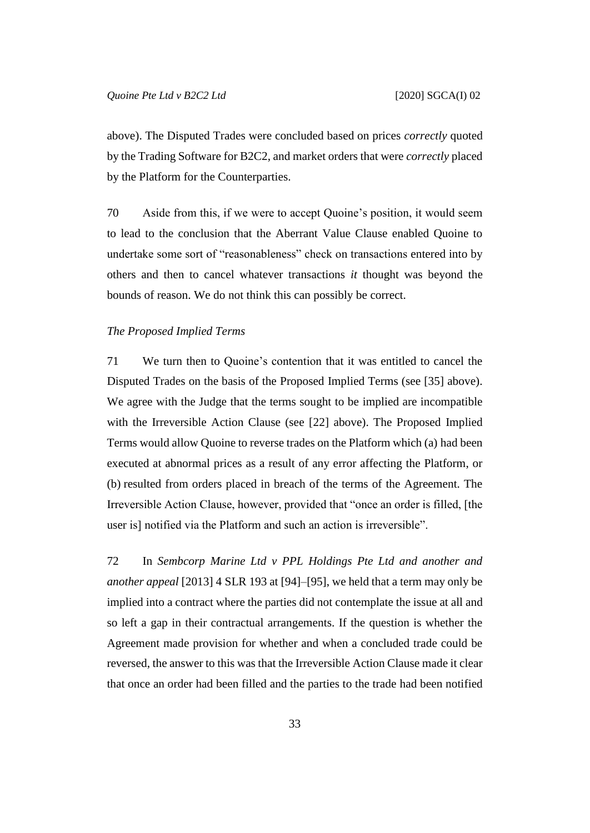above). The Disputed Trades were concluded based on prices *correctly* quoted by the Trading Software for B2C2, and market orders that were *correctly* placed by the Platform for the Counterparties.

70 Aside from this, if we were to accept Quoine's position, it would seem to lead to the conclusion that the Aberrant Value Clause enabled Quoine to undertake some sort of "reasonableness" check on transactions entered into by others and then to cancel whatever transactions *it* thought was beyond the bounds of reason. We do not think this can possibly be correct.

#### *The Proposed Implied Terms*

71 We turn then to Quoine's contention that it was entitled to cancel the Disputed Trades on the basis of the Proposed Implied Terms (see [\[35\]](#page-17-0) above). We agree with the Judge that the terms sought to be implied are incompatible with the Irreversible Action Clause (see [\[22\]](#page-11-1) above). The Proposed Implied Terms would allow Quoine to reverse trades on the Platform which (a) had been executed at abnormal prices as a result of any error affecting the Platform, or (b) resulted from orders placed in breach of the terms of the Agreement. The Irreversible Action Clause, however, provided that "once an order is filled, [the user is] notified via the Platform and such an action is irreversible".

72 In *Sembcorp Marine Ltd v PPL Holdings Pte Ltd and another and another appeal* [2013] 4 SLR 193 at [94]–[95], we held that a term may only be implied into a contract where the parties did not contemplate the issue at all and so left a gap in their contractual arrangements. If the question is whether the Agreement made provision for whether and when a concluded trade could be reversed, the answer to this was that the Irreversible Action Clause made it clear that once an order had been filled and the parties to the trade had been notified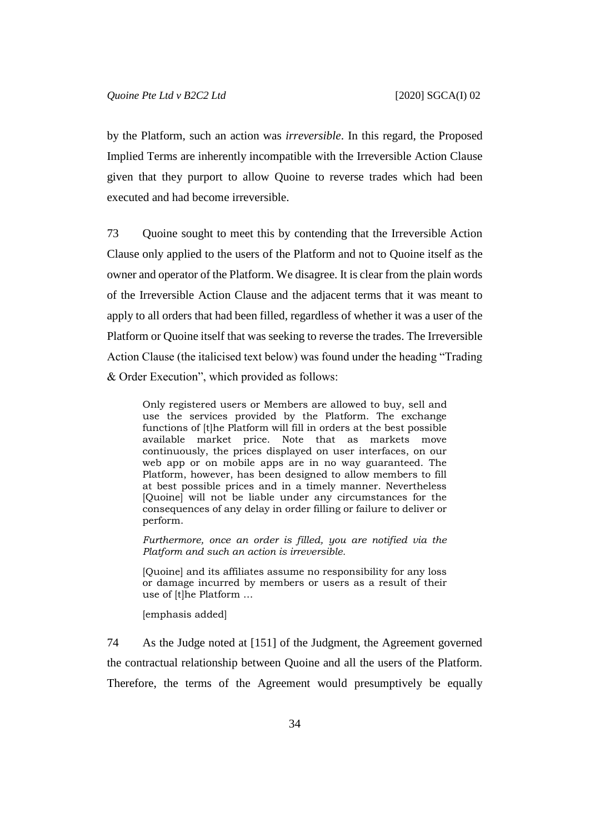by the Platform, such an action was *irreversible*. In this regard, the Proposed Implied Terms are inherently incompatible with the Irreversible Action Clause given that they purport to allow Quoine to reverse trades which had been executed and had become irreversible.

73 Quoine sought to meet this by contending that the Irreversible Action Clause only applied to the users of the Platform and not to Quoine itself as the owner and operator of the Platform. We disagree. It is clear from the plain words of the Irreversible Action Clause and the adjacent terms that it was meant to apply to all orders that had been filled, regardless of whether it was a user of the Platform or Quoine itself that was seeking to reverse the trades. The Irreversible Action Clause (the italicised text below) was found under the heading "Trading & Order Execution", which provided as follows:

Only registered users or Members are allowed to buy, sell and use the services provided by the Platform. The exchange functions of [t]he Platform will fill in orders at the best possible available market price. Note that as markets move continuously, the prices displayed on user interfaces, on our web app or on mobile apps are in no way guaranteed. The Platform, however, has been designed to allow members to fill at best possible prices and in a timely manner. Nevertheless [Quoine] will not be liable under any circumstances for the consequences of any delay in order filling or failure to deliver or perform.

*Furthermore, once an order is filled, you are notified via the Platform and such an action is irreversible.*

[Quoine] and its affiliates assume no responsibility for any loss or damage incurred by members or users as a result of their use of [t]he Platform …

[emphasis added]

74 As the Judge noted at [151] of the Judgment, the Agreement governed the contractual relationship between Quoine and all the users of the Platform. Therefore, the terms of the Agreement would presumptively be equally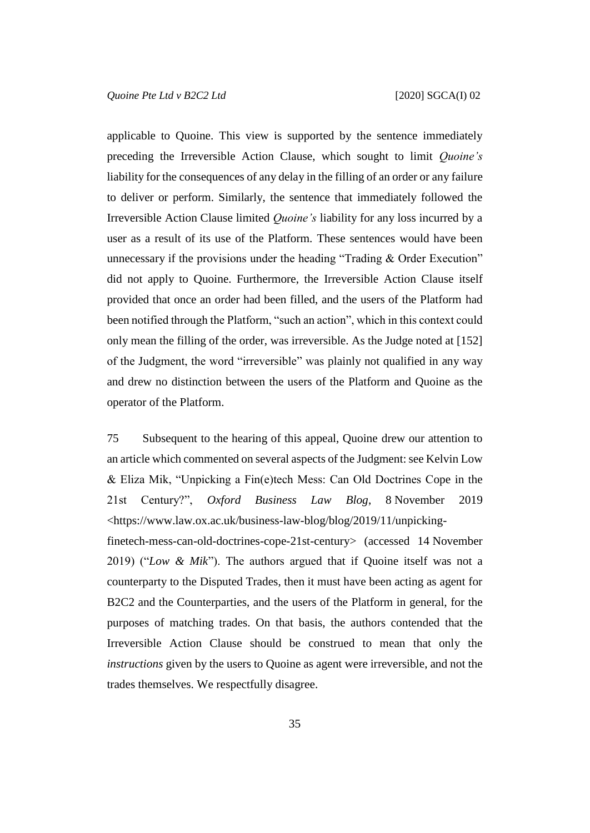applicable to Quoine. This view is supported by the sentence immediately preceding the Irreversible Action Clause, which sought to limit *Quoine's* liability for the consequences of any delay in the filling of an order or any failure to deliver or perform. Similarly, the sentence that immediately followed the Irreversible Action Clause limited *Quoine's* liability for any loss incurred by a user as a result of its use of the Platform. These sentences would have been unnecessary if the provisions under the heading "Trading & Order Execution" did not apply to Quoine. Furthermore, the Irreversible Action Clause itself provided that once an order had been filled, and the users of the Platform had been notified through the Platform, "such an action", which in this context could only mean the filling of the order, was irreversible. As the Judge noted at [152] of the Judgment, the word "irreversible" was plainly not qualified in any way and drew no distinction between the users of the Platform and Quoine as the operator of the Platform.

75 Subsequent to the hearing of this appeal, Quoine drew our attention to an article which commented on several aspects of the Judgment: see Kelvin Low & Eliza Mik, "Unpicking a Fin(e)tech Mess: Can Old Doctrines Cope in the 21st Century?", *Oxford Business Law Blog*, 8 November 2019 <https://www.law.ox.ac.uk/business-law-blog/blog/2019/11/unpickingfinetech-mess-can-old-doctrines-cope-21st-century> (accessed 14 November 2019) ("*Low & Mik*"). The authors argued that if Quoine itself was not a counterparty to the Disputed Trades, then it must have been acting as agent for B2C2 and the Counterparties, and the users of the Platform in general, for the purposes of matching trades. On that basis, the authors contended that the Irreversible Action Clause should be construed to mean that only the *instructions* given by the users to Quoine as agent were irreversible, and not the trades themselves. We respectfully disagree.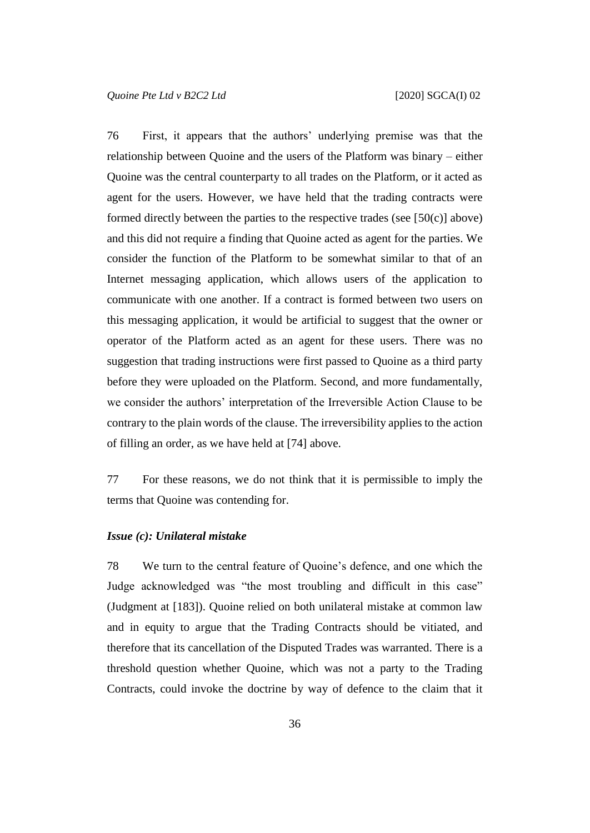76 First, it appears that the authors' underlying premise was that the relationship between Quoine and the users of the Platform was binary – either Quoine was the central counterparty to all trades on the Platform, or it acted as agent for the users. However, we have held that the trading contracts were formed directly between the parties to the respective trades (see  $[50(c)]$  above) and this did not require a finding that Quoine acted as agent for the parties. We consider the function of the Platform to be somewhat similar to that of an Internet messaging application, which allows users of the application to communicate with one another. If a contract is formed between two users on this messaging application, it would be artificial to suggest that the owner or operator of the Platform acted as an agent for these users. There was no suggestion that trading instructions were first passed to Quoine as a third party before they were uploaded on the Platform. Second, and more fundamentally, we consider the authors' interpretation of the Irreversible Action Clause to be contrary to the plain words of the clause. The irreversibility applies to the action of filling an order, as we have held at [\[74\]](#page-34-0) above.

77 For these reasons, we do not think that it is permissible to imply the terms that Quoine was contending for.

# *Issue (c): Unilateral mistake*

78 We turn to the central feature of Quoine's defence, and one which the Judge acknowledged was "the most troubling and difficult in this case" (Judgment at [183]). Quoine relied on both unilateral mistake at common law and in equity to argue that the Trading Contracts should be vitiated, and therefore that its cancellation of the Disputed Trades was warranted. There is a threshold question whether Quoine, which was not a party to the Trading Contracts, could invoke the doctrine by way of defence to the claim that it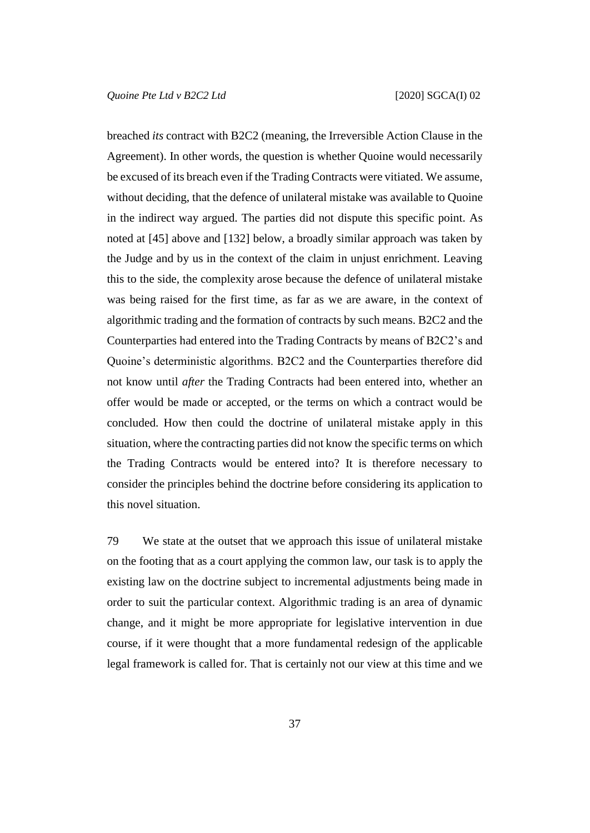breached *its* contract with B2C2 (meaning, the Irreversible Action Clause in the Agreement). In other words, the question is whether Quoine would necessarily be excused of its breach even if the Trading Contracts were vitiated. We assume, without deciding, that the defence of unilateral mistake was available to Quoine in the indirect way argued. The parties did not dispute this specific point. As noted at [\[45\]](#page-21-0) above and [\[132\]](#page-63-0) below, a broadly similar approach was taken by the Judge and by us in the context of the claim in unjust enrichment. Leaving this to the side, the complexity arose because the defence of unilateral mistake was being raised for the first time, as far as we are aware, in the context of algorithmic trading and the formation of contracts by such means. B2C2 and the Counterparties had entered into the Trading Contracts by means of B2C2's and Quoine's deterministic algorithms. B2C2 and the Counterparties therefore did not know until *after* the Trading Contracts had been entered into, whether an offer would be made or accepted, or the terms on which a contract would be concluded. How then could the doctrine of unilateral mistake apply in this situation, where the contracting parties did not know the specific terms on which the Trading Contracts would be entered into? It is therefore necessary to consider the principles behind the doctrine before considering its application to this novel situation.

79 We state at the outset that we approach this issue of unilateral mistake on the footing that as a court applying the common law, our task is to apply the existing law on the doctrine subject to incremental adjustments being made in order to suit the particular context. Algorithmic trading is an area of dynamic change, and it might be more appropriate for legislative intervention in due course, if it were thought that a more fundamental redesign of the applicable legal framework is called for. That is certainly not our view at this time and we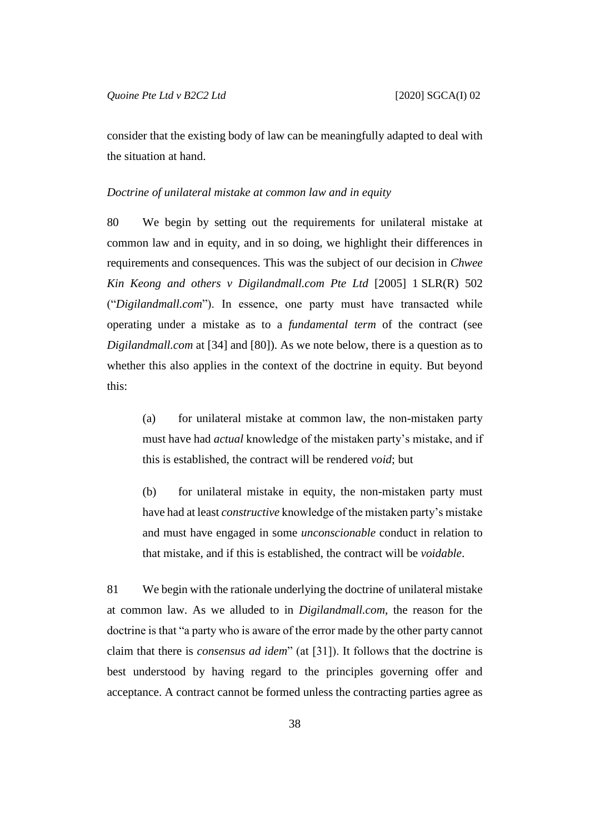consider that the existing body of law can be meaningfully adapted to deal with the situation at hand.

### <span id="page-38-0"></span>*Doctrine of unilateral mistake at common law and in equity*

80 We begin by setting out the requirements for unilateral mistake at common law and in equity, and in so doing, we highlight their differences in requirements and consequences. This was the subject of our decision in *Chwee Kin Keong and others v Digilandmall.com Pte Ltd* [2005] 1 SLR(R) 502 ("*Digilandmall.com*"). In essence, one party must have transacted while operating under a mistake as to a *fundamental term* of the contract (see *Digilandmall.com* at [34] and [80]). As we note below, there is a question as to whether this also applies in the context of the doctrine in equity. But beyond this:

(a) for unilateral mistake at common law, the non-mistaken party must have had *actual* knowledge of the mistaken party's mistake, and if this is established, the contract will be rendered *void*; but

(b) for unilateral mistake in equity, the non-mistaken party must have had at least *constructive* knowledge of the mistaken party's mistake and must have engaged in some *unconscionable* conduct in relation to that mistake, and if this is established, the contract will be *voidable*.

81 We begin with the rationale underlying the doctrine of unilateral mistake at common law. As we alluded to in *Digilandmall.com*, the reason for the doctrine is that "a party who is aware of the error made by the other party cannot claim that there is *consensus ad idem*" (at [31]). It follows that the doctrine is best understood by having regard to the principles governing offer and acceptance. A contract cannot be formed unless the contracting parties agree as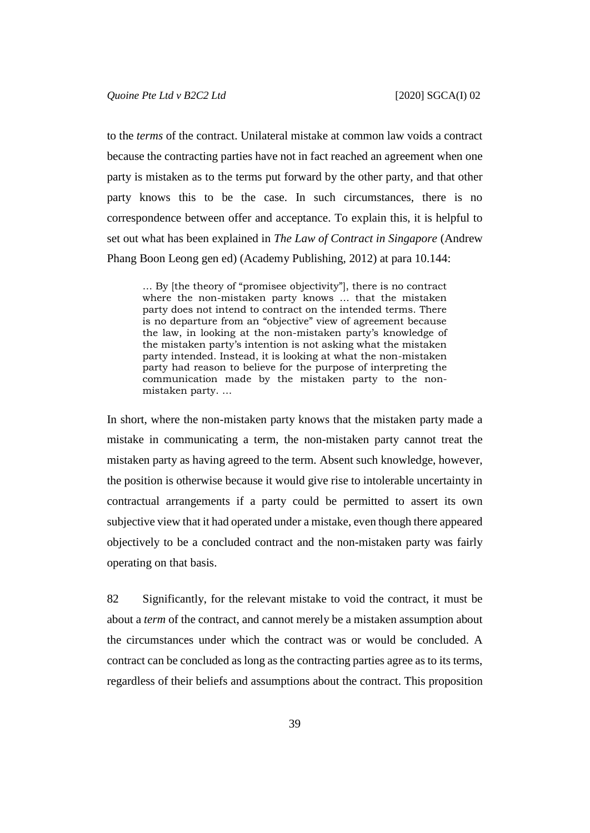to the *terms* of the contract. Unilateral mistake at common law voids a contract because the contracting parties have not in fact reached an agreement when one party is mistaken as to the terms put forward by the other party, and that other party knows this to be the case. In such circumstances, there is no correspondence between offer and acceptance. To explain this, it is helpful to set out what has been explained in *The Law of Contract in Singapore* (Andrew Phang Boon Leong gen ed) (Academy Publishing, 2012) at para 10.144:

… By [the theory of "promisee objectivity"], there is no contract where the non-mistaken party knows … that the mistaken party does not intend to contract on the intended terms. There is no departure from an "objective" view of agreement because the law, in looking at the non-mistaken party's knowledge of the mistaken party's intention is not asking what the mistaken party intended. Instead, it is looking at what the non-mistaken party had reason to believe for the purpose of interpreting the communication made by the mistaken party to the nonmistaken party. …

In short, where the non-mistaken party knows that the mistaken party made a mistake in communicating a term, the non-mistaken party cannot treat the mistaken party as having agreed to the term. Absent such knowledge, however, the position is otherwise because it would give rise to intolerable uncertainty in contractual arrangements if a party could be permitted to assert its own subjective view that it had operated under a mistake, even though there appeared objectively to be a concluded contract and the non-mistaken party was fairly operating on that basis.

82 Significantly, for the relevant mistake to void the contract, it must be about a *term* of the contract, and cannot merely be a mistaken assumption about the circumstances under which the contract was or would be concluded. A contract can be concluded as long as the contracting parties agree as to its terms, regardless of their beliefs and assumptions about the contract. This proposition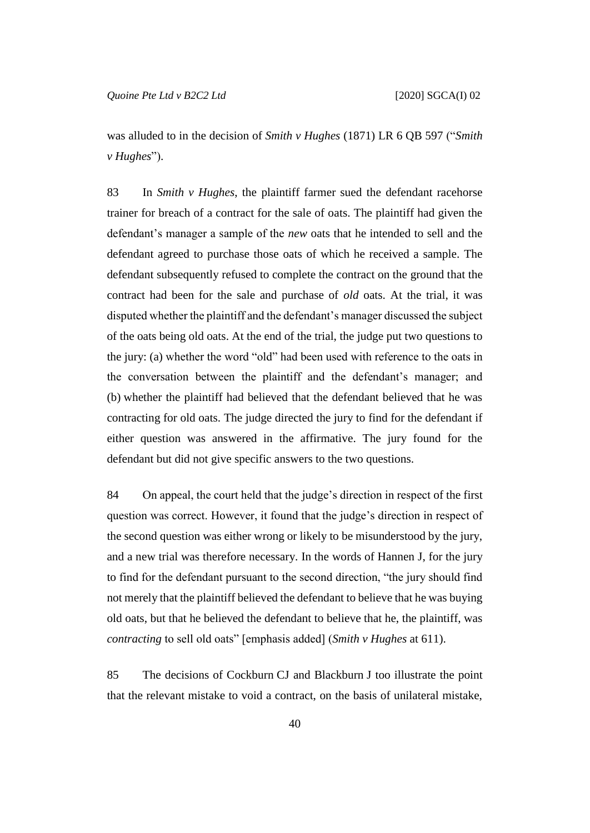was alluded to in the decision of *Smith v Hughes* (1871) LR 6 QB 597 ("*Smith v Hughes*").

83 In *Smith v Hughes*, the plaintiff farmer sued the defendant racehorse trainer for breach of a contract for the sale of oats. The plaintiff had given the defendant's manager a sample of the *new* oats that he intended to sell and the defendant agreed to purchase those oats of which he received a sample. The defendant subsequently refused to complete the contract on the ground that the contract had been for the sale and purchase of *old* oats. At the trial, it was disputed whether the plaintiff and the defendant's manager discussed the subject of the oats being old oats. At the end of the trial, the judge put two questions to the jury: (a) whether the word "old" had been used with reference to the oats in the conversation between the plaintiff and the defendant's manager; and (b) whether the plaintiff had believed that the defendant believed that he was contracting for old oats. The judge directed the jury to find for the defendant if either question was answered in the affirmative. The jury found for the defendant but did not give specific answers to the two questions.

84 On appeal, the court held that the judge's direction in respect of the first question was correct. However, it found that the judge's direction in respect of the second question was either wrong or likely to be misunderstood by the jury, and a new trial was therefore necessary. In the words of Hannen J, for the jury to find for the defendant pursuant to the second direction, "the jury should find not merely that the plaintiff believed the defendant to believe that he was buying old oats, but that he believed the defendant to believe that he, the plaintiff, was *contracting* to sell old oats" [emphasis added] (*Smith v Hughes* at 611).

85 The decisions of Cockburn CJ and Blackburn J too illustrate the point that the relevant mistake to void a contract, on the basis of unilateral mistake,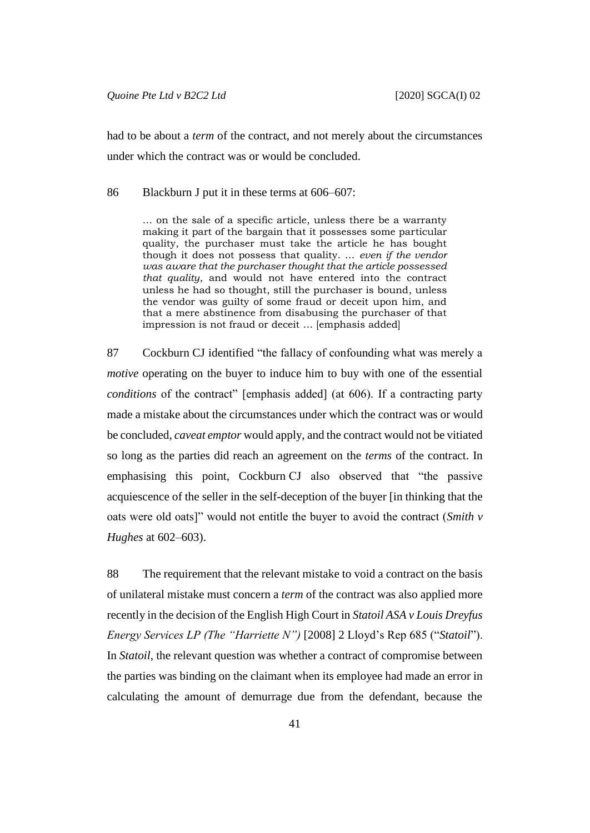had to be about a *term* of the contract, and not merely about the circumstances under which the contract was or would be concluded.

86 Blackburn J put it in these terms at 606–607:

… on the sale of a specific article, unless there be a warranty making it part of the bargain that it possesses some particular quality, the purchaser must take the article he has bought though it does not possess that quality. … *even if the vendor was aware that the purchaser thought that the article possessed that quality*, and would not have entered into the contract unless he had so thought, still the purchaser is bound, unless the vendor was guilty of some fraud or deceit upon him, and that a mere abstinence from disabusing the purchaser of that impression is not fraud or deceit … [emphasis added]

87 Cockburn CJ identified "the fallacy of confounding what was merely a *motive* operating on the buyer to induce him to buy with one of the essential *conditions* of the contract" [emphasis added] (at 606). If a contracting party made a mistake about the circumstances under which the contract was or would be concluded, *caveat emptor* would apply, and the contract would not be vitiated so long as the parties did reach an agreement on the *terms* of the contract. In emphasising this point, Cockburn CJ also observed that "the passive acquiescence of the seller in the self-deception of the buyer [in thinking that the oats were old oats]" would not entitle the buyer to avoid the contract (*Smith v Hughes* at 602–603).

<span id="page-41-0"></span>88 The requirement that the relevant mistake to void a contract on the basis of unilateral mistake must concern a *term* of the contract was also applied more recently in the decision of the English High Court in *Statoil ASA v Louis Dreyfus Energy Services LP (The "Harriette N")* [2008] 2 Lloyd's Rep 685 ("*Statoil*"). In *Statoil*, the relevant question was whether a contract of compromise between the parties was binding on the claimant when its employee had made an error in calculating the amount of demurrage due from the defendant, because the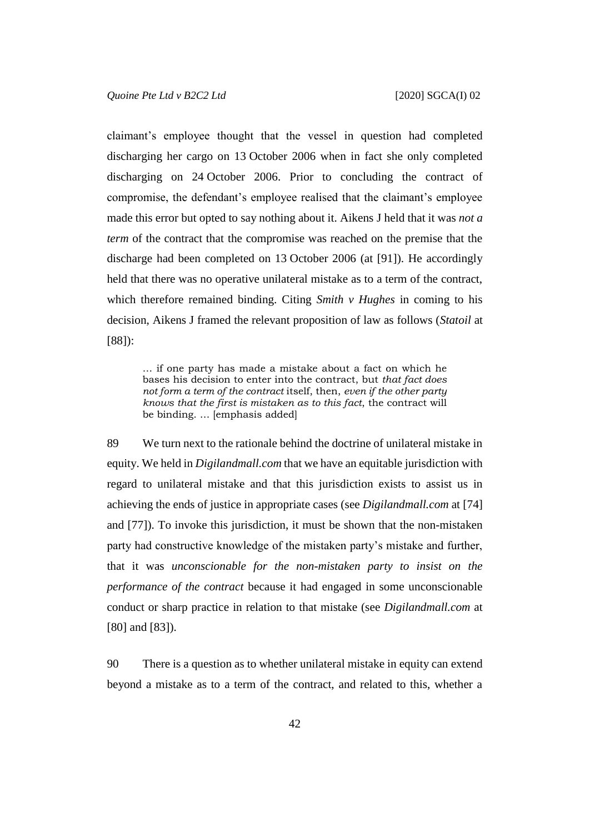claimant's employee thought that the vessel in question had completed discharging her cargo on 13 October 2006 when in fact she only completed discharging on 24 October 2006. Prior to concluding the contract of compromise, the defendant's employee realised that the claimant's employee made this error but opted to say nothing about it. Aikens J held that it was *not a term* of the contract that the compromise was reached on the premise that the discharge had been completed on 13 October 2006 (at [91]). He accordingly held that there was no operative unilateral mistake as to a term of the contract, which therefore remained binding. Citing *Smith v Hughes* in coming to his decision, Aikens J framed the relevant proposition of law as follows (*Statoil* at [88]):

… if one party has made a mistake about a fact on which he bases his decision to enter into the contract, but *that fact does not form a term of the contract* itself, then, *even if the other party knows that the first is mistaken as to this fact*, the contract will be binding. … [emphasis added]

89 We turn next to the rationale behind the doctrine of unilateral mistake in equity. We held in *Digilandmall.com* that we have an equitable jurisdiction with regard to unilateral mistake and that this jurisdiction exists to assist us in achieving the ends of justice in appropriate cases (see *Digilandmall.com* at [74] and [77]). To invoke this jurisdiction, it must be shown that the non-mistaken party had constructive knowledge of the mistaken party's mistake and further, that it was *unconscionable for the non-mistaken party to insist on the performance of the contract* because it had engaged in some unconscionable conduct or sharp practice in relation to that mistake (see *Digilandmall.com* at [80] and [83]).

90 There is a question as to whether unilateral mistake in equity can extend beyond a mistake as to a term of the contract, and related to this, whether a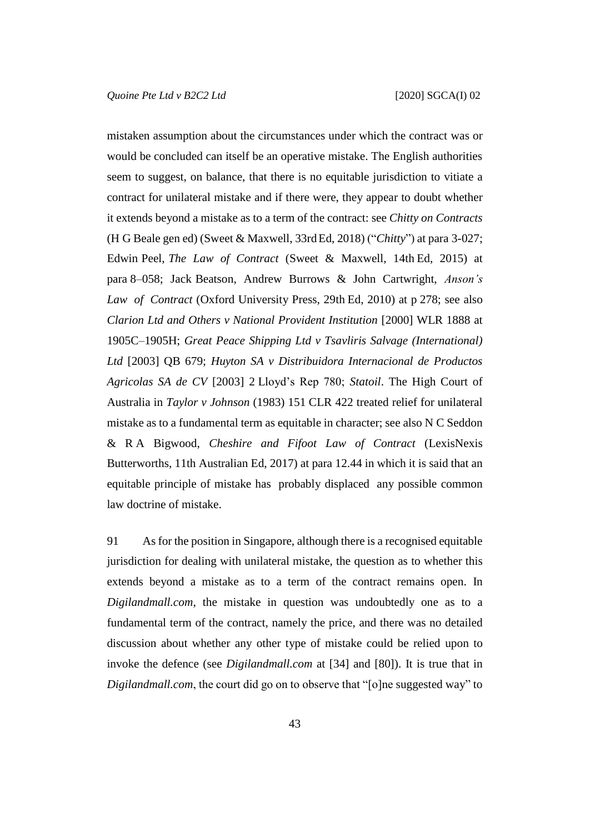mistaken assumption about the circumstances under which the contract was or would be concluded can itself be an operative mistake. The English authorities seem to suggest, on balance, that there is no equitable jurisdiction to vitiate a contract for unilateral mistake and if there were, they appear to doubt whether it extends beyond a mistake as to a term of the contract: see *Chitty on Contracts* (H G Beale gen ed) (Sweet & Maxwell, 33rdEd, 2018) ("*Chitty*") at para 3-027; Edwin Peel, *The Law of Contract* (Sweet & Maxwell, 14th Ed, 2015) at para 8–058; Jack Beatson, Andrew Burrows & John Cartwright, *Anson's Law of Contract* (Oxford University Press, 29th Ed, 2010) at p 278; see also *Clarion Ltd and Others v National Provident Institution* [2000] WLR 1888 at 1905C–1905H; *Great Peace Shipping Ltd v Tsavliris Salvage (International) Ltd* [2003] QB 679; *Huyton SA v Distribuidora Internacional de Productos Agricolas SA de CV* [2003] 2 Lloyd's Rep 780; *Statoil*. The High Court of Australia in *Taylor v Johnson* (1983) 151 CLR 422 treated relief for unilateral mistake as to a fundamental term as equitable in character; see also N C Seddon & R A Bigwood, *Cheshire and Fifoot Law of Contract* (LexisNexis Butterworths, 11th Australian Ed, 2017) at para 12.44 in which it is said that an equitable principle of mistake has probably displaced any possible common law doctrine of mistake.

91 As for the position in Singapore, although there is a recognised equitable jurisdiction for dealing with unilateral mistake, the question as to whether this extends beyond a mistake as to a term of the contract remains open. In *Digilandmall.com*, the mistake in question was undoubtedly one as to a fundamental term of the contract, namely the price, and there was no detailed discussion about whether any other type of mistake could be relied upon to invoke the defence (see *Digilandmall.com* at [34] and [80]). It is true that in *Digilandmall.com*, the court did go on to observe that "[o]ne suggested way" to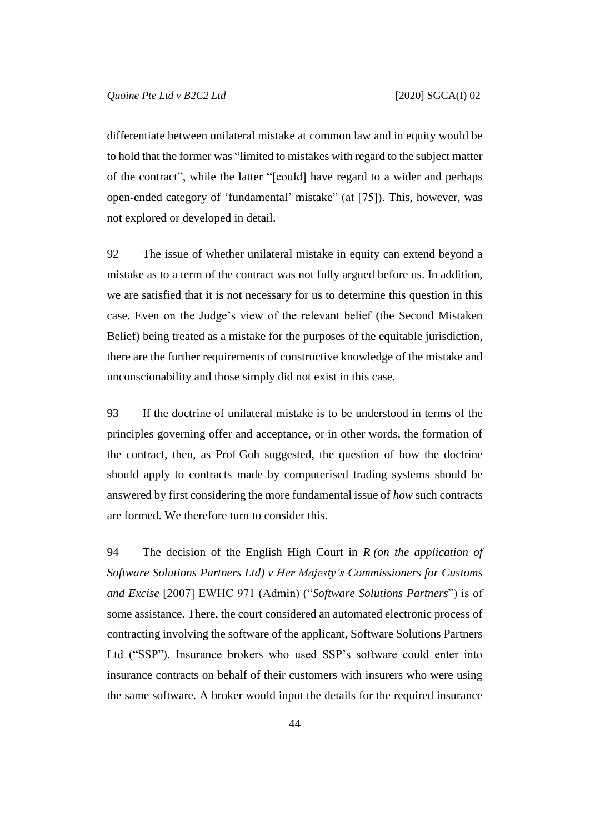differentiate between unilateral mistake at common law and in equity would be to hold that the former was "limited to mistakes with regard to the subject matter of the contract", while the latter "[could] have regard to a wider and perhaps open-ended category of 'fundamental' mistake" (at [75]). This, however, was not explored or developed in detail.

<span id="page-44-0"></span>92 The issue of whether unilateral mistake in equity can extend beyond a mistake as to a term of the contract was not fully argued before us. In addition, we are satisfied that it is not necessary for us to determine this question in this case. Even on the Judge's view of the relevant belief (the Second Mistaken Belief) being treated as a mistake for the purposes of the equitable jurisdiction, there are the further requirements of constructive knowledge of the mistake and unconscionability and those simply did not exist in this case.

93 If the doctrine of unilateral mistake is to be understood in terms of the principles governing offer and acceptance, or in other words, the formation of the contract, then, as Prof Goh suggested, the question of how the doctrine should apply to contracts made by computerised trading systems should be answered by first considering the more fundamental issue of *how* such contracts are formed. We therefore turn to consider this.

94 The decision of the English High Court in *R (on the application of Software Solutions Partners Ltd) v Her Majesty's Commissioners for Customs and Excise* [2007] EWHC 971 (Admin) ("*Software Solutions Partners*") is of some assistance. There, the court considered an automated electronic process of contracting involving the software of the applicant, Software Solutions Partners Ltd ("SSP"). Insurance brokers who used SSP's software could enter into insurance contracts on behalf of their customers with insurers who were using the same software. A broker would input the details for the required insurance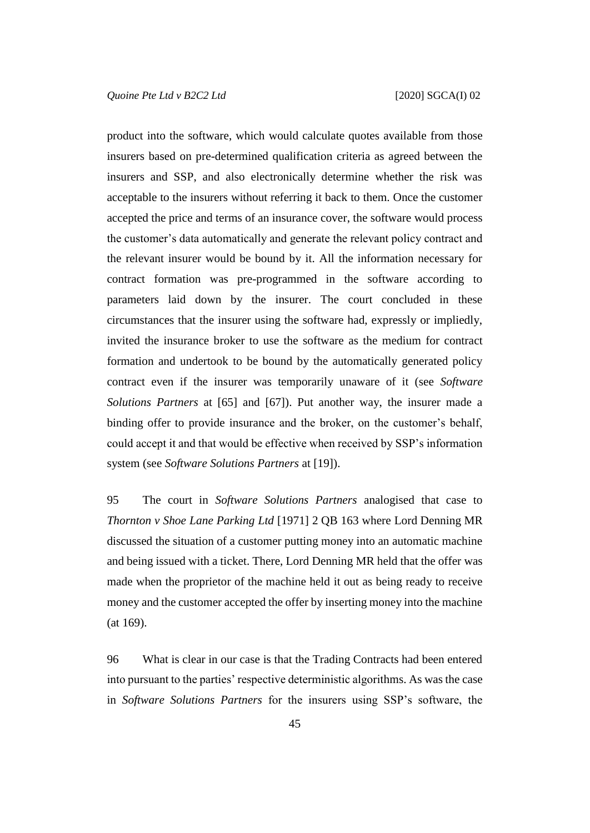product into the software, which would calculate quotes available from those insurers based on pre-determined qualification criteria as agreed between the insurers and SSP, and also electronically determine whether the risk was acceptable to the insurers without referring it back to them. Once the customer accepted the price and terms of an insurance cover, the software would process the customer's data automatically and generate the relevant policy contract and the relevant insurer would be bound by it. All the information necessary for contract formation was pre-programmed in the software according to parameters laid down by the insurer. The court concluded in these circumstances that the insurer using the software had, expressly or impliedly, invited the insurance broker to use the software as the medium for contract formation and undertook to be bound by the automatically generated policy contract even if the insurer was temporarily unaware of it (see *Software Solutions Partners* at [65] and [67]). Put another way, the insurer made a binding offer to provide insurance and the broker, on the customer's behalf, could accept it and that would be effective when received by SSP's information system (see *Software Solutions Partners* at [19]).

95 The court in *Software Solutions Partners* analogised that case to *Thornton v Shoe Lane Parking Ltd* [1971] 2 QB 163 where Lord Denning MR discussed the situation of a customer putting money into an automatic machine and being issued with a ticket. There, Lord Denning MR held that the offer was made when the proprietor of the machine held it out as being ready to receive money and the customer accepted the offer by inserting money into the machine (at 169).

96 What is clear in our case is that the Trading Contracts had been entered into pursuant to the parties' respective deterministic algorithms. As was the case in *Software Solutions Partners* for the insurers using SSP's software, the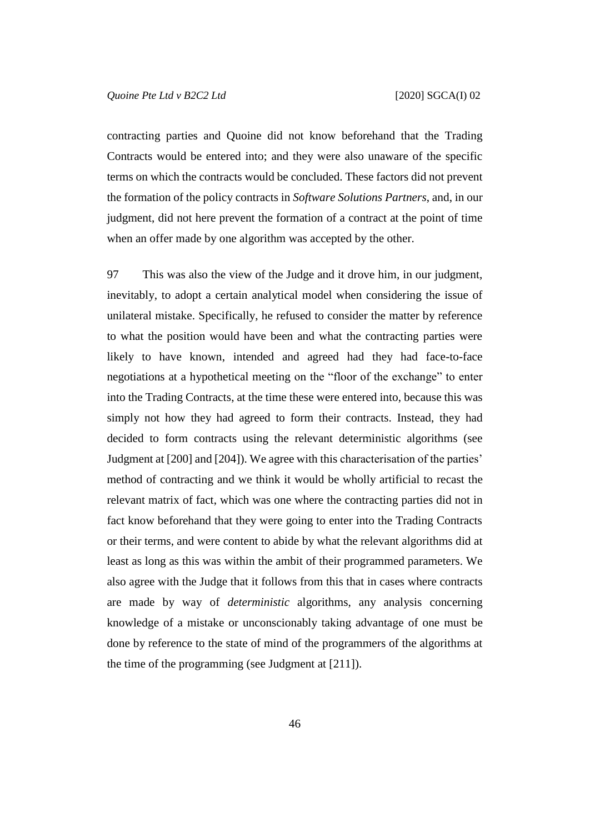contracting parties and Quoine did not know beforehand that the Trading Contracts would be entered into; and they were also unaware of the specific terms on which the contracts would be concluded. These factors did not prevent the formation of the policy contracts in *Software Solutions Partners*, and, in our judgment, did not here prevent the formation of a contract at the point of time when an offer made by one algorithm was accepted by the other.

<span id="page-46-0"></span>97 This was also the view of the Judge and it drove him, in our judgment, inevitably, to adopt a certain analytical model when considering the issue of unilateral mistake. Specifically, he refused to consider the matter by reference to what the position would have been and what the contracting parties were likely to have known, intended and agreed had they had face-to-face negotiations at a hypothetical meeting on the "floor of the exchange" to enter into the Trading Contracts, at the time these were entered into, because this was simply not how they had agreed to form their contracts. Instead, they had decided to form contracts using the relevant deterministic algorithms (see Judgment at [200] and [204]). We agree with this characterisation of the parties' method of contracting and we think it would be wholly artificial to recast the relevant matrix of fact, which was one where the contracting parties did not in fact know beforehand that they were going to enter into the Trading Contracts or their terms, and were content to abide by what the relevant algorithms did at least as long as this was within the ambit of their programmed parameters. We also agree with the Judge that it follows from this that in cases where contracts are made by way of *deterministic* algorithms, any analysis concerning knowledge of a mistake or unconscionably taking advantage of one must be done by reference to the state of mind of the programmers of the algorithms at the time of the programming (see Judgment at [211]).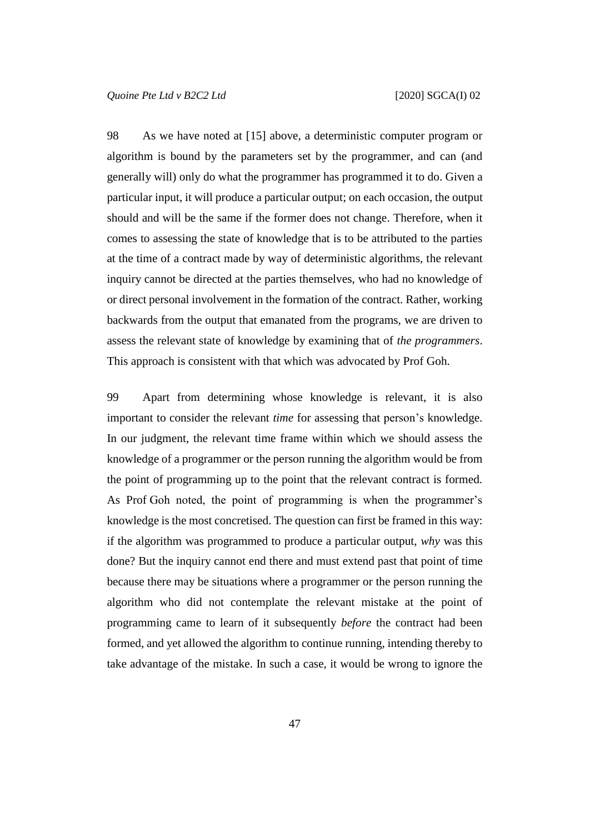98 As we have noted at [\[15\]](#page-7-0) above, a deterministic computer program or algorithm is bound by the parameters set by the programmer, and can (and generally will) only do what the programmer has programmed it to do. Given a particular input, it will produce a particular output; on each occasion, the output should and will be the same if the former does not change. Therefore, when it comes to assessing the state of knowledge that is to be attributed to the parties at the time of a contract made by way of deterministic algorithms, the relevant inquiry cannot be directed at the parties themselves, who had no knowledge of or direct personal involvement in the formation of the contract. Rather, working backwards from the output that emanated from the programs, we are driven to assess the relevant state of knowledge by examining that of *the programmers*. This approach is consistent with that which was advocated by Prof Goh.

<span id="page-47-0"></span>99 Apart from determining whose knowledge is relevant, it is also important to consider the relevant *time* for assessing that person's knowledge. In our judgment, the relevant time frame within which we should assess the knowledge of a programmer or the person running the algorithm would be from the point of programming up to the point that the relevant contract is formed. As Prof Goh noted, the point of programming is when the programmer's knowledge is the most concretised. The question can first be framed in this way: if the algorithm was programmed to produce a particular output, *why* was this done? But the inquiry cannot end there and must extend past that point of time because there may be situations where a programmer or the person running the algorithm who did not contemplate the relevant mistake at the point of programming came to learn of it subsequently *before* the contract had been formed, and yet allowed the algorithm to continue running, intending thereby to take advantage of the mistake. In such a case, it would be wrong to ignore the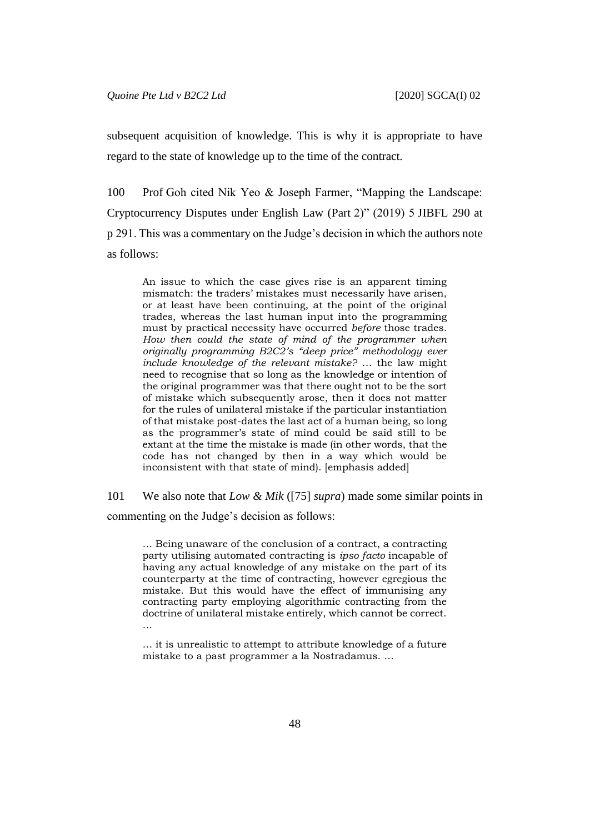subsequent acquisition of knowledge. This is why it is appropriate to have regard to the state of knowledge up to the time of the contract.

100 Prof Goh cited Nik Yeo & Joseph Farmer, "Mapping the Landscape: Cryptocurrency Disputes under English Law (Part 2)" (2019) 5 JIBFL 290 at p 291. This was a commentary on the Judge's decision in which the authors note as follows:

An issue to which the case gives rise is an apparent timing mismatch: the traders' mistakes must necessarily have arisen, or at least have been continuing, at the point of the original trades, whereas the last human input into the programming must by practical necessity have occurred *before* those trades. *How then could the state of mind of the programmer when originally programming B2C2's "deep price" methodology ever include knowledge of the relevant mistake?* … the law might need to recognise that so long as the knowledge or intention of the original programmer was that there ought not to be the sort of mistake which subsequently arose, then it does not matter for the rules of unilateral mistake if the particular instantiation of that mistake post-dates the last act of a human being, so long as the programmer's state of mind could be said still to be extant at the time the mistake is made (in other words, that the code has not changed by then in a way which would be inconsistent with that state of mind). [emphasis added]

101 We also note that *Low & Mik* ([\[75\]](#page-35-0) *supra*) made some similar points in

commenting on the Judge's decision as follows:

… Being unaware of the conclusion of a contract, a contracting party utilising automated contracting is *ipso facto* incapable of having any actual knowledge of any mistake on the part of its counterparty at the time of contracting, however egregious the mistake. But this would have the effect of immunising any contracting party employing algorithmic contracting from the doctrine of unilateral mistake entirely, which cannot be correct. …

… it is unrealistic to attempt to attribute knowledge of a future mistake to a past programmer a la Nostradamus. …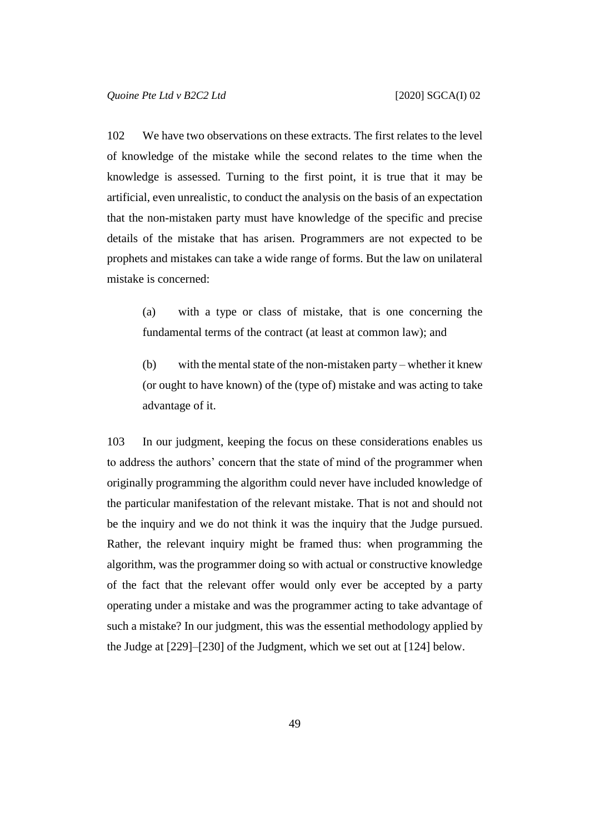102 We have two observations on these extracts. The first relates to the level of knowledge of the mistake while the second relates to the time when the knowledge is assessed. Turning to the first point, it is true that it may be artificial, even unrealistic, to conduct the analysis on the basis of an expectation that the non-mistaken party must have knowledge of the specific and precise details of the mistake that has arisen. Programmers are not expected to be prophets and mistakes can take a wide range of forms. But the law on unilateral mistake is concerned:

(a) with a type or class of mistake, that is one concerning the fundamental terms of the contract (at least at common law); and

(b) with the mental state of the non-mistaken party – whether it knew (or ought to have known) of the (type of) mistake and was acting to take advantage of it.

<span id="page-49-0"></span>103 In our judgment, keeping the focus on these considerations enables us to address the authors' concern that the state of mind of the programmer when originally programming the algorithm could never have included knowledge of the particular manifestation of the relevant mistake. That is not and should not be the inquiry and we do not think it was the inquiry that the Judge pursued. Rather, the relevant inquiry might be framed thus: when programming the algorithm, was the programmer doing so with actual or constructive knowledge of the fact that the relevant offer would only ever be accepted by a party operating under a mistake and was the programmer acting to take advantage of such a mistake? In our judgment, this was the essential methodology applied by the Judge at [229]–[230] of the Judgment, which we set out at [\[124\]](#page-60-0) below.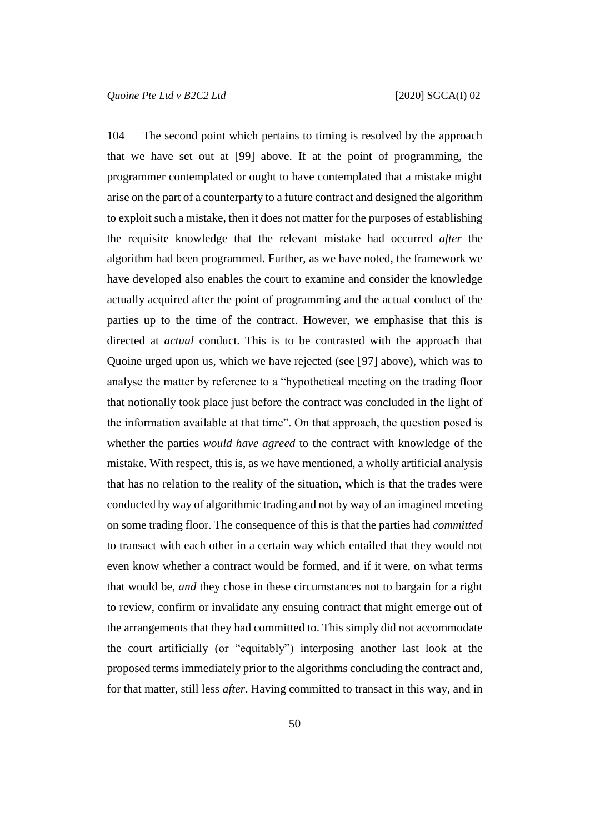104 The second point which pertains to timing is resolved by the approach that we have set out at [\[99\]](#page-47-0) above. If at the point of programming, the programmer contemplated or ought to have contemplated that a mistake might arise on the part of a counterparty to a future contract and designed the algorithm to exploit such a mistake, then it does not matter for the purposes of establishing the requisite knowledge that the relevant mistake had occurred *after* the algorithm had been programmed. Further, as we have noted, the framework we have developed also enables the court to examine and consider the knowledge actually acquired after the point of programming and the actual conduct of the parties up to the time of the contract. However, we emphasise that this is directed at *actual* conduct. This is to be contrasted with the approach that Quoine urged upon us, which we have rejected (see [\[97\]](#page-46-0) above), which was to analyse the matter by reference to a "hypothetical meeting on the trading floor that notionally took place just before the contract was concluded in the light of the information available at that time". On that approach, the question posed is whether the parties *would have agreed* to the contract with knowledge of the mistake. With respect, this is, as we have mentioned, a wholly artificial analysis that has no relation to the reality of the situation, which is that the trades were conducted by way of algorithmic trading and not by way of an imagined meeting on some trading floor. The consequence of this is that the parties had *committed* to transact with each other in a certain way which entailed that they would not even know whether a contract would be formed, and if it were, on what terms that would be, *and* they chose in these circumstances not to bargain for a right to review, confirm or invalidate any ensuing contract that might emerge out of the arrangements that they had committed to. This simply did not accommodate the court artificially (or "equitably") interposing another last look at the proposed terms immediately prior to the algorithms concluding the contract and, for that matter, still less *after*. Having committed to transact in this way, and in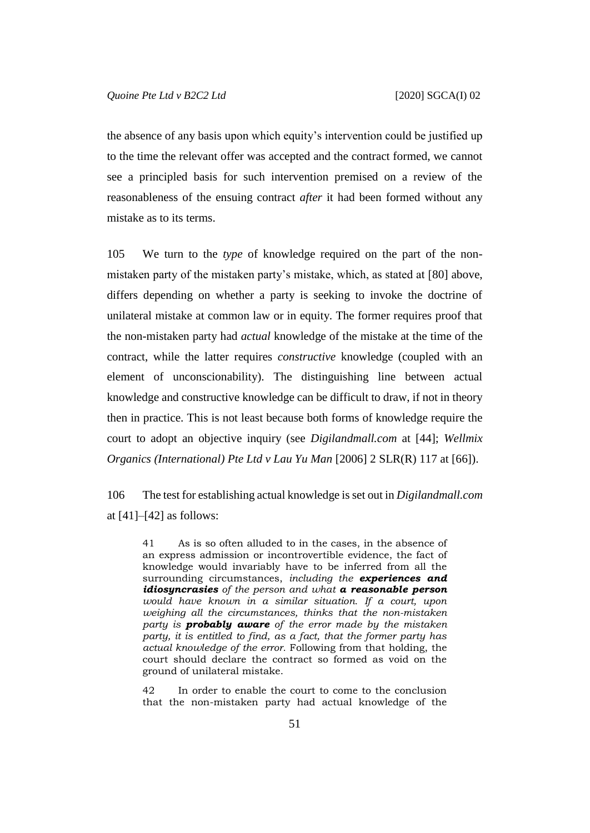the absence of any basis upon which equity's intervention could be justified up to the time the relevant offer was accepted and the contract formed, we cannot see a principled basis for such intervention premised on a review of the reasonableness of the ensuing contract *after* it had been formed without any mistake as to its terms.

105 We turn to the *type* of knowledge required on the part of the nonmistaken party of the mistaken party's mistake, which, as stated at [\[80\]](#page-38-0) above, differs depending on whether a party is seeking to invoke the doctrine of unilateral mistake at common law or in equity. The former requires proof that the non-mistaken party had *actual* knowledge of the mistake at the time of the contract, while the latter requires *constructive* knowledge (coupled with an element of unconscionability). The distinguishing line between actual knowledge and constructive knowledge can be difficult to draw, if not in theory then in practice. This is not least because both forms of knowledge require the court to adopt an objective inquiry (see *Digilandmall.com* at [44]; *Wellmix Organics (International) Pte Ltd v Lau Yu Man* [2006] 2 SLR(R) 117 at [66]).

106 The test for establishing actual knowledge is set out in *Digilandmall.com* at  $[41]$ – $[42]$  as follows:

41 As is so often alluded to in the cases, in the absence of an express admission or incontrovertible evidence, the fact of knowledge would invariably have to be inferred from all the surrounding circumstances, *including the experiences and idiosyncrasies of the person and what a reasonable person would have known in a similar situation. If a court, upon weighing all the circumstances, thinks that the non-mistaken party is probably aware of the error made by the mistaken party, it is entitled to find, as a fact, that the former party has actual knowledge of the error.* Following from that holding, the court should declare the contract so formed as void on the ground of unilateral mistake.

42 In order to enable the court to come to the conclusion that the non-mistaken party had actual knowledge of the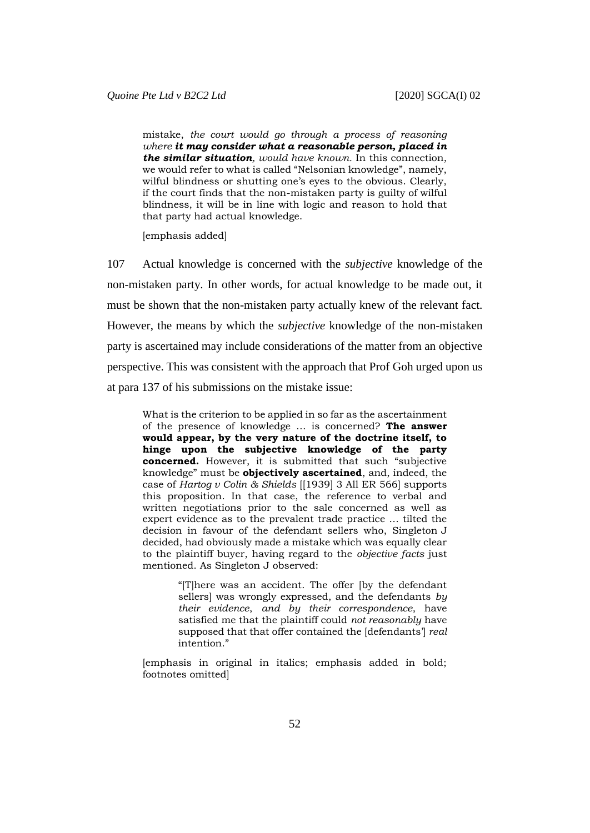mistake, *the court would go through a process of reasoning where it may consider what a reasonable person, placed in the similar situation, would have known.* In this connection, we would refer to what is called "Nelsonian knowledge", namely, wilful blindness or shutting one's eyes to the obvious. Clearly, if the court finds that the non-mistaken party is guilty of wilful blindness, it will be in line with logic and reason to hold that that party had actual knowledge.

[emphasis added]

107 Actual knowledge is concerned with the *subjective* knowledge of the non-mistaken party. In other words, for actual knowledge to be made out, it must be shown that the non-mistaken party actually knew of the relevant fact. However, the means by which the *subjective* knowledge of the non-mistaken party is ascertained may include considerations of the matter from an objective perspective. This was consistent with the approach that Prof Goh urged upon us at para 137 of his submissions on the mistake issue:

What is the criterion to be applied in so far as the ascertainment of the presence of knowledge … is concerned? **The answer would appear, by the very nature of the doctrine itself, to hinge upon the subjective knowledge of the party concerned.** However, it is submitted that such "subjective knowledge" must be **objectively ascertained**, and, indeed, the case of *Hartog v Colin & Shields* [[1939] 3 All ER 566] supports this proposition. In that case, the reference to verbal and written negotiations prior to the sale concerned as well as expert evidence as to the prevalent trade practice … tilted the decision in favour of the defendant sellers who, Singleton J decided, had obviously made a mistake which was equally clear to the plaintiff buyer, having regard to the *objective facts* just mentioned. As Singleton J observed:

> "[T]here was an accident. The offer [by the defendant sellers] was wrongly expressed, and the defendants *by their evidence*, *and by their correspondence*, have satisfied me that the plaintiff could *not reasonably* have supposed that that offer contained the [defendants'] *real* intention."

[emphasis in original in italics; emphasis added in bold; footnotes omitted]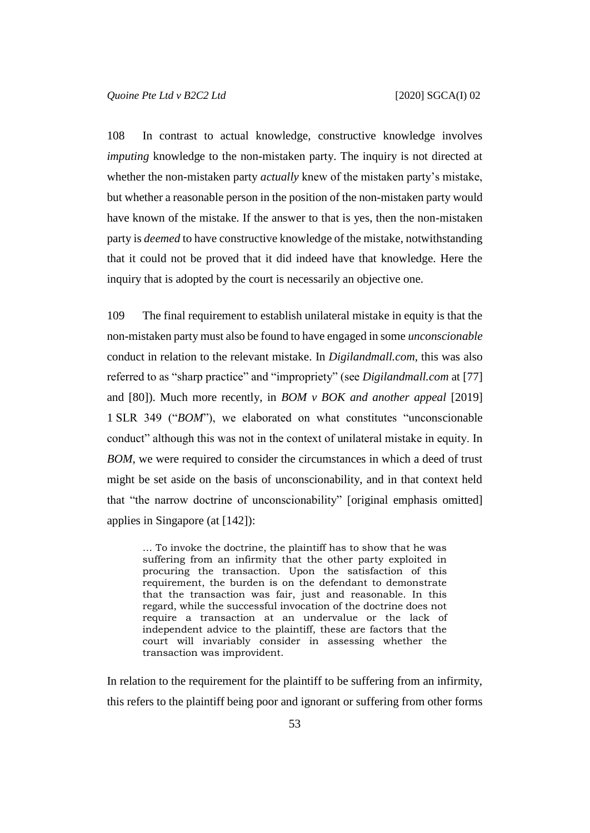108 In contrast to actual knowledge, constructive knowledge involves *imputing* knowledge to the non-mistaken party. The inquiry is not directed at whether the non-mistaken party *actually* knew of the mistaken party's mistake, but whether a reasonable person in the position of the non-mistaken party would have known of the mistake. If the answer to that is yes, then the non-mistaken party is *deemed* to have constructive knowledge of the mistake, notwithstanding that it could not be proved that it did indeed have that knowledge. Here the inquiry that is adopted by the court is necessarily an objective one.

109 The final requirement to establish unilateral mistake in equity is that the non-mistaken party must also be found to have engaged in some *unconscionable* conduct in relation to the relevant mistake. In *Digilandmall.com*, this was also referred to as "sharp practice" and "impropriety" (see *Digilandmall.com* at [77] and [80]). Much more recently, in *BOM v BOK and another appeal* [2019] 1 SLR 349 ("*BOM*"), we elaborated on what constitutes "unconscionable conduct" although this was not in the context of unilateral mistake in equity. In *BOM*, we were required to consider the circumstances in which a deed of trust might be set aside on the basis of unconscionability, and in that context held that "the narrow doctrine of unconscionability" [original emphasis omitted] applies in Singapore (at [142]):

… To invoke the doctrine, the plaintiff has to show that he was suffering from an infirmity that the other party exploited in procuring the transaction. Upon the satisfaction of this requirement, the burden is on the defendant to demonstrate that the transaction was fair, just and reasonable. In this regard, while the successful invocation of the doctrine does not require a transaction at an undervalue or the lack of independent advice to the plaintiff, these are factors that the court will invariably consider in assessing whether the transaction was improvident.

In relation to the requirement for the plaintiff to be suffering from an infirmity, this refers to the plaintiff being poor and ignorant or suffering from other forms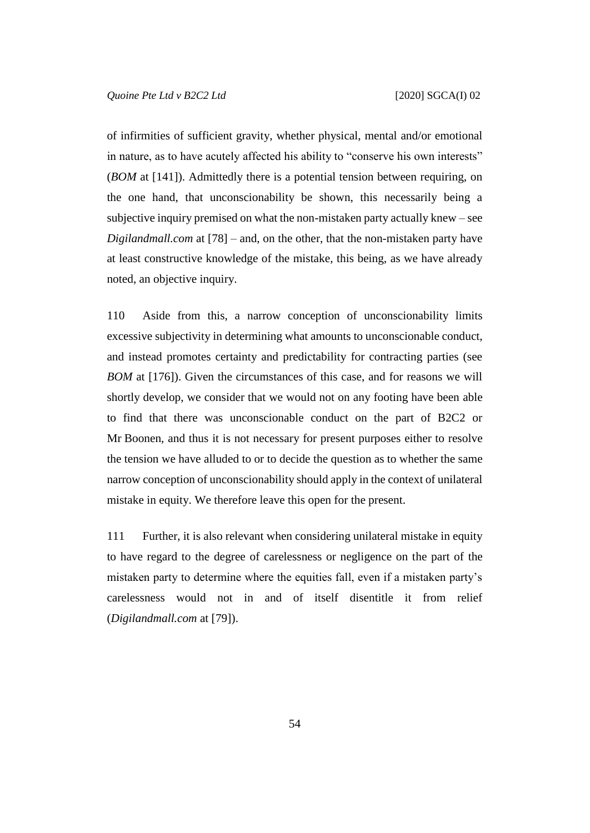of infirmities of sufficient gravity, whether physical, mental and/or emotional in nature, as to have acutely affected his ability to "conserve his own interests" (*BOM* at [141]). Admittedly there is a potential tension between requiring, on the one hand, that unconscionability be shown, this necessarily being a subjective inquiry premised on what the non-mistaken party actually knew – see *Digilandmall.com* at [78] – and, on the other, that the non-mistaken party have at least constructive knowledge of the mistake, this being, as we have already noted, an objective inquiry.

110 Aside from this, a narrow conception of unconscionability limits excessive subjectivity in determining what amounts to unconscionable conduct, and instead promotes certainty and predictability for contracting parties (see *BOM* at [176]). Given the circumstances of this case, and for reasons we will shortly develop, we consider that we would not on any footing have been able to find that there was unconscionable conduct on the part of B2C2 or Mr Boonen, and thus it is not necessary for present purposes either to resolve the tension we have alluded to or to decide the question as to whether the same narrow conception of unconscionability should apply in the context of unilateral mistake in equity. We therefore leave this open for the present.

111 Further, it is also relevant when considering unilateral mistake in equity to have regard to the degree of carelessness or negligence on the part of the mistaken party to determine where the equities fall, even if a mistaken party's carelessness would not in and of itself disentitle it from relief (*Digilandmall.com* at [79]).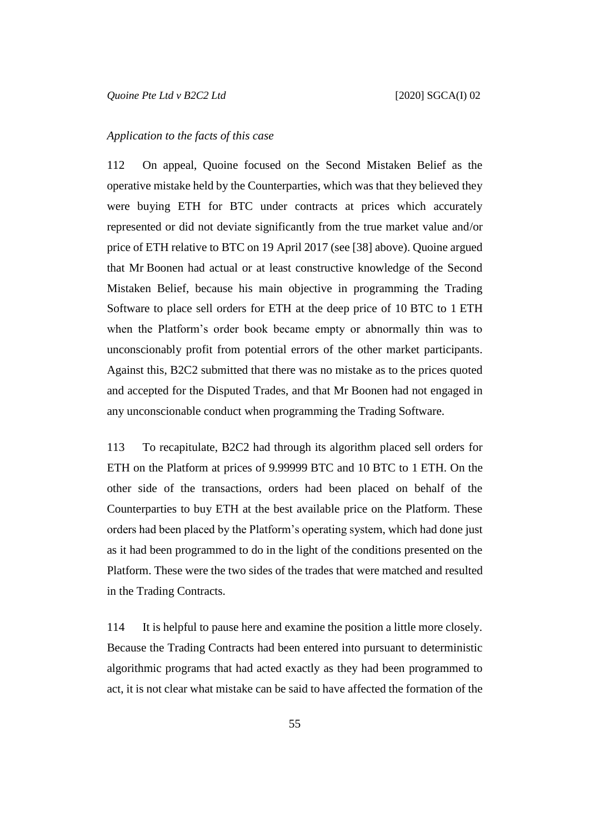### *Application to the facts of this case*

112 On appeal, Quoine focused on the Second Mistaken Belief as the operative mistake held by the Counterparties, which was that they believed they were buying ETH for BTC under contracts at prices which accurately represented or did not deviate significantly from the true market value and/or price of ETH relative to BTC on 19 April 2017 (see [\[38\]](#page-18-0) above). Quoine argued that Mr Boonen had actual or at least constructive knowledge of the Second Mistaken Belief, because his main objective in programming the Trading Software to place sell orders for ETH at the deep price of 10 BTC to 1 ETH when the Platform's order book became empty or abnormally thin was to unconscionably profit from potential errors of the other market participants. Against this, B2C2 submitted that there was no mistake as to the prices quoted and accepted for the Disputed Trades, and that Mr Boonen had not engaged in any unconscionable conduct when programming the Trading Software.

113 To recapitulate, B2C2 had through its algorithm placed sell orders for ETH on the Platform at prices of 9.99999 BTC and 10 BTC to 1 ETH. On the other side of the transactions, orders had been placed on behalf of the Counterparties to buy ETH at the best available price on the Platform. These orders had been placed by the Platform's operating system, which had done just as it had been programmed to do in the light of the conditions presented on the Platform. These were the two sides of the trades that were matched and resulted in the Trading Contracts.

114 It is helpful to pause here and examine the position a little more closely. Because the Trading Contracts had been entered into pursuant to deterministic algorithmic programs that had acted exactly as they had been programmed to act, it is not clear what mistake can be said to have affected the formation of the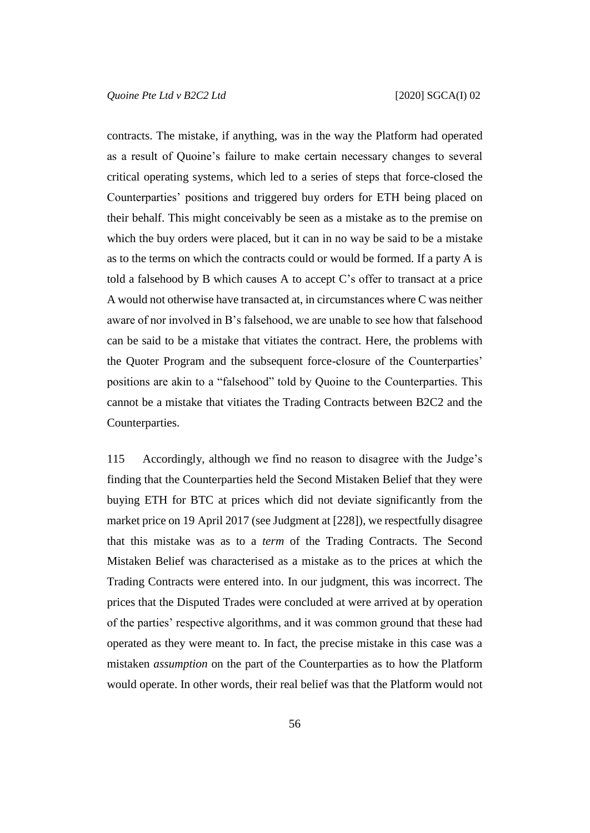contracts. The mistake, if anything, was in the way the Platform had operated as a result of Quoine's failure to make certain necessary changes to several critical operating systems, which led to a series of steps that force-closed the Counterparties' positions and triggered buy orders for ETH being placed on their behalf. This might conceivably be seen as a mistake as to the premise on which the buy orders were placed, but it can in no way be said to be a mistake as to the terms on which the contracts could or would be formed. If a party A is told a falsehood by B which causes A to accept C's offer to transact at a price A would not otherwise have transacted at, in circumstances where C was neither aware of nor involved in B's falsehood, we are unable to see how that falsehood can be said to be a mistake that vitiates the contract. Here, the problems with the Quoter Program and the subsequent force-closure of the Counterparties' positions are akin to a "falsehood" told by Quoine to the Counterparties. This cannot be a mistake that vitiates the Trading Contracts between B2C2 and the Counterparties.

115 Accordingly, although we find no reason to disagree with the Judge's finding that the Counterparties held the Second Mistaken Belief that they were buying ETH for BTC at prices which did not deviate significantly from the market price on 19 April 2017 (see Judgment at [228]), we respectfully disagree that this mistake was as to a *term* of the Trading Contracts. The Second Mistaken Belief was characterised as a mistake as to the prices at which the Trading Contracts were entered into. In our judgment, this was incorrect. The prices that the Disputed Trades were concluded at were arrived at by operation of the parties' respective algorithms, and it was common ground that these had operated as they were meant to. In fact, the precise mistake in this case was a mistaken *assumption* on the part of the Counterparties as to how the Platform would operate. In other words, their real belief was that the Platform would not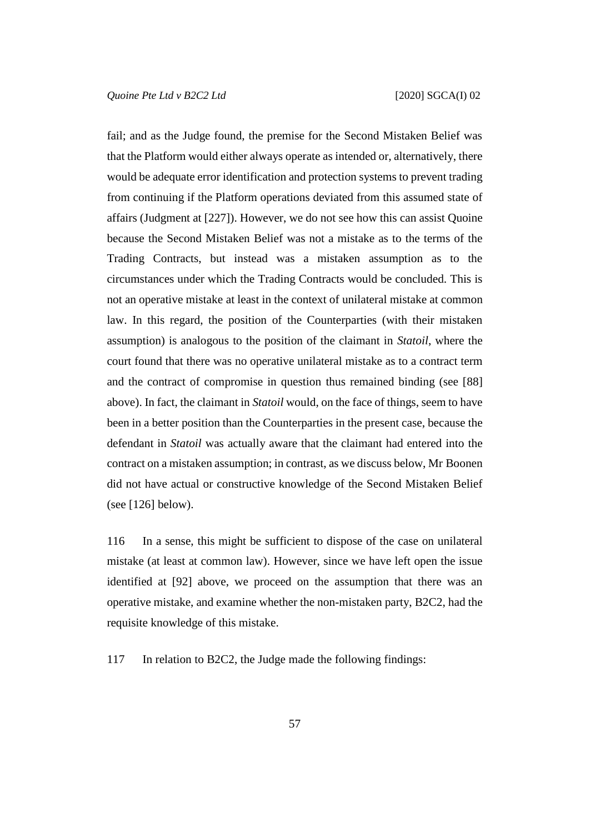fail; and as the Judge found, the premise for the Second Mistaken Belief was that the Platform would either always operate as intended or, alternatively, there would be adequate error identification and protection systems to prevent trading from continuing if the Platform operations deviated from this assumed state of affairs (Judgment at [227]). However, we do not see how this can assist Quoine because the Second Mistaken Belief was not a mistake as to the terms of the Trading Contracts, but instead was a mistaken assumption as to the circumstances under which the Trading Contracts would be concluded. This is not an operative mistake at least in the context of unilateral mistake at common law. In this regard, the position of the Counterparties (with their mistaken assumption) is analogous to the position of the claimant in *Statoil*, where the court found that there was no operative unilateral mistake as to a contract term and the contract of compromise in question thus remained binding (see [\[88\]](#page-41-0) above). In fact, the claimant in *Statoil* would, on the face of things, seem to have been in a better position than the Counterparties in the present case, because the defendant in *Statoil* was actually aware that the claimant had entered into the contract on a mistaken assumption; in contrast, as we discuss below, Mr Boonen did not have actual or constructive knowledge of the Second Mistaken Belief (see [\[126\]](#page-62-0) below).

116 In a sense, this might be sufficient to dispose of the case on unilateral mistake (at least at common law). However, since we have left open the issue identified at [\[92\]](#page-44-0) above, we proceed on the assumption that there was an operative mistake, and examine whether the non-mistaken party, B2C2, had the requisite knowledge of this mistake.

117 In relation to B2C2, the Judge made the following findings: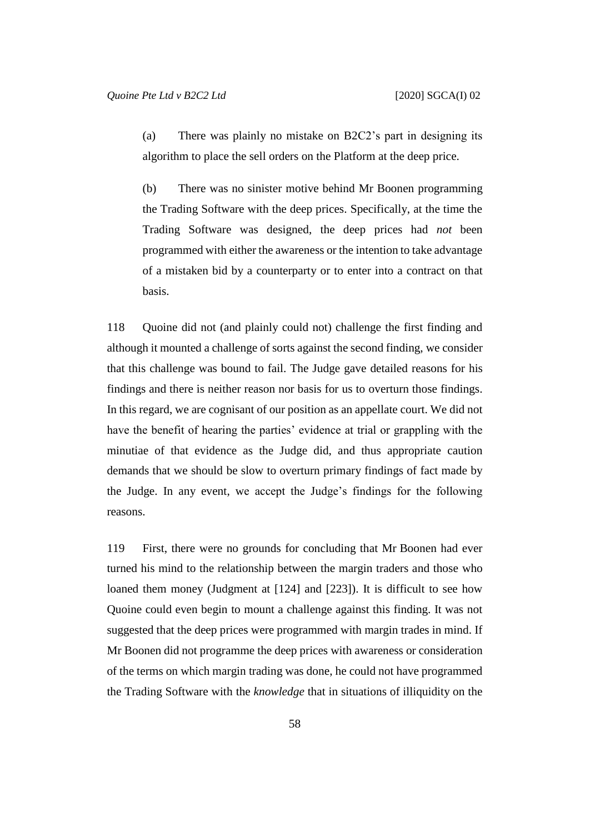<span id="page-58-0"></span>(a) There was plainly no mistake on B2C2's part in designing its algorithm to place the sell orders on the Platform at the deep price.

<span id="page-58-1"></span>(b) There was no sinister motive behind Mr Boonen programming the Trading Software with the deep prices. Specifically, at the time the Trading Software was designed, the deep prices had *not* been programmed with either the awareness or the intention to take advantage of a mistaken bid by a counterparty or to enter into a contract on that basis.

118 Quoine did not (and plainly could not) challenge the first finding and although it mounted a challenge of sorts against the second finding, we consider that this challenge was bound to fail. The Judge gave detailed reasons for his findings and there is neither reason nor basis for us to overturn those findings. In this regard, we are cognisant of our position as an appellate court. We did not have the benefit of hearing the parties' evidence at trial or grappling with the minutiae of that evidence as the Judge did, and thus appropriate caution demands that we should be slow to overturn primary findings of fact made by the Judge. In any event, we accept the Judge's findings for the following reasons.

119 First, there were no grounds for concluding that Mr Boonen had ever turned his mind to the relationship between the margin traders and those who loaned them money (Judgment at [124] and [223]). It is difficult to see how Quoine could even begin to mount a challenge against this finding. It was not suggested that the deep prices were programmed with margin trades in mind. If Mr Boonen did not programme the deep prices with awareness or consideration of the terms on which margin trading was done, he could not have programmed the Trading Software with the *knowledge* that in situations of illiquidity on the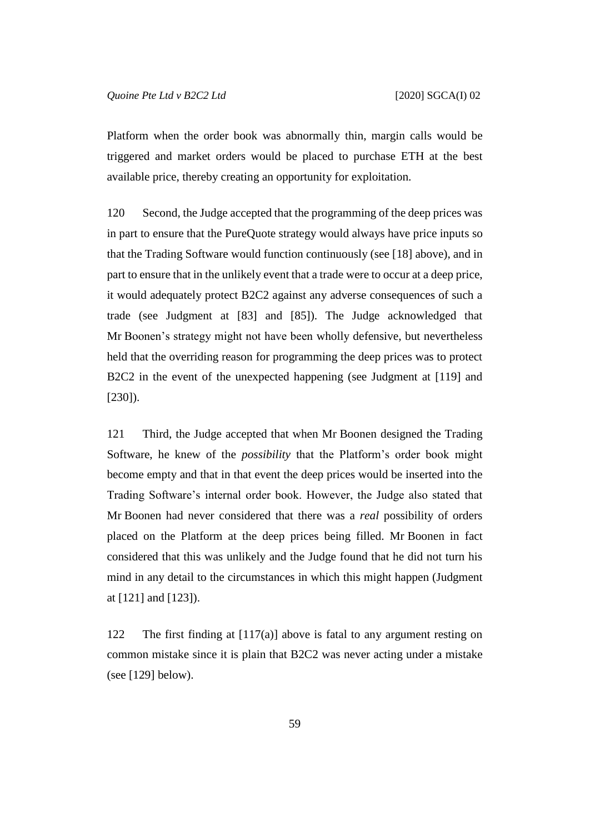Platform when the order book was abnormally thin, margin calls would be triggered and market orders would be placed to purchase ETH at the best available price, thereby creating an opportunity for exploitation.

120 Second, the Judge accepted that the programming of the deep prices was in part to ensure that the PureQuote strategy would always have price inputs so that the Trading Software would function continuously (see [\[18\]](#page-9-0) above), and in part to ensure that in the unlikely event that a trade were to occur at a deep price, it would adequately protect B2C2 against any adverse consequences of such a trade (see Judgment at [83] and [85]). The Judge acknowledged that Mr Boonen's strategy might not have been wholly defensive, but nevertheless held that the overriding reason for programming the deep prices was to protect B2C2 in the event of the unexpected happening (see Judgment at [119] and  $[230]$ ).

121 Third, the Judge accepted that when Mr Boonen designed the Trading Software, he knew of the *possibility* that the Platform's order book might become empty and that in that event the deep prices would be inserted into the Trading Software's internal order book. However, the Judge also stated that Mr Boonen had never considered that there was a *real* possibility of orders placed on the Platform at the deep prices being filled. Mr Boonen in fact considered that this was unlikely and the Judge found that he did not turn his mind in any detail to the circumstances in which this might happen (Judgment at [121] and [123]).

122 The first finding at [\[117\(a\)\]](#page-58-0) above is fatal to any argument resting on common mistake since it is plain that B2C2 was never acting under a mistake (see [\[129\]](#page-62-1) below).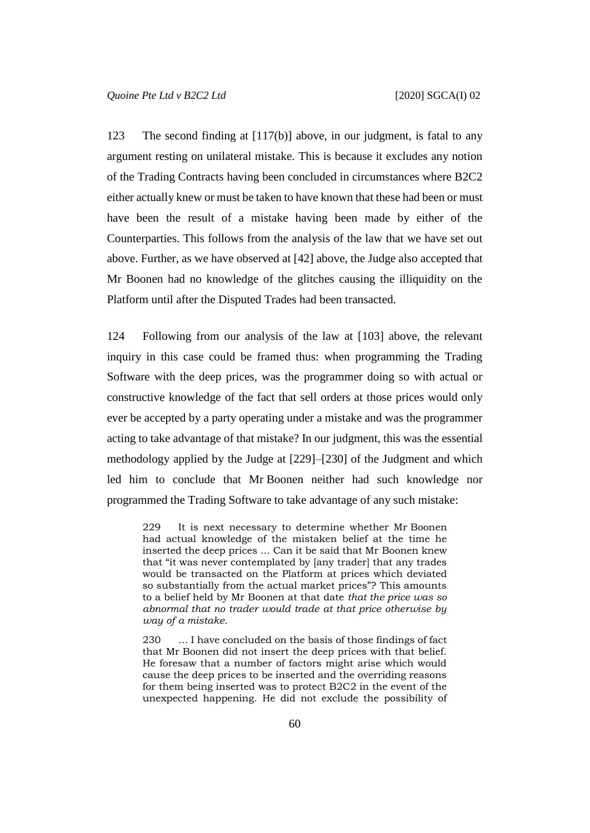123 The second finding at [\[117\(b\)\]](#page-58-1) above, in our judgment, is fatal to any argument resting on unilateral mistake. This is because it excludes any notion of the Trading Contracts having been concluded in circumstances where B2C2 either actually knew or must be taken to have known that these had been or must have been the result of a mistake having been made by either of the Counterparties. This follows from the analysis of the law that we have set out above. Further, as we have observed at [\[42\]](#page-20-0) above, the Judge also accepted that Mr Boonen had no knowledge of the glitches causing the illiquidity on the Platform until after the Disputed Trades had been transacted.

<span id="page-60-0"></span>124 Following from our analysis of the law at [\[103\]](#page-49-0) above, the relevant inquiry in this case could be framed thus: when programming the Trading Software with the deep prices, was the programmer doing so with actual or constructive knowledge of the fact that sell orders at those prices would only ever be accepted by a party operating under a mistake and was the programmer acting to take advantage of that mistake? In our judgment, this was the essential methodology applied by the Judge at [229]–[230] of the Judgment and which led him to conclude that Mr Boonen neither had such knowledge nor programmed the Trading Software to take advantage of any such mistake:

229 It is next necessary to determine whether Mr Boonen had actual knowledge of the mistaken belief at the time he inserted the deep prices … Can it be said that Mr Boonen knew that "it was never contemplated by [any trader] that any trades would be transacted on the Platform at prices which deviated so substantially from the actual market prices"? This amounts to a belief held by Mr Boonen at that date *that the price was so abnormal that no trader would trade at that price otherwise by way of a mistake*.

230 … I have concluded on the basis of those findings of fact that Mr Boonen did not insert the deep prices with that belief. He foresaw that a number of factors might arise which would cause the deep prices to be inserted and the overriding reasons for them being inserted was to protect B2C2 in the event of the unexpected happening. He did not exclude the possibility of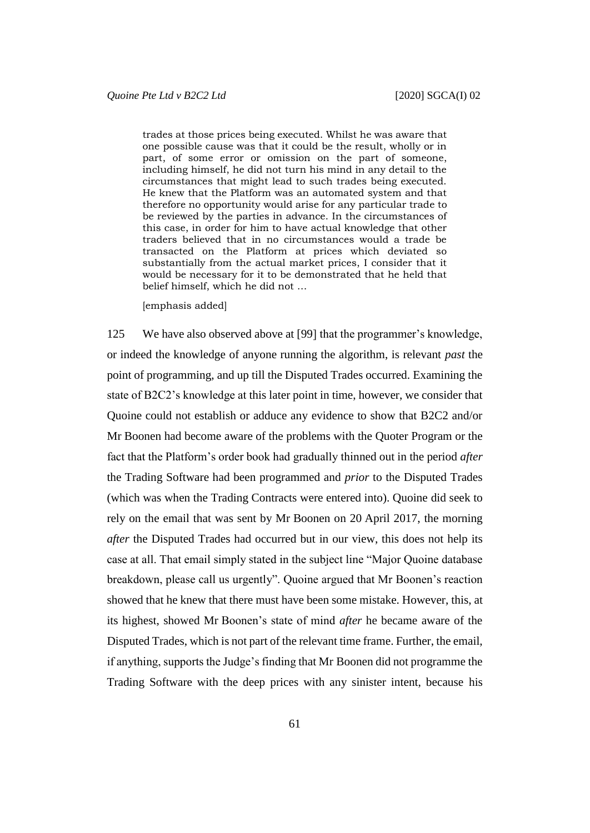trades at those prices being executed. Whilst he was aware that one possible cause was that it could be the result, wholly or in part, of some error or omission on the part of someone, including himself, he did not turn his mind in any detail to the circumstances that might lead to such trades being executed. He knew that the Platform was an automated system and that therefore no opportunity would arise for any particular trade to be reviewed by the parties in advance. In the circumstances of this case, in order for him to have actual knowledge that other traders believed that in no circumstances would a trade be transacted on the Platform at prices which deviated so substantially from the actual market prices, I consider that it would be necessary for it to be demonstrated that he held that belief himself, which he did not …

[emphasis added]

125 We have also observed above at [\[99\]](#page-47-0) that the programmer's knowledge, or indeed the knowledge of anyone running the algorithm, is relevant *past* the point of programming, and up till the Disputed Trades occurred. Examining the state of B2C2's knowledge at this later point in time, however, we consider that Quoine could not establish or adduce any evidence to show that B2C2 and/or Mr Boonen had become aware of the problems with the Quoter Program or the fact that the Platform's order book had gradually thinned out in the period *after* the Trading Software had been programmed and *prior* to the Disputed Trades (which was when the Trading Contracts were entered into). Quoine did seek to rely on the email that was sent by Mr Boonen on 20 April 2017, the morning *after* the Disputed Trades had occurred but in our view, this does not help its case at all. That email simply stated in the subject line "Major Quoine database breakdown, please call us urgently". Quoine argued that Mr Boonen's reaction showed that he knew that there must have been some mistake. However, this, at its highest, showed Mr Boonen's state of mind *after* he became aware of the Disputed Trades, which is not part of the relevant time frame. Further, the email, if anything, supports the Judge's finding that Mr Boonen did not programme the Trading Software with the deep prices with any sinister intent, because his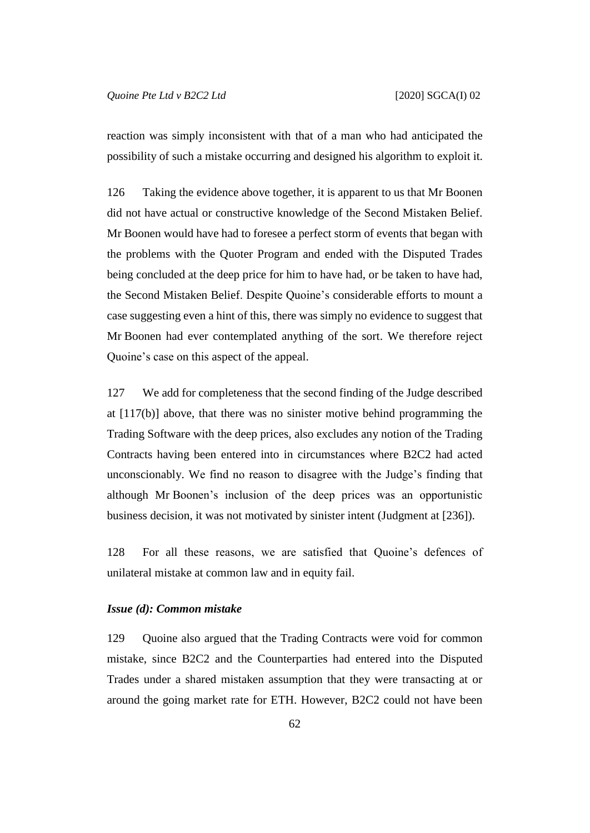reaction was simply inconsistent with that of a man who had anticipated the possibility of such a mistake occurring and designed his algorithm to exploit it.

<span id="page-62-0"></span>126 Taking the evidence above together, it is apparent to us that Mr Boonen did not have actual or constructive knowledge of the Second Mistaken Belief. Mr Boonen would have had to foresee a perfect storm of events that began with the problems with the Quoter Program and ended with the Disputed Trades being concluded at the deep price for him to have had, or be taken to have had, the Second Mistaken Belief. Despite Quoine's considerable efforts to mount a case suggesting even a hint of this, there was simply no evidence to suggest that Mr Boonen had ever contemplated anything of the sort. We therefore reject Quoine's case on this aspect of the appeal.

127 We add for completeness that the second finding of the Judge described at [\[117\(b\)\]](#page-58-1) above, that there was no sinister motive behind programming the Trading Software with the deep prices, also excludes any notion of the Trading Contracts having been entered into in circumstances where B2C2 had acted unconscionably. We find no reason to disagree with the Judge's finding that although Mr Boonen's inclusion of the deep prices was an opportunistic business decision, it was not motivated by sinister intent (Judgment at [236]).

128 For all these reasons, we are satisfied that Quoine's defences of unilateral mistake at common law and in equity fail.

#### <span id="page-62-1"></span>*Issue (d): Common mistake*

129 Quoine also argued that the Trading Contracts were void for common mistake, since B2C2 and the Counterparties had entered into the Disputed Trades under a shared mistaken assumption that they were transacting at or around the going market rate for ETH. However, B2C2 could not have been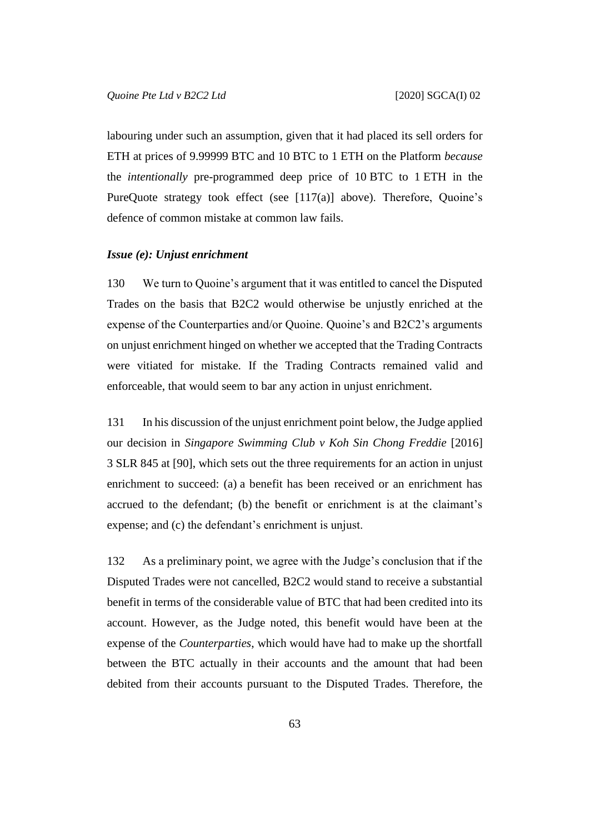labouring under such an assumption, given that it had placed its sell orders for ETH at prices of 9.99999 BTC and 10 BTC to 1 ETH on the Platform *because* the *intentionally* pre-programmed deep price of 10 BTC to 1 ETH in the PureQuote strategy took effect (see [\[117\(a\)\]](#page-58-0) above). Therefore, Quoine's defence of common mistake at common law fails.

### *Issue (e): Unjust enrichment*

130 We turn to Quoine's argument that it was entitled to cancel the Disputed Trades on the basis that B2C2 would otherwise be unjustly enriched at the expense of the Counterparties and/or Quoine. Quoine's and B2C2's arguments on unjust enrichment hinged on whether we accepted that the Trading Contracts were vitiated for mistake. If the Trading Contracts remained valid and enforceable, that would seem to bar any action in unjust enrichment.

131 In his discussion of the unjust enrichment point below, the Judge applied our decision in *Singapore Swimming Club v Koh Sin Chong Freddie* [2016] 3 SLR 845 at [90], which sets out the three requirements for an action in unjust enrichment to succeed: (a) a benefit has been received or an enrichment has accrued to the defendant; (b) the benefit or enrichment is at the claimant's expense; and (c) the defendant's enrichment is unjust.

<span id="page-63-0"></span>132 As a preliminary point, we agree with the Judge's conclusion that if the Disputed Trades were not cancelled, B2C2 would stand to receive a substantial benefit in terms of the considerable value of BTC that had been credited into its account. However, as the Judge noted, this benefit would have been at the expense of the *Counterparties*, which would have had to make up the shortfall between the BTC actually in their accounts and the amount that had been debited from their accounts pursuant to the Disputed Trades. Therefore, the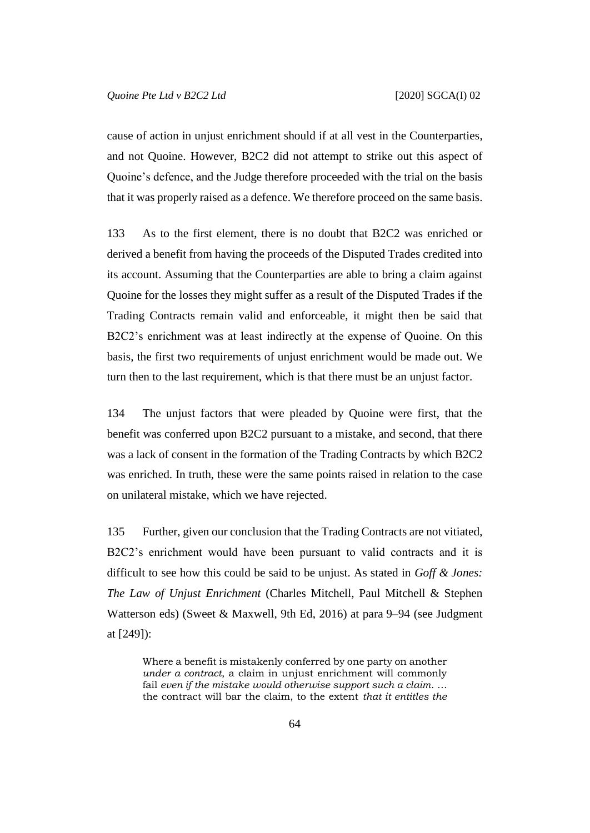cause of action in unjust enrichment should if at all vest in the Counterparties, and not Quoine. However, B2C2 did not attempt to strike out this aspect of Quoine's defence, and the Judge therefore proceeded with the trial on the basis that it was properly raised as a defence. We therefore proceed on the same basis.

133 As to the first element, there is no doubt that B2C2 was enriched or derived a benefit from having the proceeds of the Disputed Trades credited into its account. Assuming that the Counterparties are able to bring a claim against Quoine for the losses they might suffer as a result of the Disputed Trades if the Trading Contracts remain valid and enforceable, it might then be said that B2C2's enrichment was at least indirectly at the expense of Quoine. On this basis, the first two requirements of unjust enrichment would be made out. We turn then to the last requirement, which is that there must be an unjust factor.

134 The unjust factors that were pleaded by Quoine were first, that the benefit was conferred upon B2C2 pursuant to a mistake, and second, that there was a lack of consent in the formation of the Trading Contracts by which B2C2 was enriched. In truth, these were the same points raised in relation to the case on unilateral mistake, which we have rejected.

135 Further, given our conclusion that the Trading Contracts are not vitiated, B2C2's enrichment would have been pursuant to valid contracts and it is difficult to see how this could be said to be unjust. As stated in *Goff & Jones: The Law of Unjust Enrichment* (Charles Mitchell, Paul Mitchell & Stephen Watterson eds) (Sweet & Maxwell, 9th Ed, 2016) at para 9–94 (see Judgment at [249]):

Where a benefit is mistakenly conferred by one party on another *under a contract*, a claim in unjust enrichment will commonly fail *even if the mistake would otherwise support such a claim*. … the contract will bar the claim, to the extent *that it entitles the*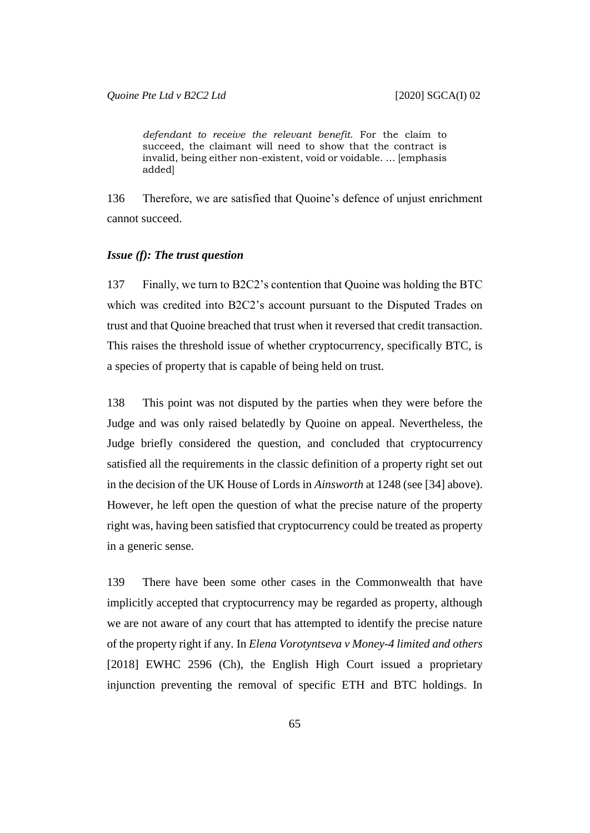*defendant to receive the relevant benefit*. For the claim to succeed, the claimant will need to show that the contract is invalid, being either non-existent, void or voidable. … [emphasis added]

136 Therefore, we are satisfied that Quoine's defence of unjust enrichment cannot succeed.

# *Issue (f): The trust question*

137 Finally, we turn to B2C2's contention that Quoine was holding the BTC which was credited into B2C2's account pursuant to the Disputed Trades on trust and that Quoine breached that trust when it reversed that credit transaction. This raises the threshold issue of whether cryptocurrency, specifically BTC, is a species of property that is capable of being held on trust.

138 This point was not disputed by the parties when they were before the Judge and was only raised belatedly by Quoine on appeal. Nevertheless, the Judge briefly considered the question, and concluded that cryptocurrency satisfied all the requirements in the classic definition of a property right set out in the decision of the UK House of Lords in *Ainsworth* at 1248 (see [\[34\]](#page-16-0) above). However, he left open the question of what the precise nature of the property right was, having been satisfied that cryptocurrency could be treated as property in a generic sense.

139 There have been some other cases in the Commonwealth that have implicitly accepted that cryptocurrency may be regarded as property, although we are not aware of any court that has attempted to identify the precise nature of the property right if any. In *Elena Vorotyntseva v Money-4 limited and others* [2018] EWHC 2596 (Ch), the English High Court issued a proprietary injunction preventing the removal of specific ETH and BTC holdings. In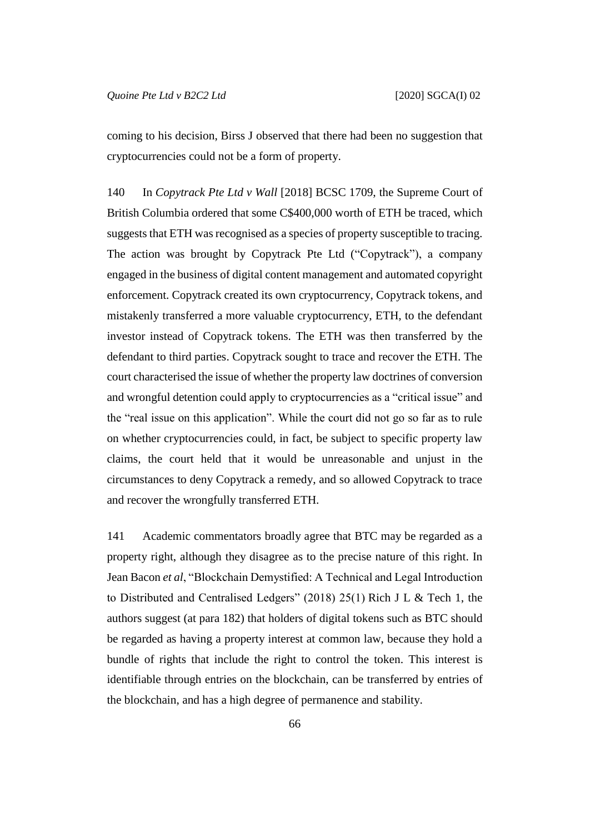coming to his decision, Birss J observed that there had been no suggestion that cryptocurrencies could not be a form of property.

140 In *Copytrack Pte Ltd v Wall* [2018] BCSC 1709, the Supreme Court of British Columbia ordered that some C\$400,000 worth of ETH be traced, which suggests that ETH was recognised as a species of property susceptible to tracing. The action was brought by Copytrack Pte Ltd ("Copytrack"), a company engaged in the business of digital content management and automated copyright enforcement. Copytrack created its own cryptocurrency, Copytrack tokens, and mistakenly transferred a more valuable cryptocurrency, ETH, to the defendant investor instead of Copytrack tokens. The ETH was then transferred by the defendant to third parties. Copytrack sought to trace and recover the ETH. The court characterised the issue of whether the property law doctrines of conversion and wrongful detention could apply to cryptocurrencies as a "critical issue" and the "real issue on this application". While the court did not go so far as to rule on whether cryptocurrencies could, in fact, be subject to specific property law claims, the court held that it would be unreasonable and unjust in the circumstances to deny Copytrack a remedy, and so allowed Copytrack to trace and recover the wrongfully transferred ETH.

141 Academic commentators broadly agree that BTC may be regarded as a property right, although they disagree as to the precise nature of this right. In Jean Bacon *et al*, "Blockchain Demystified: A Technical and Legal Introduction to Distributed and Centralised Ledgers" (2018) 25(1) Rich J L & Tech 1, the authors suggest (at para 182) that holders of digital tokens such as BTC should be regarded as having a property interest at common law, because they hold a bundle of rights that include the right to control the token. This interest is identifiable through entries on the blockchain, can be transferred by entries of the blockchain, and has a high degree of permanence and stability.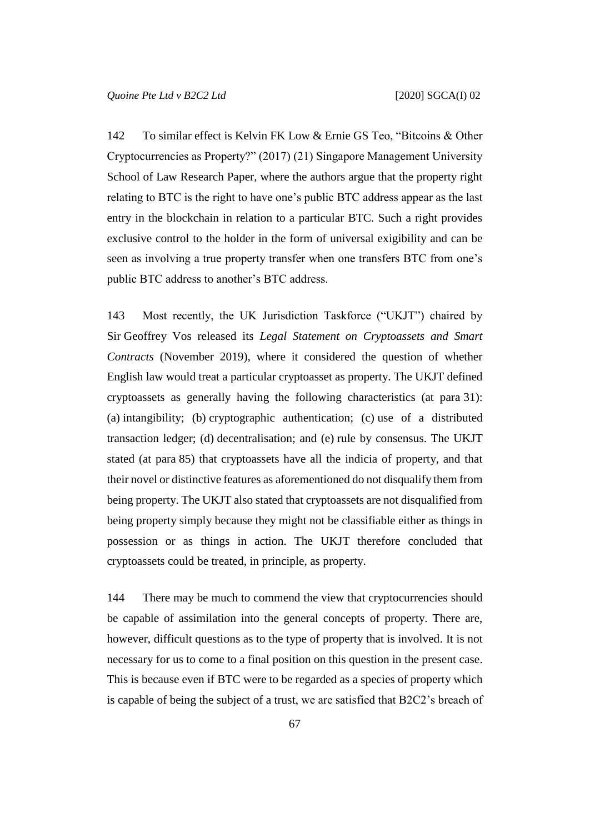142 To similar effect is Kelvin FK Low & Ernie GS Teo, "Bitcoins & Other Cryptocurrencies as Property?" (2017) (21) Singapore Management University School of Law Research Paper, where the authors argue that the property right relating to BTC is the right to have one's public BTC address appear as the last entry in the blockchain in relation to a particular BTC. Such a right provides exclusive control to the holder in the form of universal exigibility and can be seen as involving a true property transfer when one transfers BTC from one's public BTC address to another's BTC address.

143 Most recently, the UK Jurisdiction Taskforce ("UKJT") chaired by Sir Geoffrey Vos released its *Legal Statement on Cryptoassets and Smart Contracts* (November 2019), where it considered the question of whether English law would treat a particular cryptoasset as property. The UKJT defined cryptoassets as generally having the following characteristics (at para 31): (a) intangibility; (b) cryptographic authentication; (c) use of a distributed transaction ledger; (d) decentralisation; and (e) rule by consensus. The UKJT stated (at para 85) that cryptoassets have all the indicia of property, and that their novel or distinctive features as aforementioned do not disqualify them from being property. The UKJT also stated that cryptoassets are not disqualified from being property simply because they might not be classifiable either as things in possession or as things in action. The UKJT therefore concluded that cryptoassets could be treated, in principle, as property.

144 There may be much to commend the view that cryptocurrencies should be capable of assimilation into the general concepts of property. There are, however, difficult questions as to the type of property that is involved. It is not necessary for us to come to a final position on this question in the present case. This is because even if BTC were to be regarded as a species of property which is capable of being the subject of a trust, we are satisfied that B2C2's breach of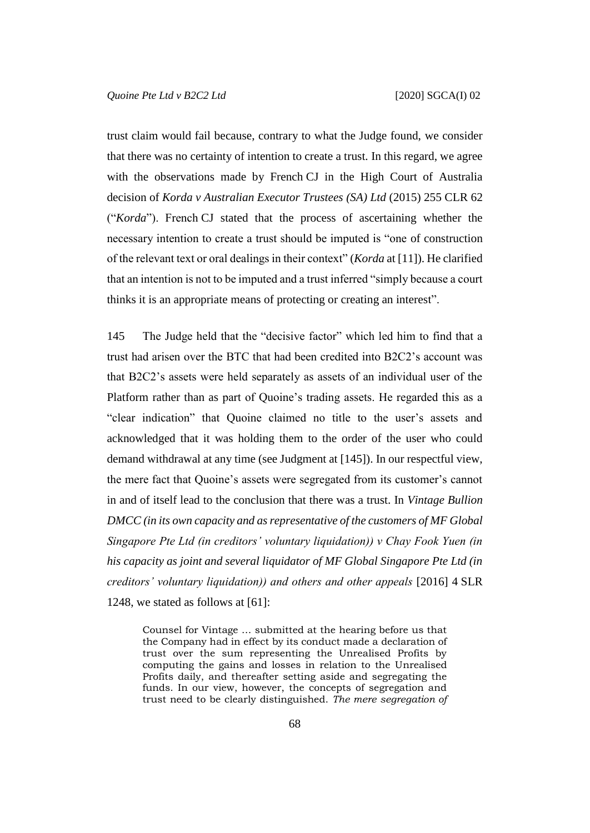trust claim would fail because, contrary to what the Judge found, we consider that there was no certainty of intention to create a trust. In this regard, we agree with the observations made by French CJ in the High Court of Australia decision of *Korda v Australian Executor Trustees (SA) Ltd* (2015) 255 CLR 62 ("*Korda*"). French CJ stated that the process of ascertaining whether the necessary intention to create a trust should be imputed is "one of construction of the relevant text or oral dealings in their context" (*Korda* at [11]). He clarified that an intention is not to be imputed and a trust inferred "simply because a court thinks it is an appropriate means of protecting or creating an interest".

145 The Judge held that the "decisive factor" which led him to find that a trust had arisen over the BTC that had been credited into B2C2's account was that B2C2's assets were held separately as assets of an individual user of the Platform rather than as part of Quoine's trading assets. He regarded this as a "clear indication" that Quoine claimed no title to the user's assets and acknowledged that it was holding them to the order of the user who could demand withdrawal at any time (see Judgment at [145]). In our respectful view, the mere fact that Quoine's assets were segregated from its customer's cannot in and of itself lead to the conclusion that there was a trust. In *Vintage Bullion DMCC (in its own capacity and as representative of the customers of MF Global Singapore Pte Ltd (in creditors' voluntary liquidation)) v Chay Fook Yuen (in his capacity as joint and several liquidator of MF Global Singapore Pte Ltd (in creditors' voluntary liquidation)) and others and other appeals* [2016] 4 SLR 1248, we stated as follows at [61]:

Counsel for Vintage … submitted at the hearing before us that the Company had in effect by its conduct made a declaration of trust over the sum representing the Unrealised Profits by computing the gains and losses in relation to the Unrealised Profits daily, and thereafter setting aside and segregating the funds. In our view, however, the concepts of segregation and trust need to be clearly distinguished. *The mere segregation of*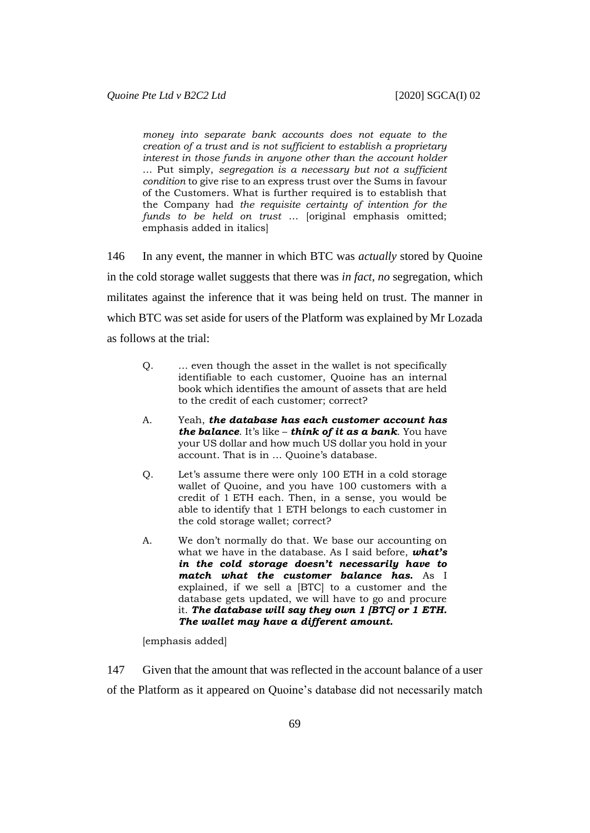*money into separate bank accounts does not equate to the creation of a trust and is not sufficient to establish a proprietary interest in those funds in anyone other than the account holder* … Put simply, *segregation is a necessary but not a sufficient condition* to give rise to an express trust over the Sums in favour of the Customers. What is further required is to establish that the Company had *the requisite certainty of intention for the funds to be held on trust* … [original emphasis omitted; emphasis added in italics]

146 In any event, the manner in which BTC was *actually* stored by Quoine in the cold storage wallet suggests that there was *in fact*, *no* segregation, which militates against the inference that it was being held on trust. The manner in which BTC was set aside for users of the Platform was explained by Mr Lozada as follows at the trial:

- Q. … even though the asset in the wallet is not specifically identifiable to each customer, Quoine has an internal book which identifies the amount of assets that are held to the credit of each customer; correct?
- A. Yeah, *the database has each customer account has the balance*. It's like – *think of it as a bank*. You have your US dollar and how much US dollar you hold in your account. That is in … Quoine's database.
- Q. Let's assume there were only 100 ETH in a cold storage wallet of Quoine, and you have 100 customers with a credit of 1 ETH each. Then, in a sense, you would be able to identify that 1 ETH belongs to each customer in the cold storage wallet; correct?
- A. We don't normally do that. We base our accounting on what we have in the database. As I said before, *what's in the cold storage doesn't necessarily have to match what the customer balance has.* As I explained, if we sell a [BTC] to a customer and the database gets updated, we will have to go and procure it. *The database will say they own 1 [BTC] or 1 ETH. The wallet may have a different amount.*

[emphasis added]

147 Given that the amount that was reflected in the account balance of a user of the Platform as it appeared on Quoine's database did not necessarily match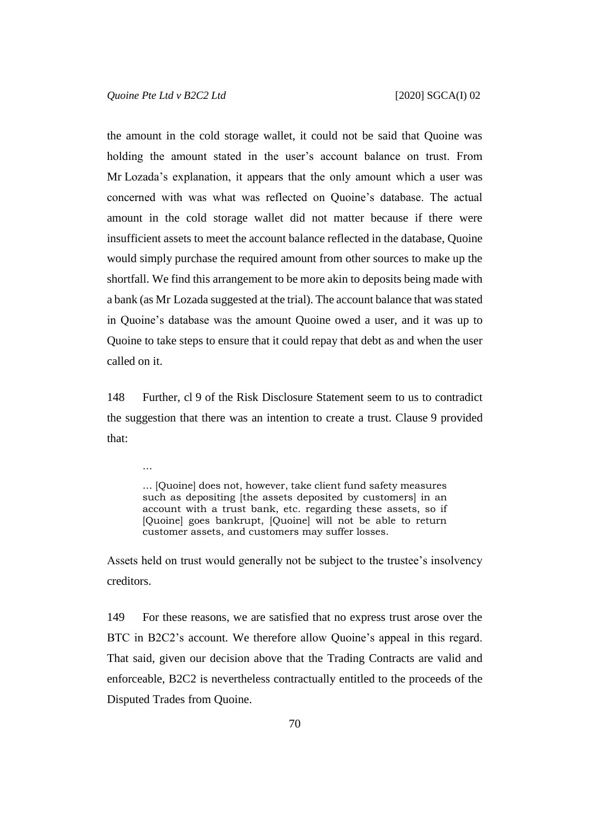…

the amount in the cold storage wallet, it could not be said that Quoine was holding the amount stated in the user's account balance on trust. From Mr Lozada's explanation, it appears that the only amount which a user was concerned with was what was reflected on Quoine's database. The actual amount in the cold storage wallet did not matter because if there were insufficient assets to meet the account balance reflected in the database, Quoine would simply purchase the required amount from other sources to make up the shortfall. We find this arrangement to be more akin to deposits being made with a bank (as Mr Lozada suggested at the trial). The account balance that was stated in Quoine's database was the amount Quoine owed a user, and it was up to Quoine to take steps to ensure that it could repay that debt as and when the user called on it.

148 Further, cl 9 of the Risk Disclosure Statement seem to us to contradict the suggestion that there was an intention to create a trust. Clause 9 provided that:

… [Quoine] does not, however, take client fund safety measures such as depositing [the assets deposited by customers] in an account with a trust bank, etc. regarding these assets, so if [Quoine] goes bankrupt, [Quoine] will not be able to return customer assets, and customers may suffer losses.

Assets held on trust would generally not be subject to the trustee's insolvency creditors.

149 For these reasons, we are satisfied that no express trust arose over the BTC in B2C2's account. We therefore allow Quoine's appeal in this regard. That said, given our decision above that the Trading Contracts are valid and enforceable, B2C2 is nevertheless contractually entitled to the proceeds of the Disputed Trades from Quoine.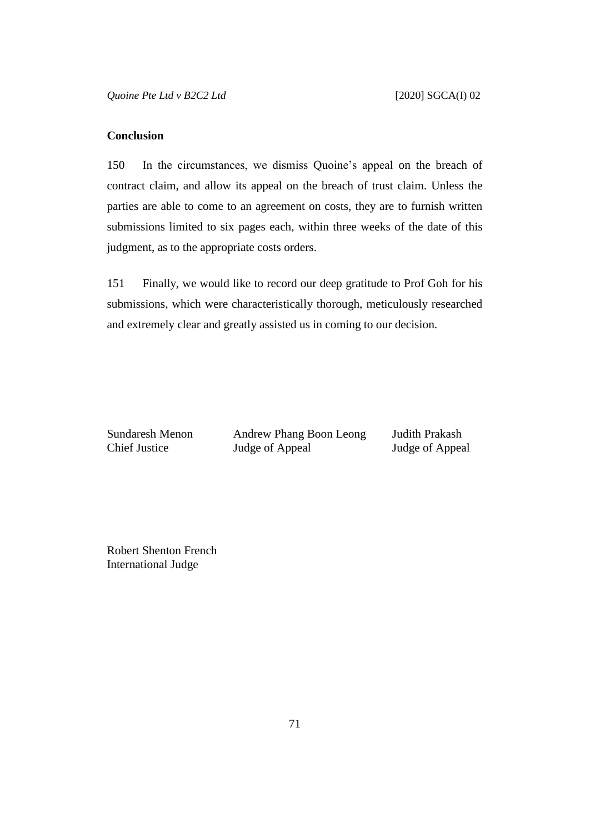## **Conclusion**

150 In the circumstances, we dismiss Quoine's appeal on the breach of contract claim, and allow its appeal on the breach of trust claim. Unless the parties are able to come to an agreement on costs, they are to furnish written submissions limited to six pages each, within three weeks of the date of this judgment, as to the appropriate costs orders.

151 Finally, we would like to record our deep gratitude to Prof Goh for his submissions, which were characteristically thorough, meticulously researched and extremely clear and greatly assisted us in coming to our decision.

Sundaresh Menon Andrew Phang Boon Leong Judith Prakash Chief Justice Judge of Appeal Judge of Appeal

Robert Shenton French International Judge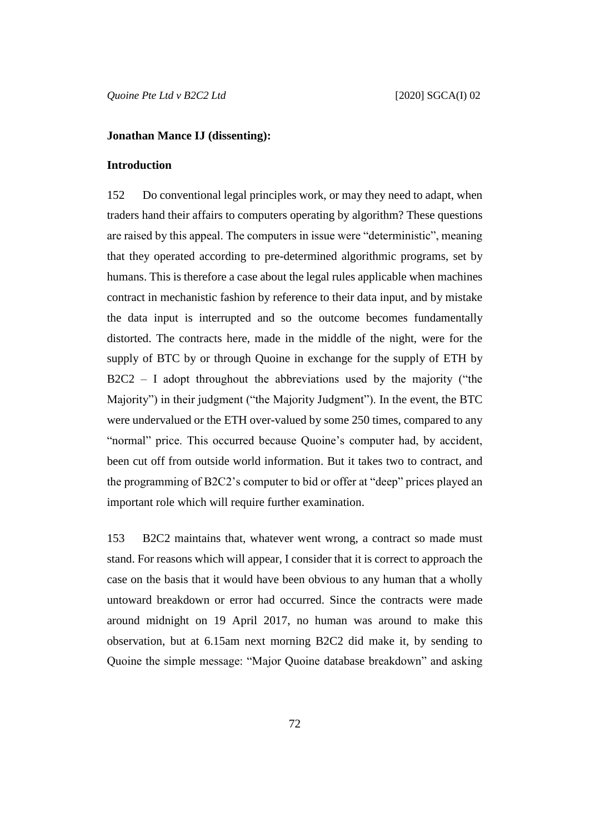## **Jonathan Mance IJ (dissenting):**

#### **Introduction**

152 Do conventional legal principles work, or may they need to adapt, when traders hand their affairs to computers operating by algorithm? These questions are raised by this appeal. The computers in issue were "deterministic", meaning that they operated according to pre-determined algorithmic programs, set by humans. This is therefore a case about the legal rules applicable when machines contract in mechanistic fashion by reference to their data input, and by mistake the data input is interrupted and so the outcome becomes fundamentally distorted. The contracts here, made in the middle of the night, were for the supply of BTC by or through Quoine in exchange for the supply of ETH by  $B2C2 - I$  adopt throughout the abbreviations used by the majority ("the Majority") in their judgment ("the Majority Judgment"). In the event, the BTC were undervalued or the ETH over-valued by some 250 times, compared to any "normal" price. This occurred because Quoine's computer had, by accident, been cut off from outside world information. But it takes two to contract, and the programming of B2C2's computer to bid or offer at "deep" prices played an important role which will require further examination.

153 B2C2 maintains that, whatever went wrong, a contract so made must stand. For reasons which will appear, I consider that it is correct to approach the case on the basis that it would have been obvious to any human that a wholly untoward breakdown or error had occurred. Since the contracts were made around midnight on 19 April 2017, no human was around to make this observation, but at 6.15am next morning B2C2 did make it, by sending to Quoine the simple message: "Major Quoine database breakdown" and asking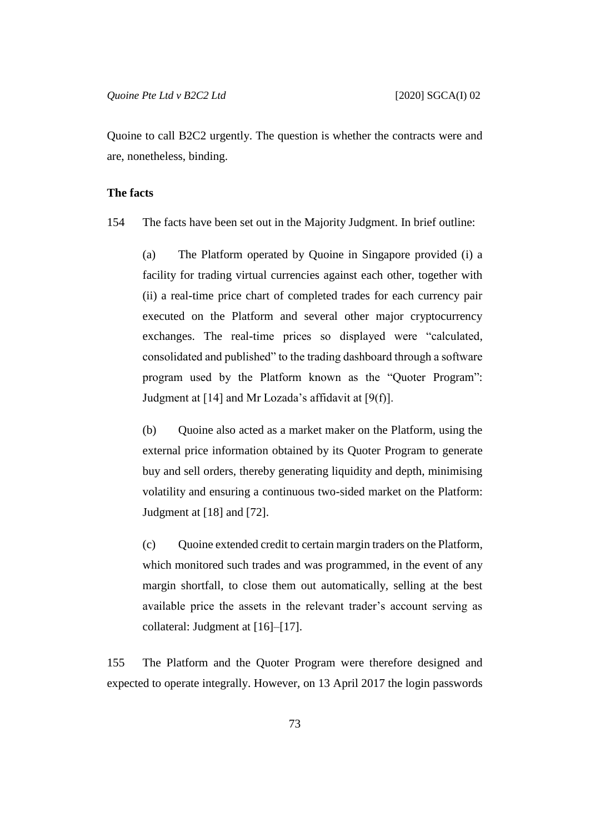Quoine to call B2C2 urgently. The question is whether the contracts were and are, nonetheless, binding.

# **The facts**

154 The facts have been set out in the Majority Judgment. In brief outline:

(a) The Platform operated by Quoine in Singapore provided (i) a facility for trading virtual currencies against each other, together with (ii) a real-time price chart of completed trades for each currency pair executed on the Platform and several other major cryptocurrency exchanges. The real-time prices so displayed were "calculated, consolidated and published" to the trading dashboard through a software program used by the Platform known as the "Quoter Program": Judgment at [14] and Mr Lozada's affidavit at [9(f)].

(b) Quoine also acted as a market maker on the Platform, using the external price information obtained by its Quoter Program to generate buy and sell orders, thereby generating liquidity and depth, minimising volatility and ensuring a continuous two-sided market on the Platform: Judgment at [18] and [72].

(c) Quoine extended credit to certain margin traders on the Platform, which monitored such trades and was programmed, in the event of any margin shortfall, to close them out automatically, selling at the best available price the assets in the relevant trader's account serving as collateral: Judgment at [16]–[17].

155 The Platform and the Quoter Program were therefore designed and expected to operate integrally. However, on 13 April 2017 the login passwords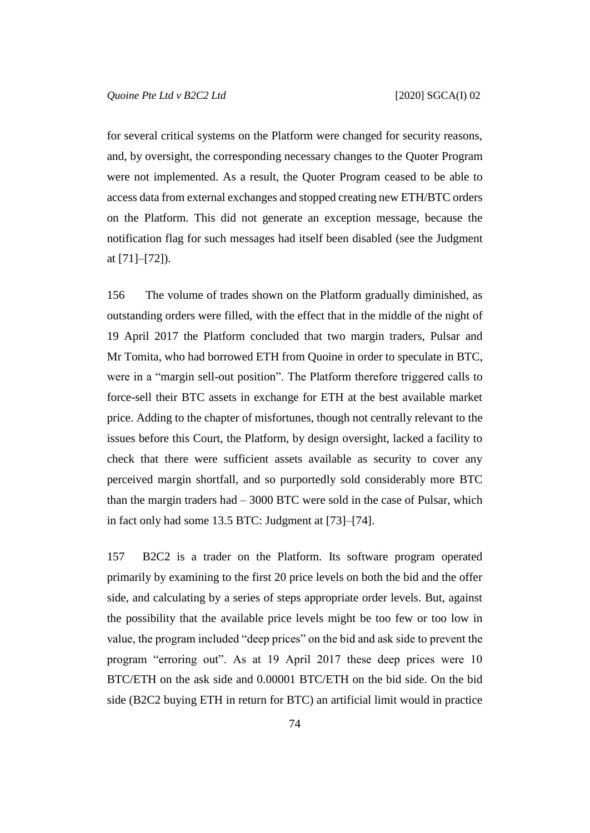for several critical systems on the Platform were changed for security reasons, and, by oversight, the corresponding necessary changes to the Quoter Program were not implemented. As a result, the Quoter Program ceased to be able to access data from external exchanges and stopped creating new ETH/BTC orders on the Platform. This did not generate an exception message, because the notification flag for such messages had itself been disabled (see the Judgment at [71]–[72]).

156 The volume of trades shown on the Platform gradually diminished, as outstanding orders were filled, with the effect that in the middle of the night of 19 April 2017 the Platform concluded that two margin traders, Pulsar and Mr Tomita, who had borrowed ETH from Quoine in order to speculate in BTC, were in a "margin sell-out position". The Platform therefore triggered calls to force-sell their BTC assets in exchange for ETH at the best available market price. Adding to the chapter of misfortunes, though not centrally relevant to the issues before this Court, the Platform, by design oversight, lacked a facility to check that there were sufficient assets available as security to cover any perceived margin shortfall, and so purportedly sold considerably more BTC than the margin traders had  $-3000$  BTC were sold in the case of Pulsar, which in fact only had some 13.5 BTC: Judgment at [73]–[74].

157 B2C2 is a trader on the Platform. Its software program operated primarily by examining to the first 20 price levels on both the bid and the offer side, and calculating by a series of steps appropriate order levels. But, against the possibility that the available price levels might be too few or too low in value, the program included "deep prices" on the bid and ask side to prevent the program "erroring out". As at 19 April 2017 these deep prices were 10 BTC/ETH on the ask side and 0.00001 BTC/ETH on the bid side. On the bid side (B2C2 buying ETH in return for BTC) an artificial limit would in practice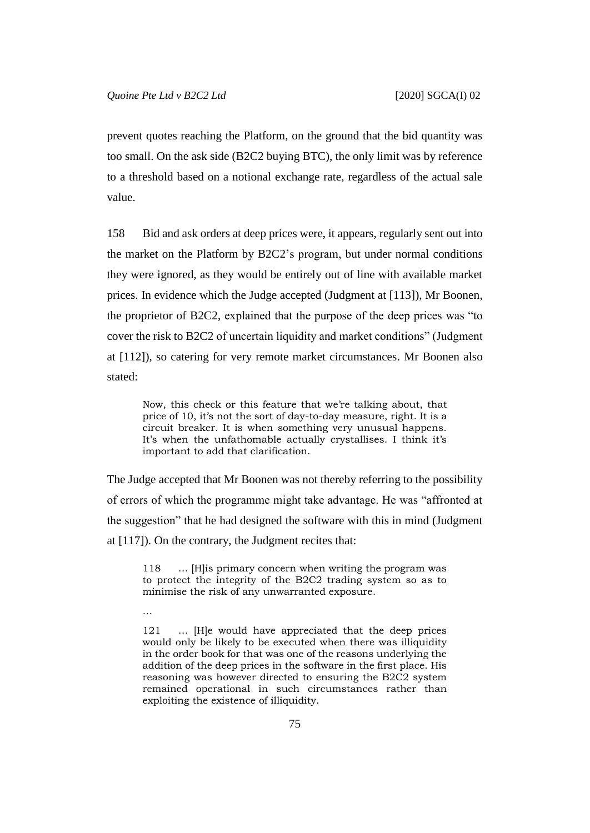prevent quotes reaching the Platform, on the ground that the bid quantity was too small. On the ask side (B2C2 buying BTC), the only limit was by reference to a threshold based on a notional exchange rate, regardless of the actual sale value.

158 Bid and ask orders at deep prices were, it appears, regularly sent out into the market on the Platform by B2C2's program, but under normal conditions they were ignored, as they would be entirely out of line with available market prices. In evidence which the Judge accepted (Judgment at [113]), Mr Boonen, the proprietor of B2C2, explained that the purpose of the deep prices was "to cover the risk to B2C2 of uncertain liquidity and market conditions" (Judgment at [112]), so catering for very remote market circumstances. Mr Boonen also stated:

Now, this check or this feature that we're talking about, that price of 10, it's not the sort of day-to-day measure, right. It is a circuit breaker. It is when something very unusual happens. It's when the unfathomable actually crystallises. I think it's important to add that clarification.

The Judge accepted that Mr Boonen was not thereby referring to the possibility of errors of which the programme might take advantage. He was "affronted at the suggestion" that he had designed the software with this in mind (Judgment at [117]). On the contrary, the Judgment recites that:

118 … [H]is primary concern when writing the program was to protect the integrity of the B2C2 trading system so as to minimise the risk of any unwarranted exposure.

…

121 … [H]e would have appreciated that the deep prices would only be likely to be executed when there was illiquidity in the order book for that was one of the reasons underlying the addition of the deep prices in the software in the first place. His reasoning was however directed to ensuring the B2C2 system remained operational in such circumstances rather than exploiting the existence of illiquidity.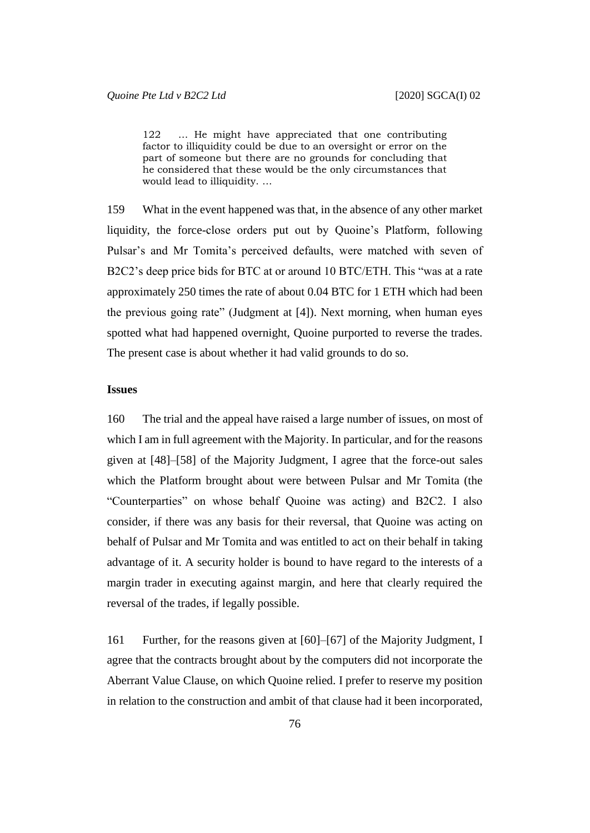122 … He might have appreciated that one contributing factor to illiquidity could be due to an oversight or error on the part of someone but there are no grounds for concluding that he considered that these would be the only circumstances that would lead to illiquidity. …

159 What in the event happened was that, in the absence of any other market liquidity, the force-close orders put out by Quoine's Platform, following Pulsar's and Mr Tomita's perceived defaults, were matched with seven of B2C2's deep price bids for BTC at or around 10 BTC/ETH. This "was at a rate approximately 250 times the rate of about 0.04 BTC for 1 ETH which had been the previous going rate" (Judgment at [4]). Next morning, when human eyes spotted what had happened overnight, Quoine purported to reverse the trades. The present case is about whether it had valid grounds to do so.

## **Issues**

160 The trial and the appeal have raised a large number of issues, on most of which I am in full agreement with the Majority. In particular, and for the reasons given at [48]–[58] of the Majority Judgment, I agree that the force-out sales which the Platform brought about were between Pulsar and Mr Tomita (the "Counterparties" on whose behalf Quoine was acting) and B2C2. I also consider, if there was any basis for their reversal, that Quoine was acting on behalf of Pulsar and Mr Tomita and was entitled to act on their behalf in taking advantage of it. A security holder is bound to have regard to the interests of a margin trader in executing against margin, and here that clearly required the reversal of the trades, if legally possible.

161 Further, for the reasons given at [60]–[67] of the Majority Judgment, I agree that the contracts brought about by the computers did not incorporate the Aberrant Value Clause, on which Quoine relied. I prefer to reserve my position in relation to the construction and ambit of that clause had it been incorporated,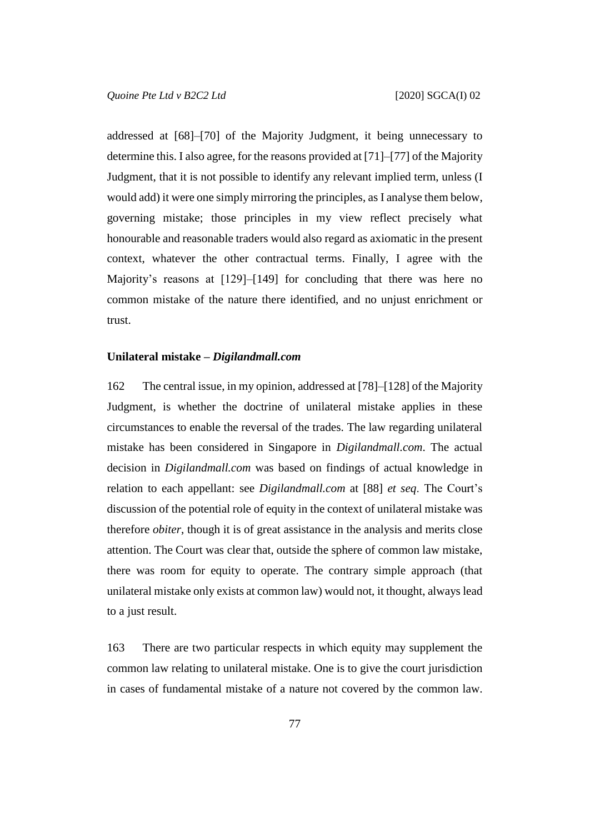addressed at [68]–[70] of the Majority Judgment, it being unnecessary to determine this. I also agree, for the reasons provided at [71]–[77] of the Majority Judgment, that it is not possible to identify any relevant implied term, unless (I would add) it were one simply mirroring the principles, as I analyse them below, governing mistake; those principles in my view reflect precisely what honourable and reasonable traders would also regard as axiomatic in the present context, whatever the other contractual terms. Finally, I agree with the Majority's reasons at [129]–[149] for concluding that there was here no common mistake of the nature there identified, and no unjust enrichment or trust.

## **Unilateral mistake –** *Digilandmall.com*

162 The central issue, in my opinion, addressed at [78]–[128] of the Majority Judgment, is whether the doctrine of unilateral mistake applies in these circumstances to enable the reversal of the trades. The law regarding unilateral mistake has been considered in Singapore in *Digilandmall.com*. The actual decision in *Digilandmall.com* was based on findings of actual knowledge in relation to each appellant: see *Digilandmall.com* at [88] *et seq*. The Court's discussion of the potential role of equity in the context of unilateral mistake was therefore *obiter*, though it is of great assistance in the analysis and merits close attention. The Court was clear that, outside the sphere of common law mistake, there was room for equity to operate. The contrary simple approach (that unilateral mistake only exists at common law) would not, it thought, always lead to a just result.

163 There are two particular respects in which equity may supplement the common law relating to unilateral mistake. One is to give the court jurisdiction in cases of fundamental mistake of a nature not covered by the common law.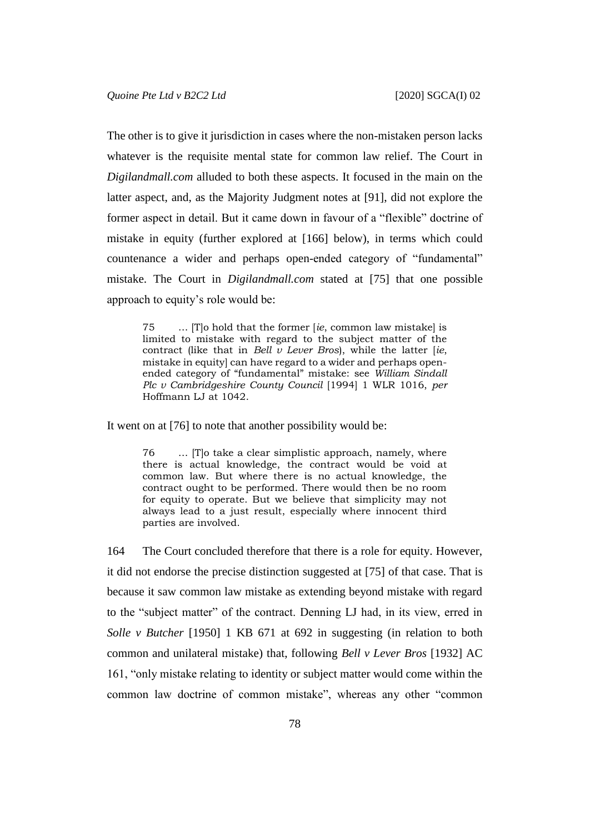The other is to give it jurisdiction in cases where the non-mistaken person lacks whatever is the requisite mental state for common law relief. The Court in *Digilandmall.com* alluded to both these aspects. It focused in the main on the latter aspect, and, as the Majority Judgment notes at [91], did not explore the former aspect in detail. But it came down in favour of a "flexible" doctrine of mistake in equity (further explored at [166] below), in terms which could countenance a wider and perhaps open-ended category of "fundamental" mistake. The Court in *Digilandmall.com* stated at [75] that one possible approach to equity's role would be:

75 … [T]o hold that the former [*ie*, common law mistake] is limited to mistake with regard to the subject matter of the contract (like that in *Bell v Lever Bros*), while the latter [*ie*, mistake in equity] can have regard to a wider and perhaps openended category of "fundamental" mistake: see *William Sindall Plc v Cambridgeshire County Council* [1994] 1 WLR 1016, *per* Hoffmann LJ at 1042.

It went on at [76] to note that another possibility would be:

76 … [T]o take a clear simplistic approach, namely, where there is actual knowledge, the contract would be void at common law. But where there is no actual knowledge, the contract ought to be performed. There would then be no room for equity to operate. But we believe that simplicity may not always lead to a just result, especially where innocent third parties are involved.

164 The Court concluded therefore that there is a role for equity. However, it did not endorse the precise distinction suggested at [75] of that case. That is because it saw common law mistake as extending beyond mistake with regard to the "subject matter" of the contract. Denning LJ had, in its view, erred in *Solle v Butcher* [1950] 1 KB 671 at 692 in suggesting (in relation to both common and unilateral mistake) that, following *Bell v Lever Bros* [1932] AC 161, "only mistake relating to identity or subject matter would come within the common law doctrine of common mistake", whereas any other "common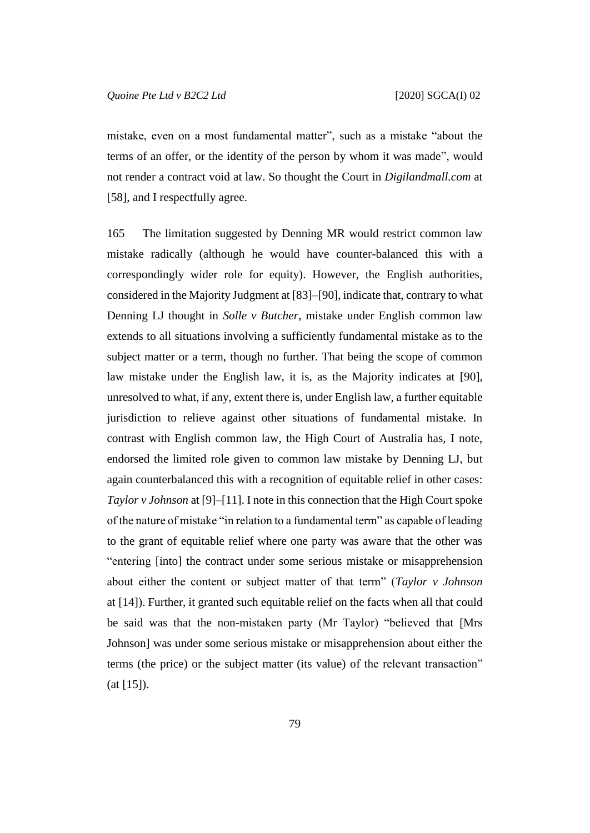mistake, even on a most fundamental matter", such as a mistake "about the terms of an offer, or the identity of the person by whom it was made", would not render a contract void at law. So thought the Court in *Digilandmall.com* at [58], and I respectfully agree.

165 The limitation suggested by Denning MR would restrict common law mistake radically (although he would have counter-balanced this with a correspondingly wider role for equity). However, the English authorities, considered in the Majority Judgment at [83]–[90], indicate that, contrary to what Denning LJ thought in *Solle v Butcher*, mistake under English common law extends to all situations involving a sufficiently fundamental mistake as to the subject matter or a term, though no further. That being the scope of common law mistake under the English law, it is, as the Majority indicates at [90], unresolved to what, if any, extent there is, under English law, a further equitable jurisdiction to relieve against other situations of fundamental mistake. In contrast with English common law, the High Court of Australia has, I note, endorsed the limited role given to common law mistake by Denning LJ, but again counterbalanced this with a recognition of equitable relief in other cases: *Taylor v Johnson* at [9]–[11]. I note in this connection that the High Court spoke of the nature of mistake "in relation to a fundamental term" as capable of leading to the grant of equitable relief where one party was aware that the other was "entering [into] the contract under some serious mistake or misapprehension about either the content or subject matter of that term" (*Taylor v Johnson*  at [14]). Further, it granted such equitable relief on the facts when all that could be said was that the non-mistaken party (Mr Taylor) "believed that [Mrs Johnson] was under some serious mistake or misapprehension about either the terms (the price) or the subject matter (its value) of the relevant transaction"  $(at [15]).$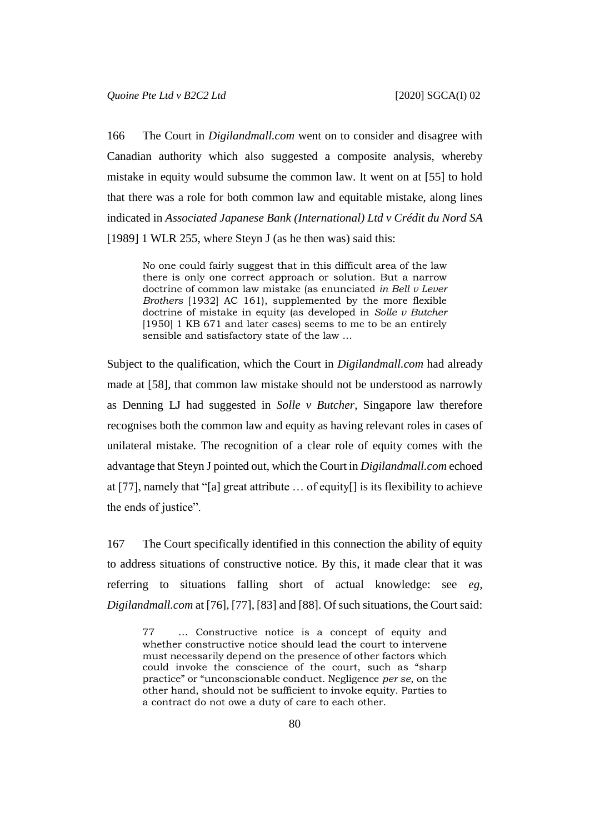166 The Court in *Digilandmall.com* went on to consider and disagree with Canadian authority which also suggested a composite analysis, whereby mistake in equity would subsume the common law. It went on at [55] to hold that there was a role for both common law and equitable mistake, along lines indicated in *Associated Japanese Bank (International) Ltd v Crédit du Nord SA* [1989] 1 WLR 255, where Steyn J (as he then was) said this:

No one could fairly suggest that in this difficult area of the law there is only one correct approach or solution. But a narrow doctrine of common law mistake (as enunciated *in Bell v Lever Brothers* [1932] AC 161), supplemented by the more flexible doctrine of mistake in equity (as developed in *Solle v Butcher* [1950] 1 KB 671 and later cases] seems to me to be an entirely sensible and satisfactory state of the law …

Subject to the qualification, which the Court in *Digilandmall.com* had already made at [58], that common law mistake should not be understood as narrowly as Denning LJ had suggested in *Solle v Butcher*, Singapore law therefore recognises both the common law and equity as having relevant roles in cases of unilateral mistake. The recognition of a clear role of equity comes with the advantage that Steyn J pointed out, which the Court in *Digilandmall.com* echoed at [77], namely that "[a] great attribute … of equity[] is its flexibility to achieve the ends of justice".

167 The Court specifically identified in this connection the ability of equity to address situations of constructive notice. By this, it made clear that it was referring to situations falling short of actual knowledge: see *eg*, *Digilandmall.com* at [76], [77], [83] and [88]. Of such situations, the Court said:

77 … Constructive notice is a concept of equity and whether constructive notice should lead the court to intervene must necessarily depend on the presence of other factors which could invoke the conscience of the court, such as "sharp practice" or "unconscionable conduct. Negligence *per se*, on the other hand, should not be sufficient to invoke equity. Parties to a contract do not owe a duty of care to each other.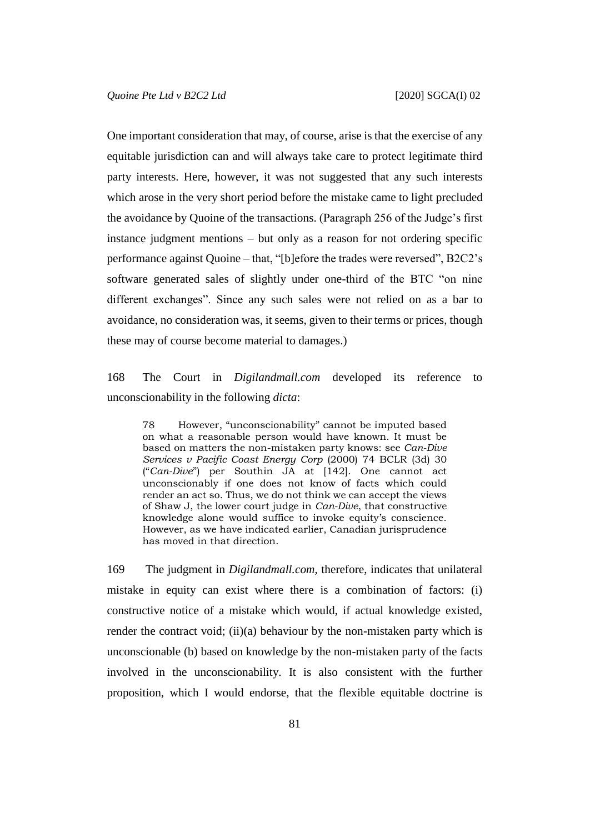One important consideration that may, of course, arise is that the exercise of any equitable jurisdiction can and will always take care to protect legitimate third party interests. Here, however, it was not suggested that any such interests which arose in the very short period before the mistake came to light precluded the avoidance by Quoine of the transactions. (Paragraph 256 of the Judge's first instance judgment mentions – but only as a reason for not ordering specific performance against Quoine – that, "[b]efore the trades were reversed", B2C2's software generated sales of slightly under one-third of the BTC "on nine different exchanges". Since any such sales were not relied on as a bar to avoidance, no consideration was, it seems, given to their terms or prices, though these may of course become material to damages.)

168 The Court in *Digilandmall.com* developed its reference to unconscionability in the following *dicta*:

78 However, "unconscionability" cannot be imputed based on what a reasonable person would have known. It must be based on matters the non-mistaken party knows: see *Can-Dive Services v Pacific Coast Energy Corp* (2000) 74 BCLR (3d) 30 ("*Can-Dive*") per Southin JA at [142]. One cannot act unconscionably if one does not know of facts which could render an act so. Thus, we do not think we can accept the views of Shaw J, the lower court judge in *Can-Dive*, that constructive knowledge alone would suffice to invoke equity's conscience. However, as we have indicated earlier, Canadian jurisprudence has moved in that direction.

169 The judgment in *Digilandmall.com*, therefore, indicates that unilateral mistake in equity can exist where there is a combination of factors: (i) constructive notice of a mistake which would, if actual knowledge existed, render the contract void; (ii)(a) behaviour by the non-mistaken party which is unconscionable (b) based on knowledge by the non-mistaken party of the facts involved in the unconscionability. It is also consistent with the further proposition, which I would endorse, that the flexible equitable doctrine is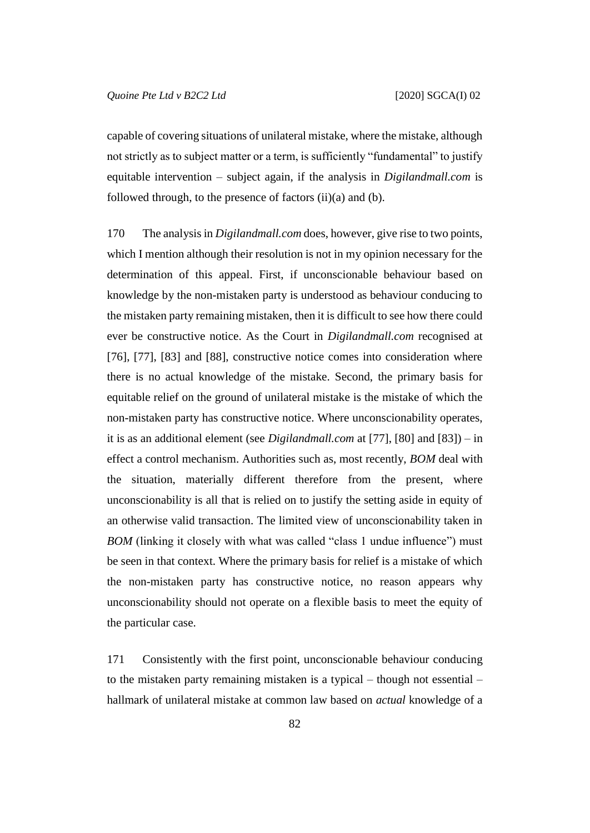capable of covering situations of unilateral mistake, where the mistake, although not strictly as to subject matter or a term, is sufficiently "fundamental" to justify equitable intervention – subject again, if the analysis in *Digilandmall.com* is followed through, to the presence of factors (ii)(a) and (b).

170 The analysis in *Digilandmall.com* does, however, give rise to two points, which I mention although their resolution is not in my opinion necessary for the determination of this appeal. First, if unconscionable behaviour based on knowledge by the non-mistaken party is understood as behaviour conducing to the mistaken party remaining mistaken, then it is difficult to see how there could ever be constructive notice. As the Court in *Digilandmall.com* recognised at [76], [77], [83] and [88], constructive notice comes into consideration where there is no actual knowledge of the mistake. Second, the primary basis for equitable relief on the ground of unilateral mistake is the mistake of which the non-mistaken party has constructive notice. Where unconscionability operates, it is as an additional element (see *Digilandmall.com* at [77], [80] and [83]) – in effect a control mechanism. Authorities such as, most recently, *BOM* deal with the situation, materially different therefore from the present, where unconscionability is all that is relied on to justify the setting aside in equity of an otherwise valid transaction. The limited view of unconscionability taken in *BOM* (linking it closely with what was called "class 1 undue influence") must be seen in that context. Where the primary basis for relief is a mistake of which the non-mistaken party has constructive notice, no reason appears why unconscionability should not operate on a flexible basis to meet the equity of the particular case.

171 Consistently with the first point, unconscionable behaviour conducing to the mistaken party remaining mistaken is a typical – though not essential – hallmark of unilateral mistake at common law based on *actual* knowledge of a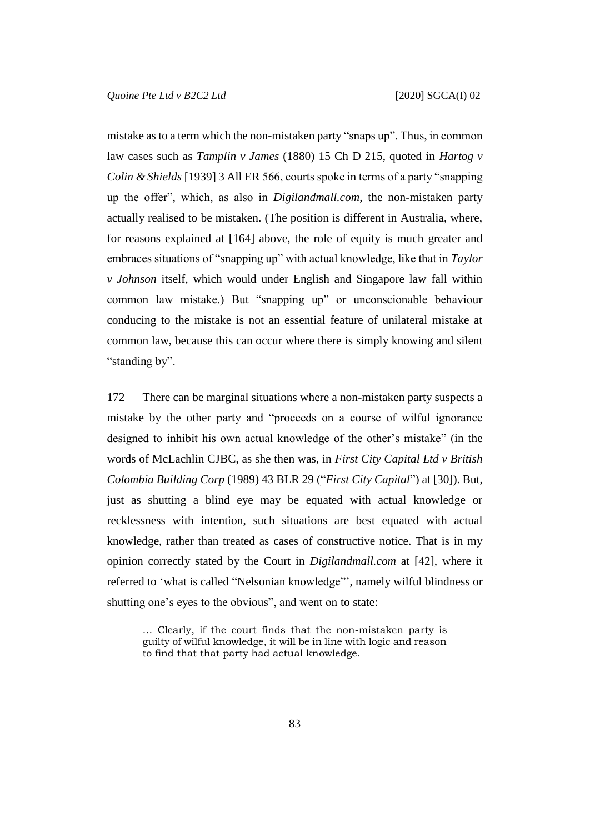mistake as to a term which the non-mistaken party "snaps up". Thus, in common law cases such as *Tamplin v James* (1880) 15 Ch D 215, quoted in *Hartog v Colin & Shields* [1939] 3 All ER 566, courts spoke in terms of a party "snapping up the offer", which, as also in *Digilandmall.com*, the non-mistaken party actually realised to be mistaken. (The position is different in Australia, where, for reasons explained at [164] above, the role of equity is much greater and embraces situations of "snapping up" with actual knowledge, like that in *Taylor v Johnson* itself, which would under English and Singapore law fall within common law mistake.) But "snapping up" or unconscionable behaviour conducing to the mistake is not an essential feature of unilateral mistake at common law, because this can occur where there is simply knowing and silent "standing by".

172 There can be marginal situations where a non-mistaken party suspects a mistake by the other party and "proceeds on a course of wilful ignorance designed to inhibit his own actual knowledge of the other's mistake" (in the words of McLachlin CJBC, as she then was, in *First City Capital Ltd v British Colombia Building Corp* (1989) 43 BLR 29 ("*First City Capital*") at [30]). But, just as shutting a blind eye may be equated with actual knowledge or recklessness with intention, such situations are best equated with actual knowledge, rather than treated as cases of constructive notice. That is in my opinion correctly stated by the Court in *Digilandmall.com* at [42], where it referred to 'what is called "Nelsonian knowledge"', namely wilful blindness or shutting one's eyes to the obvious", and went on to state:

… Clearly, if the court finds that the non-mistaken party is guilty of wilful knowledge, it will be in line with logic and reason to find that that party had actual knowledge.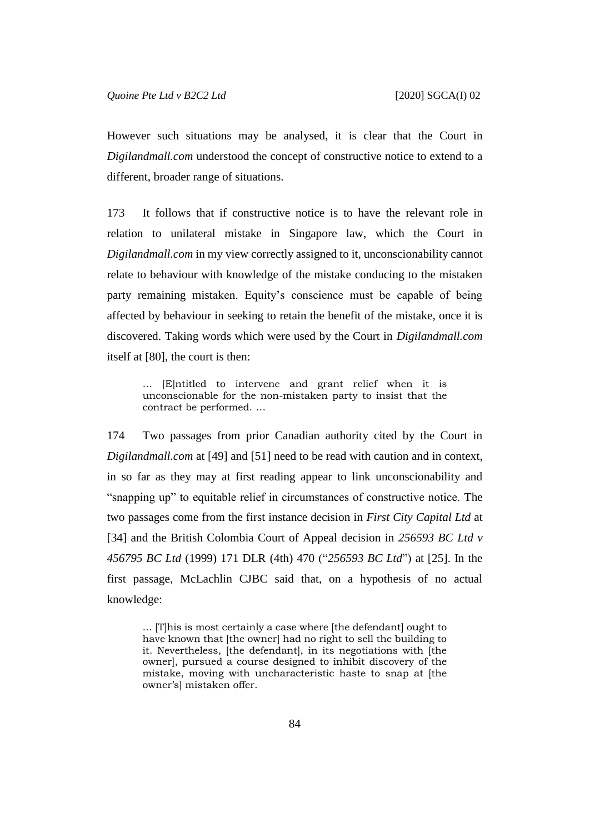However such situations may be analysed, it is clear that the Court in *Digilandmall.com* understood the concept of constructive notice to extend to a different, broader range of situations.

173 It follows that if constructive notice is to have the relevant role in relation to unilateral mistake in Singapore law, which the Court in *Digilandmall.com* in my view correctly assigned to it, unconscionability cannot relate to behaviour with knowledge of the mistake conducing to the mistaken party remaining mistaken. Equity's conscience must be capable of being affected by behaviour in seeking to retain the benefit of the mistake, once it is discovered. Taking words which were used by the Court in *Digilandmall.com* itself at [80], the court is then:

… [E]ntitled to intervene and grant relief when it is unconscionable for the non-mistaken party to insist that the contract be performed. …

174 Two passages from prior Canadian authority cited by the Court in *Digilandmall.com* at [49] and [51] need to be read with caution and in context, in so far as they may at first reading appear to link unconscionability and "snapping up" to equitable relief in circumstances of constructive notice. The two passages come from the first instance decision in *First City Capital Ltd* at [34] and the British Colombia Court of Appeal decision in *256593 BC Ltd v 456795 BC Ltd* (1999) 171 DLR (4th) 470 ("*256593 BC Ltd*") at [25]. In the first passage, McLachlin CJBC said that, on a hypothesis of no actual knowledge:

... [T]his is most certainly a case where [the defendant] ought to have known that [the owner] had no right to sell the building to it. Nevertheless, [the defendant], in its negotiations with [the owner], pursued a course designed to inhibit discovery of the mistake, moving with uncharacteristic haste to snap at [the owner's] mistaken offer.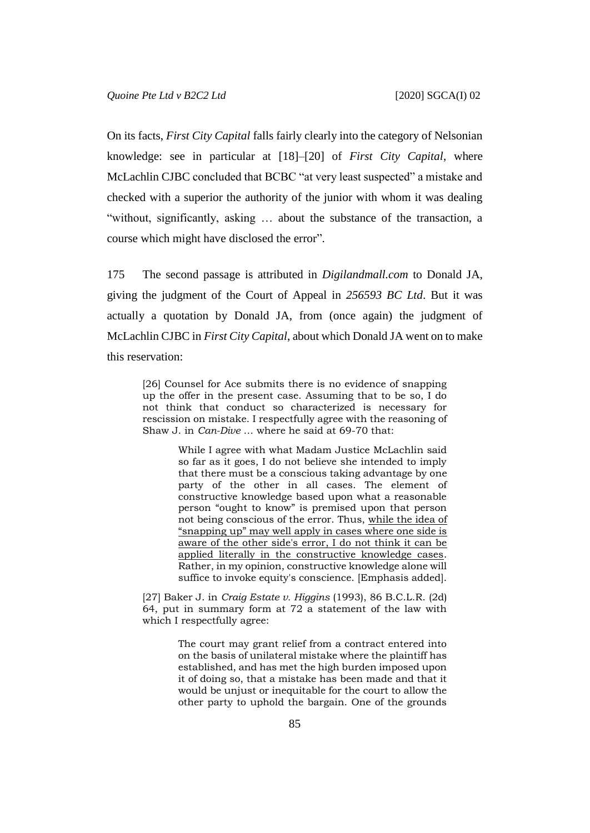On its facts, *First City Capital* falls fairly clearly into the category of Nelsonian knowledge: see in particular at [18]–[20] of *First City Capital*, where McLachlin CJBC concluded that BCBC "at very least suspected" a mistake and checked with a superior the authority of the junior with whom it was dealing "without, significantly, asking … about the substance of the transaction, a course which might have disclosed the error".

175 The second passage is attributed in *Digilandmall.com* to Donald JA, giving the judgment of the Court of Appeal in *256593 BC Ltd*. But it was actually a quotation by Donald JA, from (once again) the judgment of McLachlin CJBC in *First City Capital*, about which Donald JA went on to make this reservation:

[26] Counsel for Ace submits there is no evidence of snapping up the offer in the present case. Assuming that to be so, I do not think that conduct so characterized is necessary for rescission on mistake. I respectfully agree with the reasoning of Shaw J. in *Can-Dive …* where he said at 69-70 that:

> While I agree with what Madam Justice McLachlin said so far as it goes, I do not believe she intended to imply that there must be a conscious taking advantage by one party of the other in all cases. The element of constructive knowledge based upon what a reasonable person "ought to know" is premised upon that person not being conscious of the error. Thus, while the idea of "snapping up" may well apply in cases where one side is aware of the other side's error, I do not think it can be applied literally in the constructive knowledge cases. Rather, in my opinion, constructive knowledge alone will suffice to invoke equity's conscience. [Emphasis added].

[27] Baker J. in *Craig Estate v. Higgins* (1993), 86 B.C.L.R. (2d) 64, put in summary form at 72 a statement of the law with which I respectfully agree:

> The court may grant relief from a contract entered into on the basis of unilateral mistake where the plaintiff has established, and has met the high burden imposed upon it of doing so, that a mistake has been made and that it would be unjust or inequitable for the court to allow the other party to uphold the bargain. One of the grounds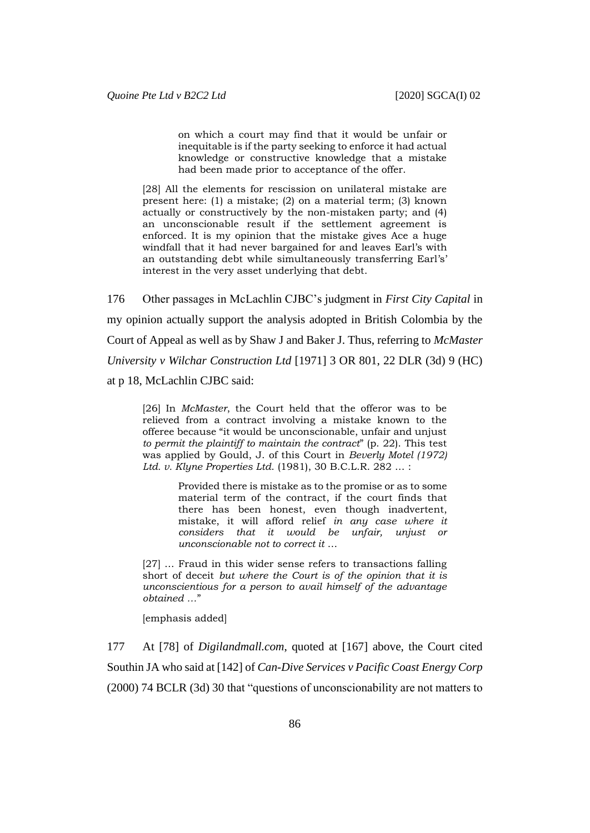on which a court may find that it would be unfair or inequitable is if the party seeking to enforce it had actual knowledge or constructive knowledge that a mistake had been made prior to acceptance of the offer.

[28] All the elements for rescission on unilateral mistake are present here: (1) a mistake; (2) on a material term; (3) known actually or constructively by the non-mistaken party; and (4) an unconscionable result if the settlement agreement is enforced. It is my opinion that the mistake gives Ace a huge windfall that it had never bargained for and leaves Earl's with an outstanding debt while simultaneously transferring Earl's' interest in the very asset underlying that debt.

176 Other passages in McLachlin CJBC's judgment in *First City Capital* in my opinion actually support the analysis adopted in British Colombia by the Court of Appeal as well as by Shaw J and Baker J. Thus, referring to *McMaster University v Wilchar Construction Ltd* [1971] 3 OR 801, 22 DLR (3d) 9 (HC) at p 18, McLachlin CJBC said:

[26] In *McMaster*, the Court held that the offeror was to be relieved from a contract involving a mistake known to the offeree because "it would be unconscionable, unfair and unjust *to permit the plaintiff to maintain the contract*" (p. 22). This test was applied by Gould, J. of this Court in *Beverly Motel (1972) Ltd. v. Klyne Properties Ltd*. (1981), 30 B.C.L.R. 282 … :

> Provided there is mistake as to the promise or as to some material term of the contract, if the court finds that there has been honest, even though inadvertent, mistake, it will afford relief *in any case where it considers that it would be unfair, unjust or unconscionable not to correct it* …

[27] ... Fraud in this wider sense refers to transactions falling short of deceit *but where the Court is of the opinion that it is unconscientious for a person to avail himself of the advantage obtained …*"

[emphasis added]

177 At [78] of *Digilandmall.com*, quoted at [167] above, the Court cited Southin JA who said at [142] of *Can-Dive Services v Pacific Coast Energy Corp* (2000) 74 BCLR (3d) 30 that "questions of unconscionability are not matters to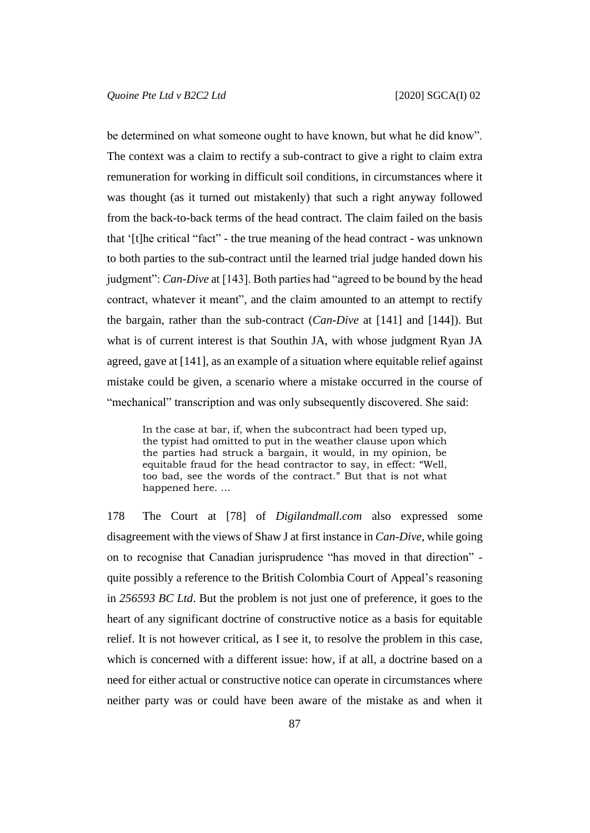be determined on what someone ought to have known, but what he did know". The context was a claim to rectify a sub-contract to give a right to claim extra remuneration for working in difficult soil conditions, in circumstances where it was thought (as it turned out mistakenly) that such a right anyway followed from the back-to-back terms of the head contract. The claim failed on the basis that '[t]he critical "fact" - the true meaning of the head contract - was unknown to both parties to the sub-contract until the learned trial judge handed down his judgment": *Can-Dive* at [143]. Both parties had "agreed to be bound by the head contract, whatever it meant", and the claim amounted to an attempt to rectify the bargain, rather than the sub-contract (*Can-Dive* at [141] and [144]). But what is of current interest is that Southin JA, with whose judgment Ryan JA agreed, gave at [141], as an example of a situation where equitable relief against mistake could be given, a scenario where a mistake occurred in the course of "mechanical" transcription and was only subsequently discovered. She said:

In the case at bar, if, when the subcontract had been typed up, the typist had omitted to put in the weather clause upon which the parties had struck a bargain, it would, in my opinion, be equitable fraud for the head contractor to say, in effect: "Well, too bad, see the words of the contract." But that is not what happened here. …

178 The Court at [78] of *Digilandmall.com* also expressed some disagreement with the views of Shaw J at first instance in *Can-Dive*, while going on to recognise that Canadian jurisprudence "has moved in that direction" quite possibly a reference to the British Colombia Court of Appeal's reasoning in *256593 BC Ltd*. But the problem is not just one of preference, it goes to the heart of any significant doctrine of constructive notice as a basis for equitable relief. It is not however critical, as I see it, to resolve the problem in this case, which is concerned with a different issue: how, if at all, a doctrine based on a need for either actual or constructive notice can operate in circumstances where neither party was or could have been aware of the mistake as and when it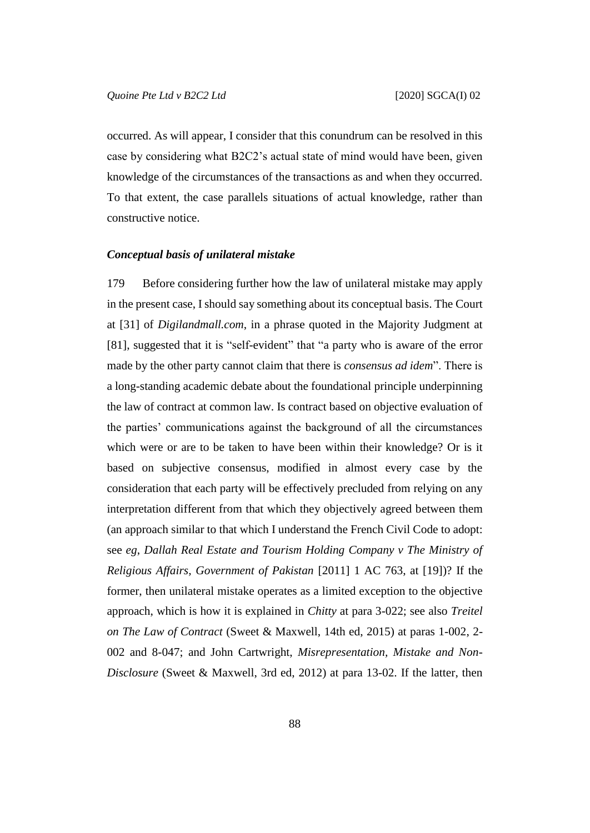occurred. As will appear, I consider that this conundrum can be resolved in this case by considering what B2C2's actual state of mind would have been, given knowledge of the circumstances of the transactions as and when they occurred. To that extent, the case parallels situations of actual knowledge, rather than constructive notice.

#### *Conceptual basis of unilateral mistake*

179 Before considering further how the law of unilateral mistake may apply in the present case, I should say something about its conceptual basis. The Court at [31] of *Digilandmall.com*, in a phrase quoted in the Majority Judgment at [81], suggested that it is "self-evident" that "a party who is aware of the error made by the other party cannot claim that there is *consensus ad idem*". There is a long-standing academic debate about the foundational principle underpinning the law of contract at common law. Is contract based on objective evaluation of the parties' communications against the background of all the circumstances which were or are to be taken to have been within their knowledge? Or is it based on subjective consensus, modified in almost every case by the consideration that each party will be effectively precluded from relying on any interpretation different from that which they objectively agreed between them (an approach similar to that which I understand the French Civil Code to adopt: see *eg*, *Dallah Real Estate and Tourism Holding Company v The Ministry of Religious Affairs, Government of Pakistan* [2011] 1 AC 763, at [19])? If the former, then unilateral mistake operates as a limited exception to the objective approach, which is how it is explained in *Chitty* at para 3-022; see also *Treitel on The Law of Contract* (Sweet & Maxwell, 14th ed, 2015) at paras 1-002, 2- 002 and 8-047; and John Cartwright, *Misrepresentation, Mistake and Non-Disclosure* (Sweet & Maxwell, 3rd ed, 2012) at para 13-02. If the latter, then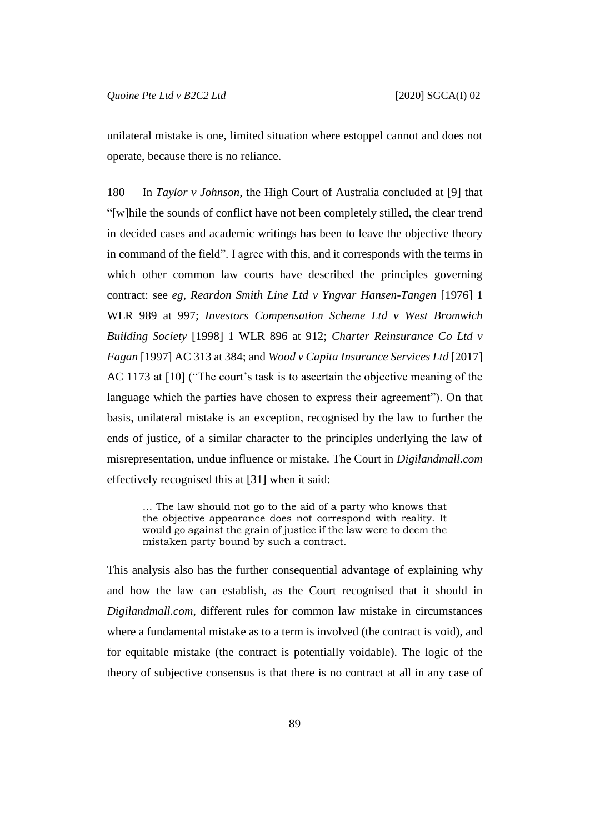unilateral mistake is one, limited situation where estoppel cannot and does not operate, because there is no reliance.

180 In *Taylor v Johnson*, the High Court of Australia concluded at [9] that "[w]hile the sounds of conflict have not been completely stilled, the clear trend in decided cases and academic writings has been to leave the objective theory in command of the field". I agree with this, and it corresponds with the terms in which other common law courts have described the principles governing contract: see *eg*, *Reardon Smith Line Ltd v Yngvar Hansen-Tangen* [1976] 1 WLR 989 at 997; *Investors Compensation Scheme Ltd v West Bromwich Building Society* [1998] 1 WLR 896 at 912; *Charter Reinsurance Co Ltd v Fagan* [1997] AC 313 at 384; and *Wood v Capita Insurance Services Ltd* [2017] AC 1173 at [10] ("The court's task is to ascertain the objective meaning of the language which the parties have chosen to express their agreement"). On that basis, unilateral mistake is an exception, recognised by the law to further the ends of justice, of a similar character to the principles underlying the law of misrepresentation, undue influence or mistake. The Court in *Digilandmall.com* effectively recognised this at [31] when it said:

… The law should not go to the aid of a party who knows that the objective appearance does not correspond with reality. It would go against the grain of justice if the law were to deem the mistaken party bound by such a contract.

This analysis also has the further consequential advantage of explaining why and how the law can establish, as the Court recognised that it should in *Digilandmall.com*, different rules for common law mistake in circumstances where a fundamental mistake as to a term is involved (the contract is void), and for equitable mistake (the contract is potentially voidable). The logic of the theory of subjective consensus is that there is no contract at all in any case of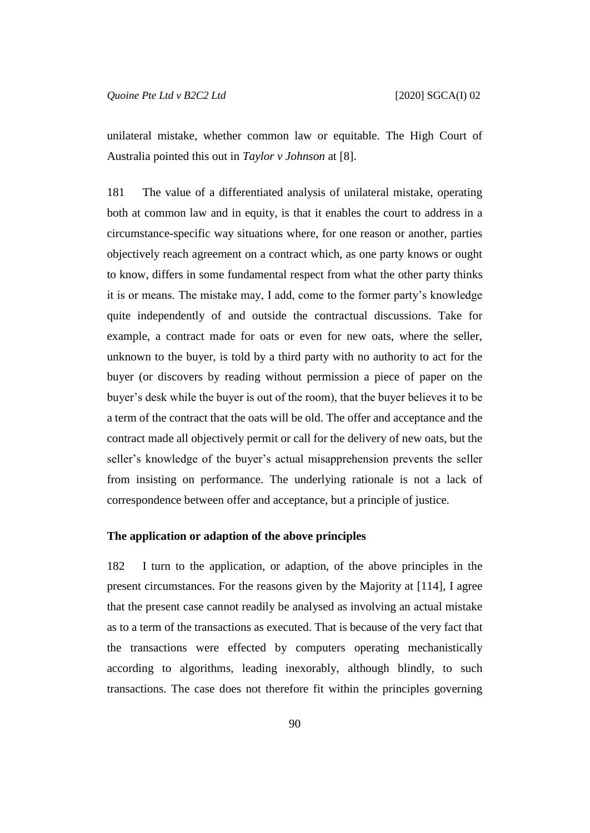unilateral mistake, whether common law or equitable. The High Court of Australia pointed this out in *Taylor v Johnson* at [8].

181 The value of a differentiated analysis of unilateral mistake, operating both at common law and in equity, is that it enables the court to address in a circumstance-specific way situations where, for one reason or another, parties objectively reach agreement on a contract which, as one party knows or ought to know, differs in some fundamental respect from what the other party thinks it is or means. The mistake may, I add, come to the former party's knowledge quite independently of and outside the contractual discussions. Take for example, a contract made for oats or even for new oats, where the seller, unknown to the buyer, is told by a third party with no authority to act for the buyer (or discovers by reading without permission a piece of paper on the buyer's desk while the buyer is out of the room), that the buyer believes it to be a term of the contract that the oats will be old. The offer and acceptance and the contract made all objectively permit or call for the delivery of new oats, but the seller's knowledge of the buyer's actual misapprehension prevents the seller from insisting on performance. The underlying rationale is not a lack of correspondence between offer and acceptance, but a principle of justice.

#### **The application or adaption of the above principles**

182 I turn to the application, or adaption, of the above principles in the present circumstances. For the reasons given by the Majority at [114], I agree that the present case cannot readily be analysed as involving an actual mistake as to a term of the transactions as executed. That is because of the very fact that the transactions were effected by computers operating mechanistically according to algorithms, leading inexorably, although blindly, to such transactions. The case does not therefore fit within the principles governing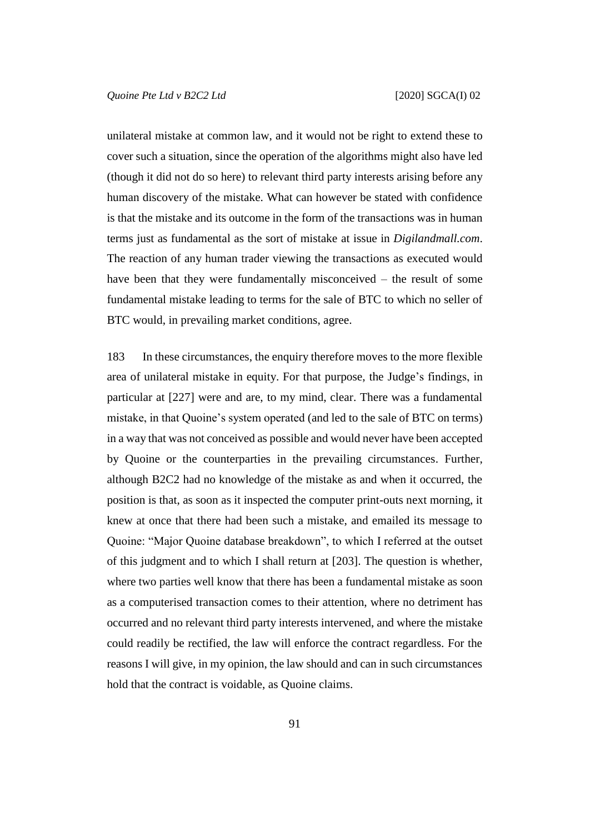unilateral mistake at common law, and it would not be right to extend these to cover such a situation, since the operation of the algorithms might also have led (though it did not do so here) to relevant third party interests arising before any human discovery of the mistake. What can however be stated with confidence is that the mistake and its outcome in the form of the transactions was in human terms just as fundamental as the sort of mistake at issue in *Digilandmall.com*. The reaction of any human trader viewing the transactions as executed would have been that they were fundamentally misconceived – the result of some fundamental mistake leading to terms for the sale of BTC to which no seller of BTC would, in prevailing market conditions, agree.

183 In these circumstances, the enquiry therefore moves to the more flexible area of unilateral mistake in equity. For that purpose, the Judge's findings, in particular at [227] were and are, to my mind, clear. There was a fundamental mistake, in that Quoine's system operated (and led to the sale of BTC on terms) in a way that was not conceived as possible and would never have been accepted by Quoine or the counterparties in the prevailing circumstances. Further, although B2C2 had no knowledge of the mistake as and when it occurred, the position is that, as soon as it inspected the computer print-outs next morning, it knew at once that there had been such a mistake, and emailed its message to Quoine: "Major Quoine database breakdown", to which I referred at the outset of this judgment and to which I shall return at [203]. The question is whether, where two parties well know that there has been a fundamental mistake as soon as a computerised transaction comes to their attention, where no detriment has occurred and no relevant third party interests intervened, and where the mistake could readily be rectified, the law will enforce the contract regardless. For the reasons I will give, in my opinion, the law should and can in such circumstances hold that the contract is voidable, as Quoine claims.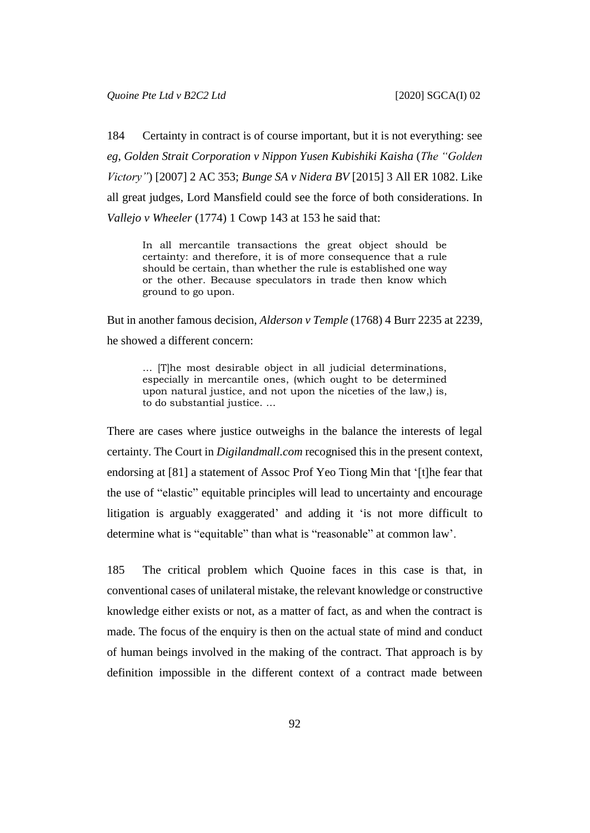184 Certainty in contract is of course important, but it is not everything: see *eg*, *Golden Strait Corporation v Nippon Yusen Kubishiki Kaisha* (*The "Golden Victory"*) [2007] 2 AC 353; *Bunge SA v Nidera BV* [2015] 3 All ER 1082. Like all great judges, Lord Mansfield could see the force of both considerations. In *Vallejo v Wheeler* (1774) 1 Cowp 143 at 153 he said that:

In all mercantile transactions the great object should be certainty: and therefore, it is of more consequence that a rule should be certain, than whether the rule is established one way or the other. Because speculators in trade then know which ground to go upon.

But in another famous decision, *Alderson v Temple* (1768) 4 Burr 2235 at 2239, he showed a different concern:

… [T]he most desirable object in all judicial determinations, especially in mercantile ones, (which ought to be determined upon natural justice, and not upon the niceties of the law,) is, to do substantial justice. …

There are cases where justice outweighs in the balance the interests of legal certainty. The Court in *Digilandmall.com* recognised this in the present context, endorsing at [81] a statement of Assoc Prof Yeo Tiong Min that '[t]he fear that the use of "elastic" equitable principles will lead to uncertainty and encourage litigation is arguably exaggerated' and adding it 'is not more difficult to determine what is "equitable" than what is "reasonable" at common law'.

185 The critical problem which Quoine faces in this case is that, in conventional cases of unilateral mistake, the relevant knowledge or constructive knowledge either exists or not, as a matter of fact, as and when the contract is made. The focus of the enquiry is then on the actual state of mind and conduct of human beings involved in the making of the contract. That approach is by definition impossible in the different context of a contract made between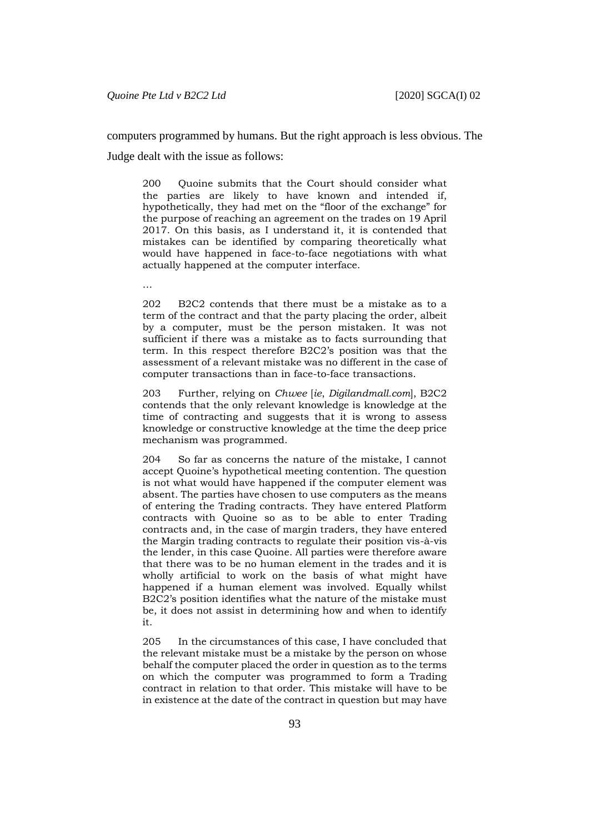computers programmed by humans. But the right approach is less obvious. The

Judge dealt with the issue as follows:

200 Quoine submits that the Court should consider what the parties are likely to have known and intended if, hypothetically, they had met on the "floor of the exchange" for the purpose of reaching an agreement on the trades on 19 April 2017. On this basis, as I understand it, it is contended that mistakes can be identified by comparing theoretically what would have happened in face-to-face negotiations with what actually happened at the computer interface.

…

202 B2C2 contends that there must be a mistake as to a term of the contract and that the party placing the order, albeit by a computer, must be the person mistaken. It was not sufficient if there was a mistake as to facts surrounding that term. In this respect therefore B2C2's position was that the assessment of a relevant mistake was no different in the case of computer transactions than in face-to-face transactions.

203 Further, relying on *Chwee* [*ie*, *Digilandmall.com*], B2C2 contends that the only relevant knowledge is knowledge at the time of contracting and suggests that it is wrong to assess knowledge or constructive knowledge at the time the deep price mechanism was programmed.

204 So far as concerns the nature of the mistake, I cannot accept Quoine's hypothetical meeting contention. The question is not what would have happened if the computer element was absent. The parties have chosen to use computers as the means of entering the Trading contracts. They have entered Platform contracts with Quoine so as to be able to enter Trading contracts and, in the case of margin traders, they have entered the Margin trading contracts to regulate their position vis-à-vis the lender, in this case Quoine. All parties were therefore aware that there was to be no human element in the trades and it is wholly artificial to work on the basis of what might have happened if a human element was involved. Equally whilst B2C2's position identifies what the nature of the mistake must be, it does not assist in determining how and when to identify it.

205 In the circumstances of this case, I have concluded that the relevant mistake must be a mistake by the person on whose behalf the computer placed the order in question as to the terms on which the computer was programmed to form a Trading contract in relation to that order. This mistake will have to be in existence at the date of the contract in question but may have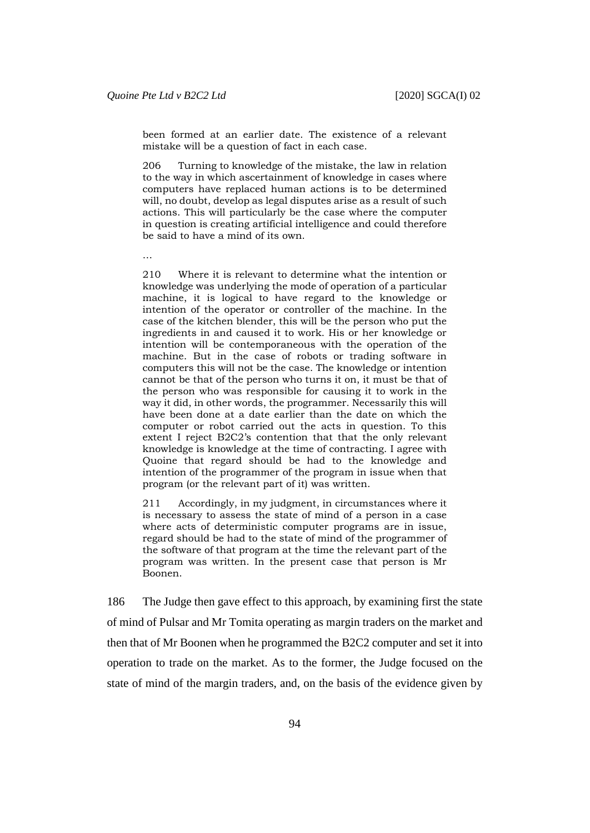been formed at an earlier date. The existence of a relevant mistake will be a question of fact in each case.

206 Turning to knowledge of the mistake, the law in relation to the way in which ascertainment of knowledge in cases where computers have replaced human actions is to be determined will, no doubt, develop as legal disputes arise as a result of such actions. This will particularly be the case where the computer in question is creating artificial intelligence and could therefore be said to have a mind of its own.

…

210 Where it is relevant to determine what the intention or knowledge was underlying the mode of operation of a particular machine, it is logical to have regard to the knowledge or intention of the operator or controller of the machine. In the case of the kitchen blender, this will be the person who put the ingredients in and caused it to work. His or her knowledge or intention will be contemporaneous with the operation of the machine. But in the case of robots or trading software in computers this will not be the case. The knowledge or intention cannot be that of the person who turns it on, it must be that of the person who was responsible for causing it to work in the way it did, in other words, the programmer. Necessarily this will have been done at a date earlier than the date on which the computer or robot carried out the acts in question. To this extent I reject B2C2's contention that that the only relevant knowledge is knowledge at the time of contracting. I agree with Quoine that regard should be had to the knowledge and intention of the programmer of the program in issue when that program (or the relevant part of it) was written.

211 Accordingly, in my judgment, in circumstances where it is necessary to assess the state of mind of a person in a case where acts of deterministic computer programs are in issue, regard should be had to the state of mind of the programmer of the software of that program at the time the relevant part of the program was written. In the present case that person is Mr Boonen.

186 The Judge then gave effect to this approach, by examining first the state of mind of Pulsar and Mr Tomita operating as margin traders on the market and then that of Mr Boonen when he programmed the B2C2 computer and set it into operation to trade on the market. As to the former, the Judge focused on the state of mind of the margin traders, and, on the basis of the evidence given by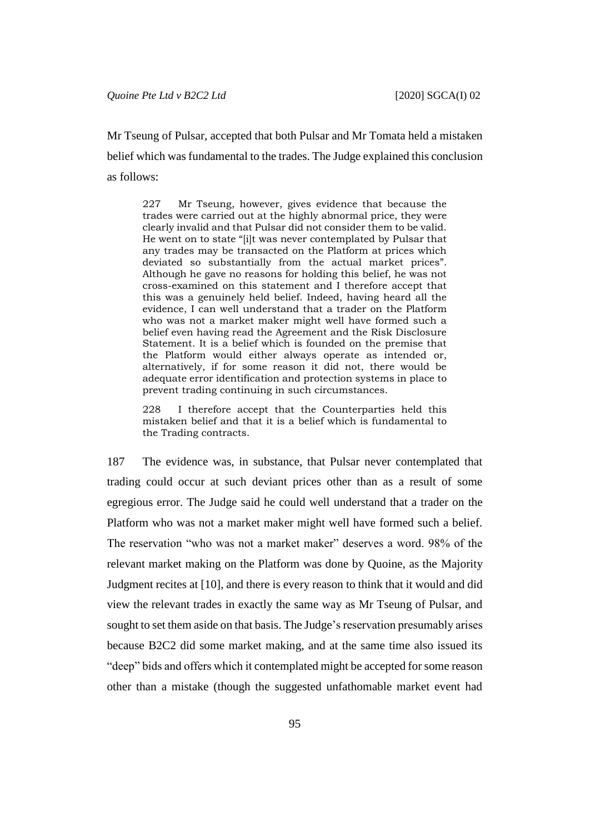Mr Tseung of Pulsar, accepted that both Pulsar and Mr Tomata held a mistaken belief which was fundamental to the trades. The Judge explained this conclusion as follows:

227 Mr Tseung, however, gives evidence that because the trades were carried out at the highly abnormal price, they were clearly invalid and that Pulsar did not consider them to be valid. He went on to state "[i]t was never contemplated by Pulsar that any trades may be transacted on the Platform at prices which deviated so substantially from the actual market prices". Although he gave no reasons for holding this belief, he was not cross-examined on this statement and I therefore accept that this was a genuinely held belief. Indeed, having heard all the evidence, I can well understand that a trader on the Platform who was not a market maker might well have formed such a belief even having read the Agreement and the Risk Disclosure Statement. It is a belief which is founded on the premise that the Platform would either always operate as intended or, alternatively, if for some reason it did not, there would be adequate error identification and protection systems in place to prevent trading continuing in such circumstances.

I therefore accept that the Counterparties held this mistaken belief and that it is a belief which is fundamental to the Trading contracts.

187 The evidence was, in substance, that Pulsar never contemplated that trading could occur at such deviant prices other than as a result of some egregious error. The Judge said he could well understand that a trader on the Platform who was not a market maker might well have formed such a belief. The reservation "who was not a market maker" deserves a word. 98% of the relevant market making on the Platform was done by Quoine, as the Majority Judgment recites at [10], and there is every reason to think that it would and did view the relevant trades in exactly the same way as Mr Tseung of Pulsar, and sought to set them aside on that basis. The Judge's reservation presumably arises because B2C2 did some market making, and at the same time also issued its "deep" bids and offers which it contemplated might be accepted for some reason other than a mistake (though the suggested unfathomable market event had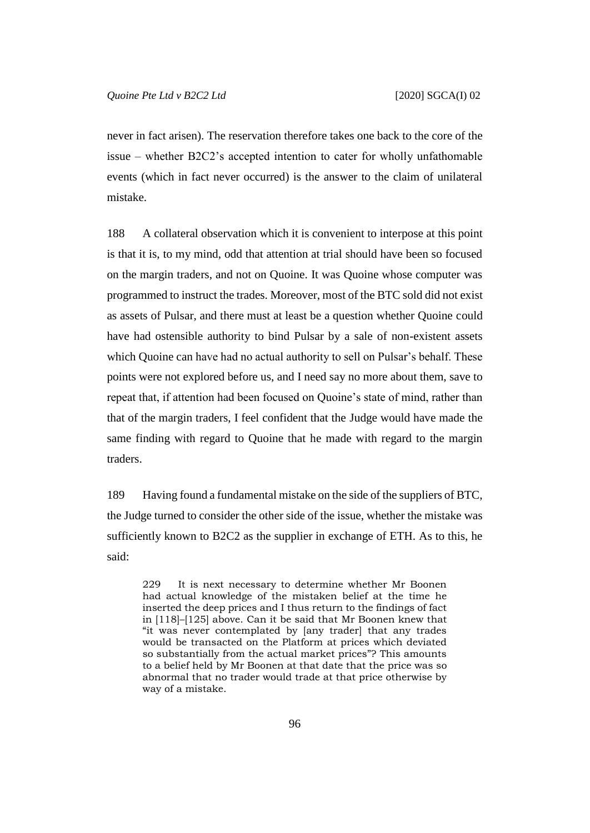never in fact arisen). The reservation therefore takes one back to the core of the issue – whether B2C2's accepted intention to cater for wholly unfathomable events (which in fact never occurred) is the answer to the claim of unilateral mistake.

188 A collateral observation which it is convenient to interpose at this point is that it is, to my mind, odd that attention at trial should have been so focused on the margin traders, and not on Quoine. It was Quoine whose computer was programmed to instruct the trades. Moreover, most of the BTC sold did not exist as assets of Pulsar, and there must at least be a question whether Quoine could have had ostensible authority to bind Pulsar by a sale of non-existent assets which Quoine can have had no actual authority to sell on Pulsar's behalf. These points were not explored before us, and I need say no more about them, save to repeat that, if attention had been focused on Quoine's state of mind, rather than that of the margin traders, I feel confident that the Judge would have made the same finding with regard to Quoine that he made with regard to the margin traders.

189 Having found a fundamental mistake on the side of the suppliers of BTC, the Judge turned to consider the other side of the issue, whether the mistake was sufficiently known to B2C2 as the supplier in exchange of ETH. As to this, he said:

229 It is next necessary to determine whether Mr Boonen had actual knowledge of the mistaken belief at the time he inserted the deep prices and I thus return to the findings of fact in [118]–[125] above. Can it be said that Mr Boonen knew that "it was never contemplated by [any trader] that any trades would be transacted on the Platform at prices which deviated so substantially from the actual market prices"? This amounts to a belief held by Mr Boonen at that date that the price was so abnormal that no trader would trade at that price otherwise by way of a mistake.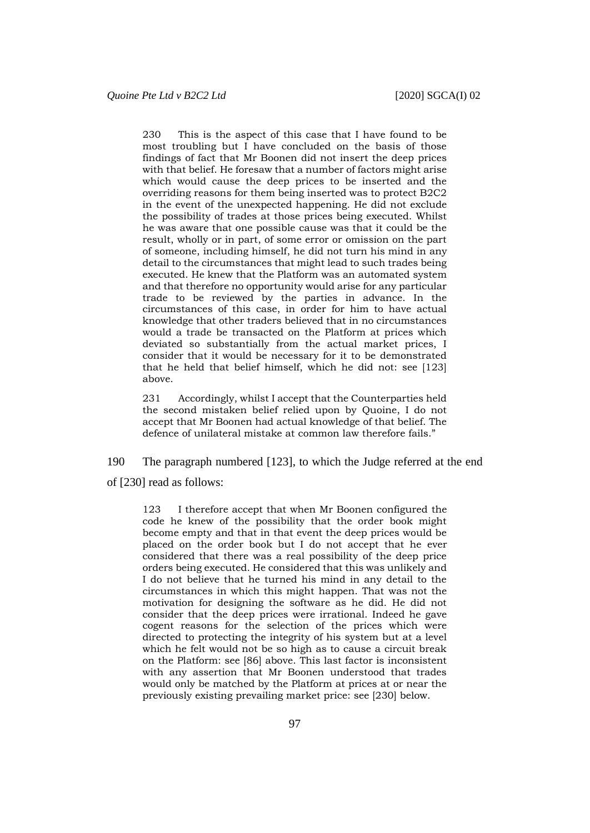230 This is the aspect of this case that I have found to be most troubling but I have concluded on the basis of those findings of fact that Mr Boonen did not insert the deep prices with that belief. He foresaw that a number of factors might arise which would cause the deep prices to be inserted and the overriding reasons for them being inserted was to protect B2C2 in the event of the unexpected happening. He did not exclude the possibility of trades at those prices being executed. Whilst he was aware that one possible cause was that it could be the result, wholly or in part, of some error or omission on the part of someone, including himself, he did not turn his mind in any detail to the circumstances that might lead to such trades being executed. He knew that the Platform was an automated system and that therefore no opportunity would arise for any particular trade to be reviewed by the parties in advance. In the circumstances of this case, in order for him to have actual knowledge that other traders believed that in no circumstances would a trade be transacted on the Platform at prices which deviated so substantially from the actual market prices, I consider that it would be necessary for it to be demonstrated that he held that belief himself, which he did not: see [123] above.

231 Accordingly, whilst I accept that the Counterparties held the second mistaken belief relied upon by Quoine, I do not accept that Mr Boonen had actual knowledge of that belief. The defence of unilateral mistake at common law therefore fails."

190 The paragraph numbered [123], to which the Judge referred at the end of [230] read as follows:

123 I therefore accept that when Mr Boonen configured the code he knew of the possibility that the order book might become empty and that in that event the deep prices would be placed on the order book but I do not accept that he ever considered that there was a real possibility of the deep price orders being executed. He considered that this was unlikely and I do not believe that he turned his mind in any detail to the circumstances in which this might happen. That was not the motivation for designing the software as he did. He did not consider that the deep prices were irrational. Indeed he gave cogent reasons for the selection of the prices which were directed to protecting the integrity of his system but at a level which he felt would not be so high as to cause a circuit break on the Platform: see [86] above. This last factor is inconsistent with any assertion that Mr Boonen understood that trades would only be matched by the Platform at prices at or near the previously existing prevailing market price: see [230] below.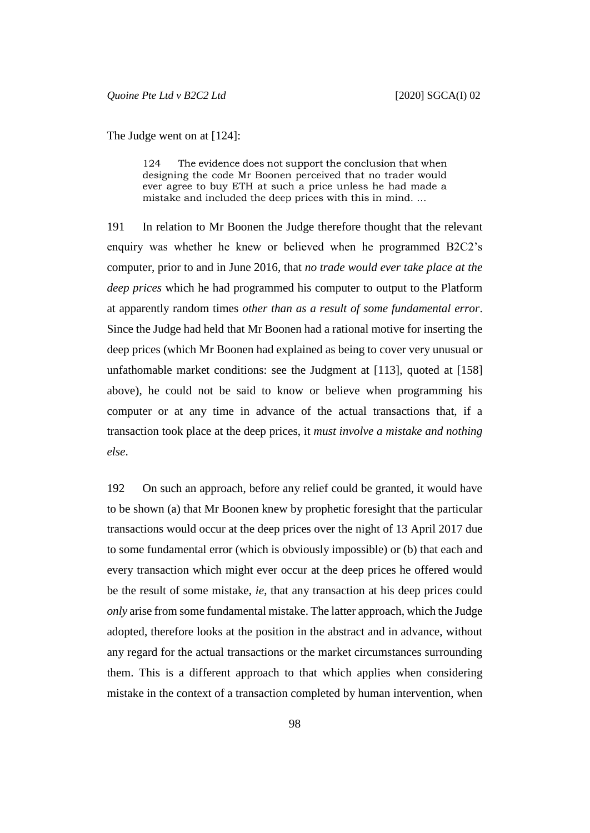The Judge went on at [124]:

124 The evidence does not support the conclusion that when designing the code Mr Boonen perceived that no trader would ever agree to buy ETH at such a price unless he had made a mistake and included the deep prices with this in mind. …

191 In relation to Mr Boonen the Judge therefore thought that the relevant enquiry was whether he knew or believed when he programmed B2C2's computer, prior to and in June 2016, that *no trade would ever take place at the deep prices* which he had programmed his computer to output to the Platform at apparently random times *other than as a result of some fundamental error*. Since the Judge had held that Mr Boonen had a rational motive for inserting the deep prices (which Mr Boonen had explained as being to cover very unusual or unfathomable market conditions: see the Judgment at [113], quoted at [158] above), he could not be said to know or believe when programming his computer or at any time in advance of the actual transactions that, if a transaction took place at the deep prices, it *must involve a mistake and nothing else*.

192 On such an approach, before any relief could be granted, it would have to be shown (a) that Mr Boonen knew by prophetic foresight that the particular transactions would occur at the deep prices over the night of 13 April 2017 due to some fundamental error (which is obviously impossible) or (b) that each and every transaction which might ever occur at the deep prices he offered would be the result of some mistake, *ie*, that any transaction at his deep prices could *only* arise from some fundamental mistake. The latter approach, which the Judge adopted, therefore looks at the position in the abstract and in advance, without any regard for the actual transactions or the market circumstances surrounding them. This is a different approach to that which applies when considering mistake in the context of a transaction completed by human intervention, when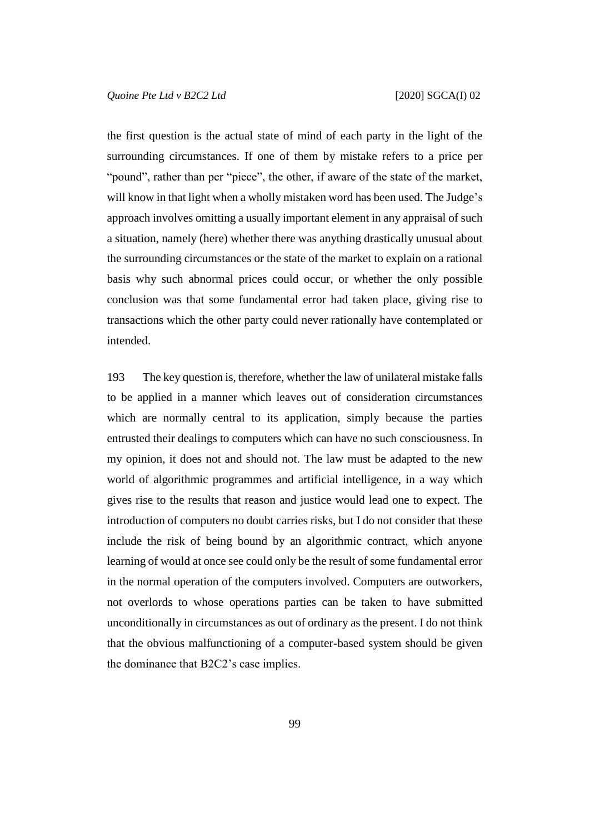the first question is the actual state of mind of each party in the light of the surrounding circumstances. If one of them by mistake refers to a price per "pound", rather than per "piece", the other, if aware of the state of the market, will know in that light when a wholly mistaken word has been used. The Judge's approach involves omitting a usually important element in any appraisal of such a situation, namely (here) whether there was anything drastically unusual about the surrounding circumstances or the state of the market to explain on a rational basis why such abnormal prices could occur, or whether the only possible conclusion was that some fundamental error had taken place, giving rise to transactions which the other party could never rationally have contemplated or intended.

193 The key question is, therefore, whether the law of unilateral mistake falls to be applied in a manner which leaves out of consideration circumstances which are normally central to its application, simply because the parties entrusted their dealings to computers which can have no such consciousness. In my opinion, it does not and should not. The law must be adapted to the new world of algorithmic programmes and artificial intelligence, in a way which gives rise to the results that reason and justice would lead one to expect. The introduction of computers no doubt carries risks, but I do not consider that these include the risk of being bound by an algorithmic contract, which anyone learning of would at once see could only be the result of some fundamental error in the normal operation of the computers involved. Computers are outworkers, not overlords to whose operations parties can be taken to have submitted unconditionally in circumstances as out of ordinary as the present. I do not think that the obvious malfunctioning of a computer-based system should be given the dominance that B2C2's case implies.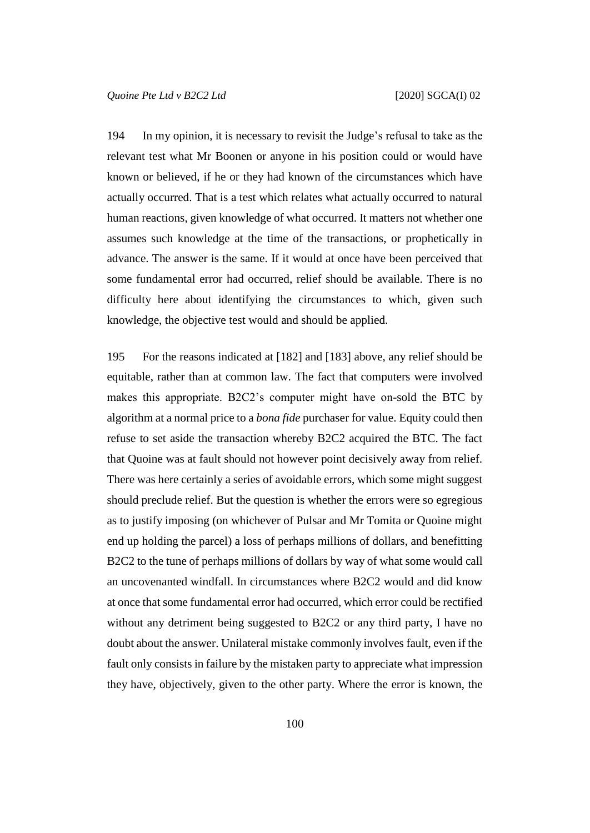194 In my opinion, it is necessary to revisit the Judge's refusal to take as the relevant test what Mr Boonen or anyone in his position could or would have known or believed, if he or they had known of the circumstances which have actually occurred. That is a test which relates what actually occurred to natural human reactions, given knowledge of what occurred. It matters not whether one assumes such knowledge at the time of the transactions, or prophetically in advance. The answer is the same. If it would at once have been perceived that some fundamental error had occurred, relief should be available. There is no difficulty here about identifying the circumstances to which, given such knowledge, the objective test would and should be applied.

195 For the reasons indicated at [182] and [183] above, any relief should be equitable, rather than at common law. The fact that computers were involved makes this appropriate. B2C2's computer might have on-sold the BTC by algorithm at a normal price to a *bona fide* purchaser for value. Equity could then refuse to set aside the transaction whereby B2C2 acquired the BTC. The fact that Quoine was at fault should not however point decisively away from relief. There was here certainly a series of avoidable errors, which some might suggest should preclude relief. But the question is whether the errors were so egregious as to justify imposing (on whichever of Pulsar and Mr Tomita or Quoine might end up holding the parcel) a loss of perhaps millions of dollars, and benefitting B2C2 to the tune of perhaps millions of dollars by way of what some would call an uncovenanted windfall. In circumstances where B2C2 would and did know at once that some fundamental error had occurred, which error could be rectified without any detriment being suggested to B2C2 or any third party, I have no doubt about the answer. Unilateral mistake commonly involves fault, even if the fault only consists in failure by the mistaken party to appreciate what impression they have, objectively, given to the other party. Where the error is known, the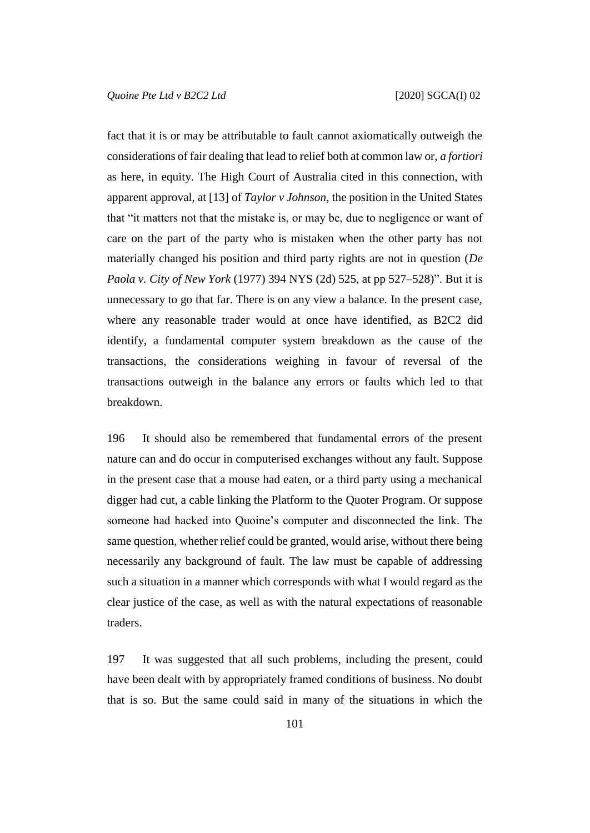fact that it is or may be attributable to fault cannot axiomatically outweigh the considerations of fair dealing that lead to relief both at common law or, *a fortiori* as here, in equity. The High Court of Australia cited in this connection, with apparent approval, at [13] of *Taylor v Johnson*, the position in the United States that "it matters not that the mistake is, or may be, due to negligence or want of care on the part of the party who is mistaken when the other party has not materially changed his position and third party rights are not in question (*De Paola v. City of New York* (1977) 394 NYS (2d) 525, at pp 527–528)". But it is unnecessary to go that far. There is on any view a balance. In the present case, where any reasonable trader would at once have identified, as B2C2 did identify, a fundamental computer system breakdown as the cause of the transactions, the considerations weighing in favour of reversal of the transactions outweigh in the balance any errors or faults which led to that breakdown.

196 It should also be remembered that fundamental errors of the present nature can and do occur in computerised exchanges without any fault. Suppose in the present case that a mouse had eaten, or a third party using a mechanical digger had cut, a cable linking the Platform to the Quoter Program. Or suppose someone had hacked into Quoine's computer and disconnected the link. The same question, whether relief could be granted, would arise, without there being necessarily any background of fault. The law must be capable of addressing such a situation in a manner which corresponds with what I would regard as the clear justice of the case, as well as with the natural expectations of reasonable traders.

197 It was suggested that all such problems, including the present, could have been dealt with by appropriately framed conditions of business. No doubt that is so. But the same could said in many of the situations in which the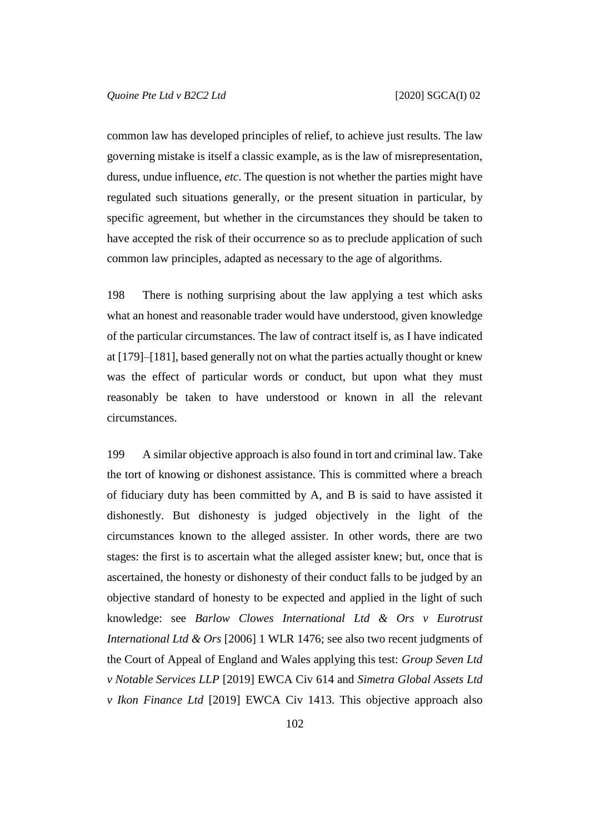common law has developed principles of relief, to achieve just results. The law governing mistake is itself a classic example, as is the law of misrepresentation, duress, undue influence, *etc*. The question is not whether the parties might have regulated such situations generally, or the present situation in particular, by specific agreement, but whether in the circumstances they should be taken to have accepted the risk of their occurrence so as to preclude application of such common law principles, adapted as necessary to the age of algorithms.

198 There is nothing surprising about the law applying a test which asks what an honest and reasonable trader would have understood, given knowledge of the particular circumstances. The law of contract itself is, as I have indicated at [179]–[181], based generally not on what the parties actually thought or knew was the effect of particular words or conduct, but upon what they must reasonably be taken to have understood or known in all the relevant circumstances.

199 A similar objective approach is also found in tort and criminal law. Take the tort of knowing or dishonest assistance. This is committed where a breach of fiduciary duty has been committed by A, and B is said to have assisted it dishonestly. But dishonesty is judged objectively in the light of the circumstances known to the alleged assister. In other words, there are two stages: the first is to ascertain what the alleged assister knew; but, once that is ascertained, the honesty or dishonesty of their conduct falls to be judged by an objective standard of honesty to be expected and applied in the light of such knowledge: see *Barlow Clowes International Ltd & Ors v Eurotrust International Ltd & Ors* [2006] 1 WLR 1476; see also two recent judgments of the Court of Appeal of England and Wales applying this test: *Group Seven Ltd v Notable Services LLP* [2019] EWCA Civ 614 and *Simetra Global Assets Ltd v Ikon Finance Ltd* [2019] EWCA Civ 1413. This objective approach also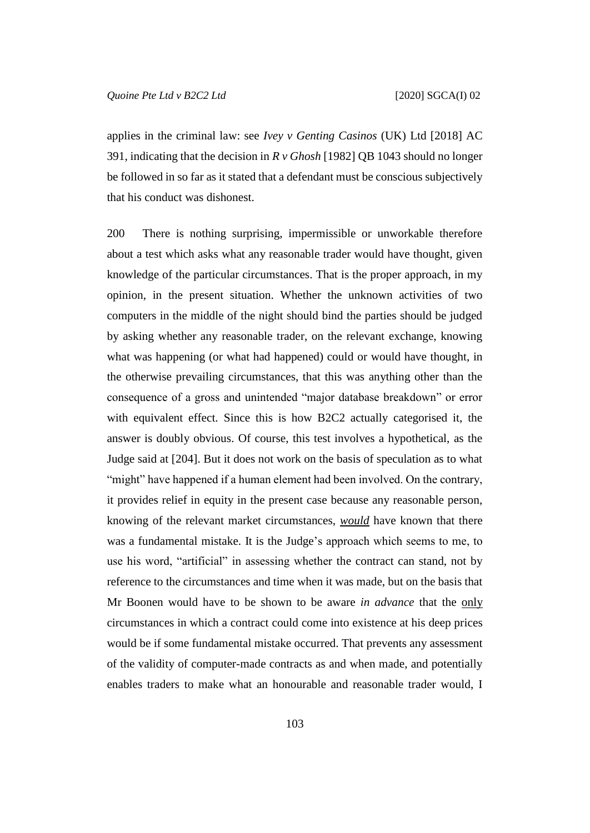applies in the criminal law: see *Ivey v Genting Casinos* (UK) Ltd [2018] AC 391, indicating that the decision in *R v Ghosh* [1982] QB 1043 should no longer be followed in so far as it stated that a defendant must be conscious subjectively that his conduct was dishonest.

200 There is nothing surprising, impermissible or unworkable therefore about a test which asks what any reasonable trader would have thought, given knowledge of the particular circumstances. That is the proper approach, in my opinion, in the present situation. Whether the unknown activities of two computers in the middle of the night should bind the parties should be judged by asking whether any reasonable trader, on the relevant exchange, knowing what was happening (or what had happened) could or would have thought, in the otherwise prevailing circumstances, that this was anything other than the consequence of a gross and unintended "major database breakdown" or error with equivalent effect. Since this is how B2C2 actually categorised it, the answer is doubly obvious. Of course, this test involves a hypothetical, as the Judge said at [204]. But it does not work on the basis of speculation as to what "might" have happened if a human element had been involved. On the contrary, it provides relief in equity in the present case because any reasonable person, knowing of the relevant market circumstances, *would* have known that there was a fundamental mistake. It is the Judge's approach which seems to me, to use his word, "artificial" in assessing whether the contract can stand, not by reference to the circumstances and time when it was made, but on the basis that Mr Boonen would have to be shown to be aware *in advance* that the only circumstances in which a contract could come into existence at his deep prices would be if some fundamental mistake occurred. That prevents any assessment of the validity of computer-made contracts as and when made, and potentially enables traders to make what an honourable and reasonable trader would, I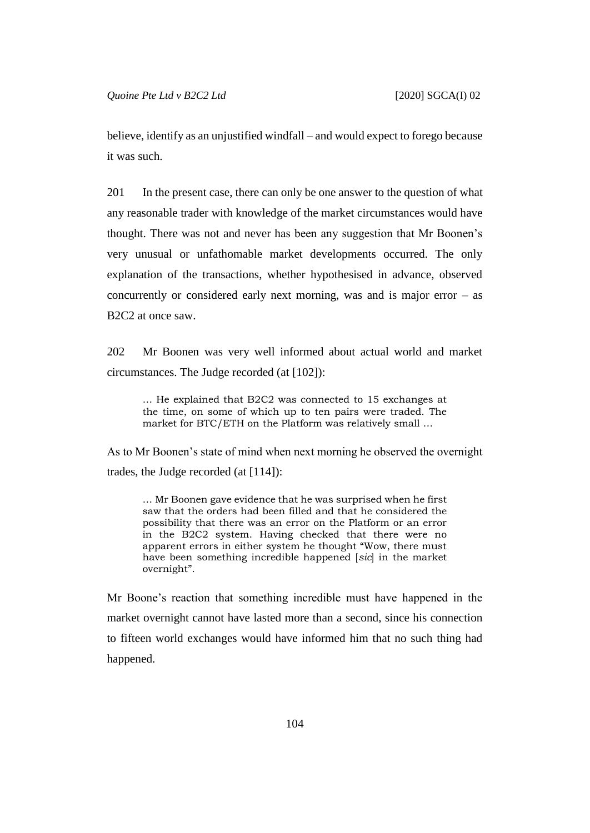believe, identify as an unjustified windfall – and would expect to forego because it was such.

201 In the present case, there can only be one answer to the question of what any reasonable trader with knowledge of the market circumstances would have thought. There was not and never has been any suggestion that Mr Boonen's very unusual or unfathomable market developments occurred. The only explanation of the transactions, whether hypothesised in advance, observed concurrently or considered early next morning, was and is major error – as B2C2 at once saw.

202 Mr Boonen was very well informed about actual world and market circumstances. The Judge recorded (at [102]):

… He explained that B2C2 was connected to 15 exchanges at the time, on some of which up to ten pairs were traded. The market for BTC/ETH on the Platform was relatively small …

As to Mr Boonen's state of mind when next morning he observed the overnight trades, the Judge recorded (at [114]):

… Mr Boonen gave evidence that he was surprised when he first saw that the orders had been filled and that he considered the possibility that there was an error on the Platform or an error in the B2C2 system. Having checked that there were no apparent errors in either system he thought "Wow, there must have been something incredible happened [*sic*] in the market overnight".

Mr Boone's reaction that something incredible must have happened in the market overnight cannot have lasted more than a second, since his connection to fifteen world exchanges would have informed him that no such thing had happened.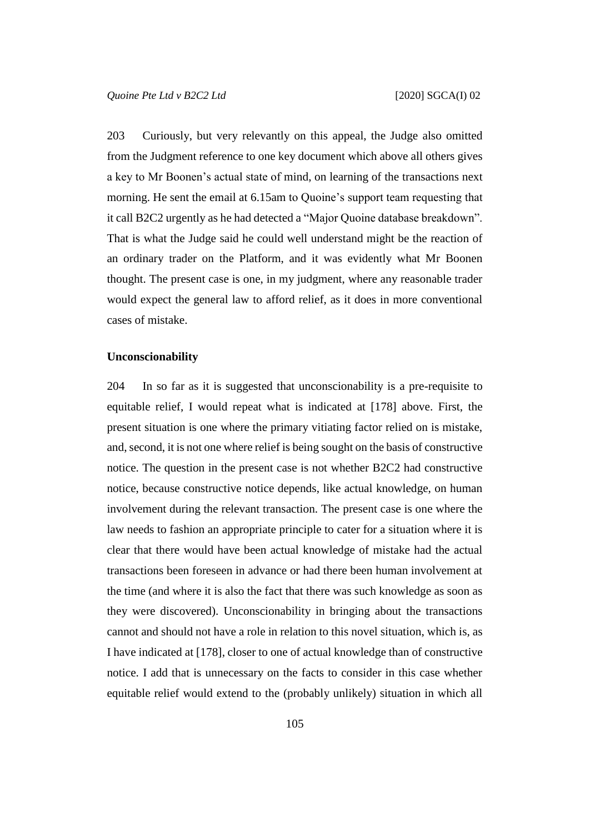203 Curiously, but very relevantly on this appeal, the Judge also omitted from the Judgment reference to one key document which above all others gives a key to Mr Boonen's actual state of mind, on learning of the transactions next morning. He sent the email at 6.15am to Quoine's support team requesting that it call B2C2 urgently as he had detected a "Major Quoine database breakdown". That is what the Judge said he could well understand might be the reaction of an ordinary trader on the Platform, and it was evidently what Mr Boonen thought. The present case is one, in my judgment, where any reasonable trader would expect the general law to afford relief, as it does in more conventional cases of mistake.

#### **Unconscionability**

204 In so far as it is suggested that unconscionability is a pre-requisite to equitable relief, I would repeat what is indicated at [178] above. First, the present situation is one where the primary vitiating factor relied on is mistake, and, second, it is not one where relief is being sought on the basis of constructive notice. The question in the present case is not whether B2C2 had constructive notice, because constructive notice depends, like actual knowledge, on human involvement during the relevant transaction. The present case is one where the law needs to fashion an appropriate principle to cater for a situation where it is clear that there would have been actual knowledge of mistake had the actual transactions been foreseen in advance or had there been human involvement at the time (and where it is also the fact that there was such knowledge as soon as they were discovered). Unconscionability in bringing about the transactions cannot and should not have a role in relation to this novel situation, which is, as I have indicated at [178], closer to one of actual knowledge than of constructive notice. I add that is unnecessary on the facts to consider in this case whether equitable relief would extend to the (probably unlikely) situation in which all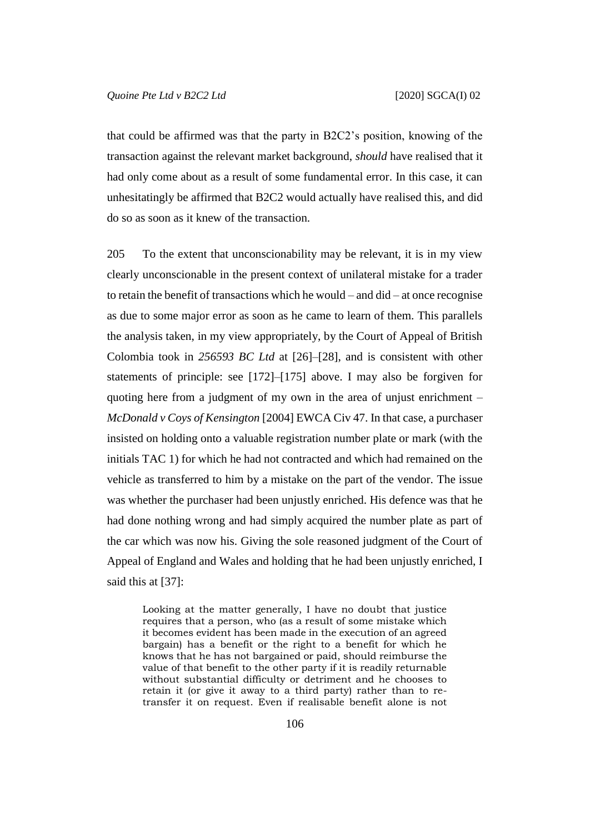that could be affirmed was that the party in B2C2's position, knowing of the transaction against the relevant market background, *should* have realised that it had only come about as a result of some fundamental error. In this case, it can unhesitatingly be affirmed that B2C2 would actually have realised this, and did do so as soon as it knew of the transaction.

205 To the extent that unconscionability may be relevant, it is in my view clearly unconscionable in the present context of unilateral mistake for a trader to retain the benefit of transactions which he would – and did – at once recognise as due to some major error as soon as he came to learn of them. This parallels the analysis taken, in my view appropriately, by the Court of Appeal of British Colombia took in *256593 BC Ltd* at [26]–[28], and is consistent with other statements of principle: see [172]–[175] above. I may also be forgiven for quoting here from a judgment of my own in the area of unjust enrichment – *McDonald v Coys of Kensington* [2004] EWCA Civ 47. In that case, a purchaser insisted on holding onto a valuable registration number plate or mark (with the initials TAC 1) for which he had not contracted and which had remained on the vehicle as transferred to him by a mistake on the part of the vendor. The issue was whether the purchaser had been unjustly enriched. His defence was that he had done nothing wrong and had simply acquired the number plate as part of the car which was now his. Giving the sole reasoned judgment of the Court of Appeal of England and Wales and holding that he had been unjustly enriched, I said this at [37]:

Looking at the matter generally, I have no doubt that justice requires that a person, who (as a result of some mistake which it becomes evident has been made in the execution of an agreed bargain) has a benefit or the right to a benefit for which he knows that he has not bargained or paid, should reimburse the value of that benefit to the other party if it is readily returnable without substantial difficulty or detriment and he chooses to retain it (or give it away to a third party) rather than to retransfer it on request. Even if realisable benefit alone is not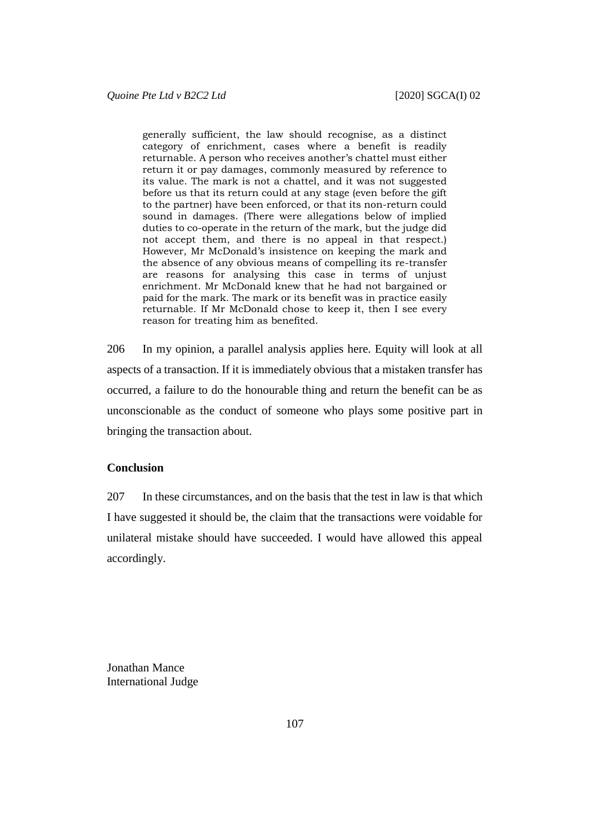generally sufficient, the law should recognise, as a distinct category of enrichment, cases where a benefit is readily returnable. A person who receives another's chattel must either return it or pay damages, commonly measured by reference to its value. The mark is not a chattel, and it was not suggested before us that its return could at any stage (even before the gift to the partner) have been enforced, or that its non-return could sound in damages. (There were allegations below of implied duties to co-operate in the return of the mark, but the judge did not accept them, and there is no appeal in that respect.) However, Mr McDonald's insistence on keeping the mark and the absence of any obvious means of compelling its re-transfer are reasons for analysing this case in terms of unjust enrichment. Mr McDonald knew that he had not bargained or paid for the mark. The mark or its benefit was in practice easily returnable. If Mr McDonald chose to keep it, then I see every reason for treating him as benefited.

206 In my opinion, a parallel analysis applies here. Equity will look at all aspects of a transaction. If it is immediately obvious that a mistaken transfer has occurred, a failure to do the honourable thing and return the benefit can be as unconscionable as the conduct of someone who plays some positive part in bringing the transaction about.

# **Conclusion**

207 In these circumstances, and on the basis that the test in law is that which I have suggested it should be, the claim that the transactions were voidable for unilateral mistake should have succeeded. I would have allowed this appeal accordingly.

Jonathan Mance International Judge